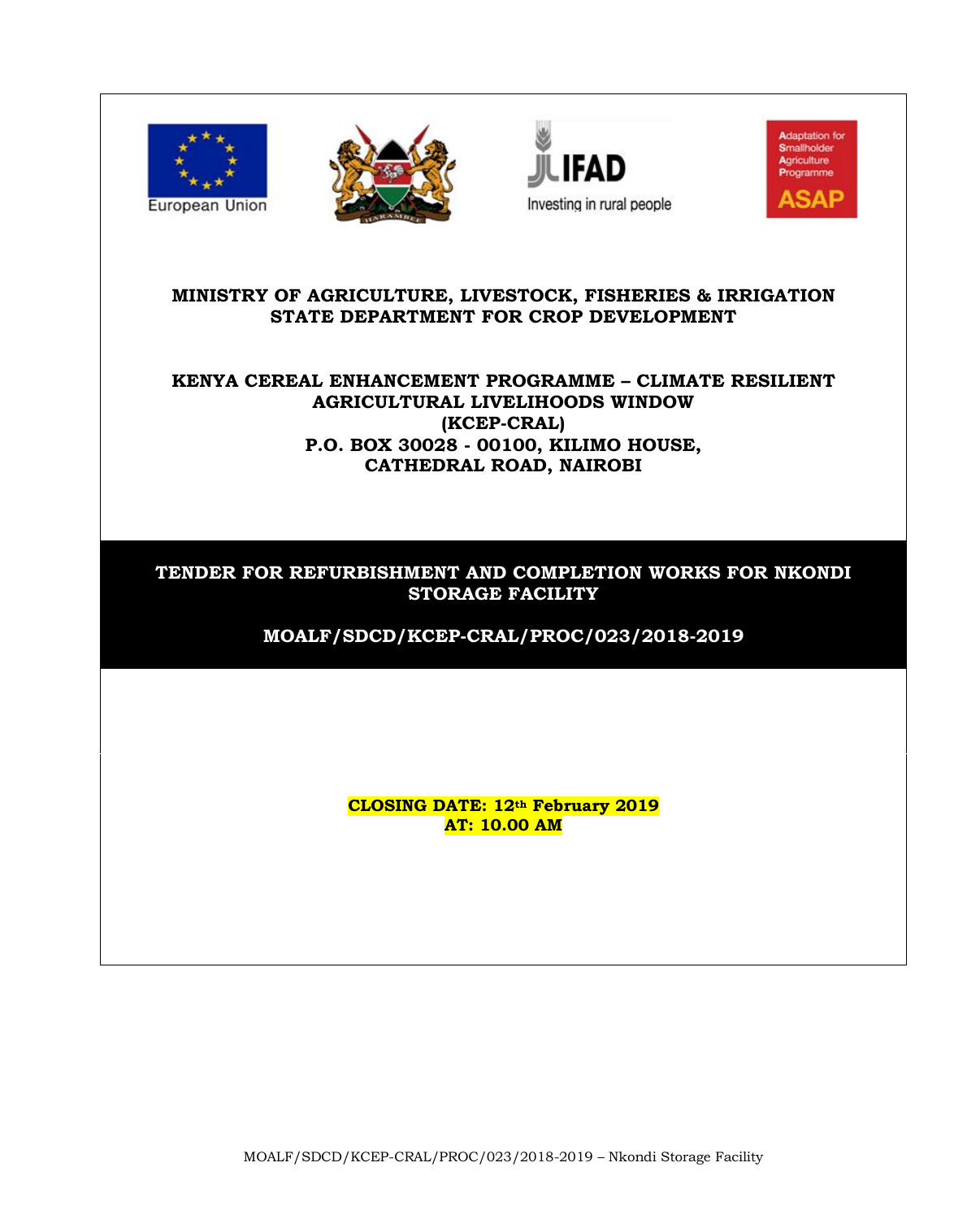







#### **MINISTRY OF AGRICULTURE, LIVESTOCK, FISHERIES & IRRIGATION STATE DEPARTMENT FOR CROP DEVELOPMENT**

# **KENYA CEREAL ENHANCEMENT PROGRAMME – CLIMATE RESILIENT AGRICULTURAL LIVELIHOODS WINDOW (KCEP-CRAL) P.O. BOX 30028 - 00100, KILIMO HOUSE, CATHEDRAL ROAD, NAIROBI**

# **TENDER FOR REFURBISHMENT AND COMPLETION WORKS FOR NKONDI STORAGE FACILITY**

**MOALF/SDCD/KCEP-CRAL/PROC/023/2018-2019**

**CLOSING DATE: 12th February 2019 AT: 10.00 AM**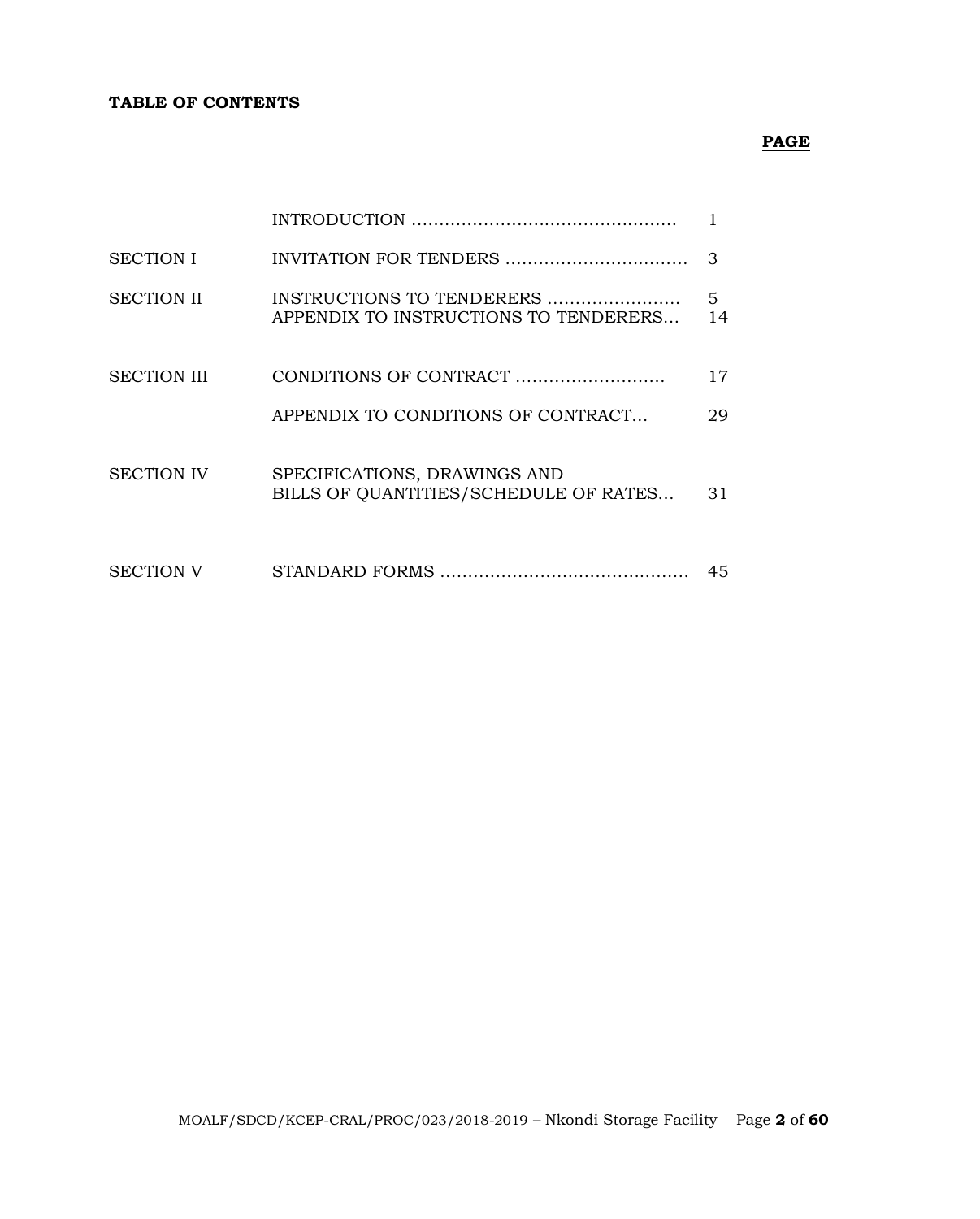#### **TABLE OF CONTENTS**

# **PAGE**

| <b>SECTION I</b>   |                                                                       | 3       |
|--------------------|-----------------------------------------------------------------------|---------|
| <b>SECTION II</b>  | INSTRUCTIONS TO TENDERERS<br>APPENDIX TO INSTRUCTIONS TO TENDERERS    | 5<br>14 |
| <b>SECTION III</b> |                                                                       | 17      |
|                    | APPENDIX TO CONDITIONS OF CONTRACT                                    | 29      |
| <b>SECTION IV</b>  | SPECIFICATIONS, DRAWINGS AND<br>BILLS OF QUANTITIES/SCHEDULE OF RATES | 31      |
| <b>SECTION V</b>   |                                                                       | 45      |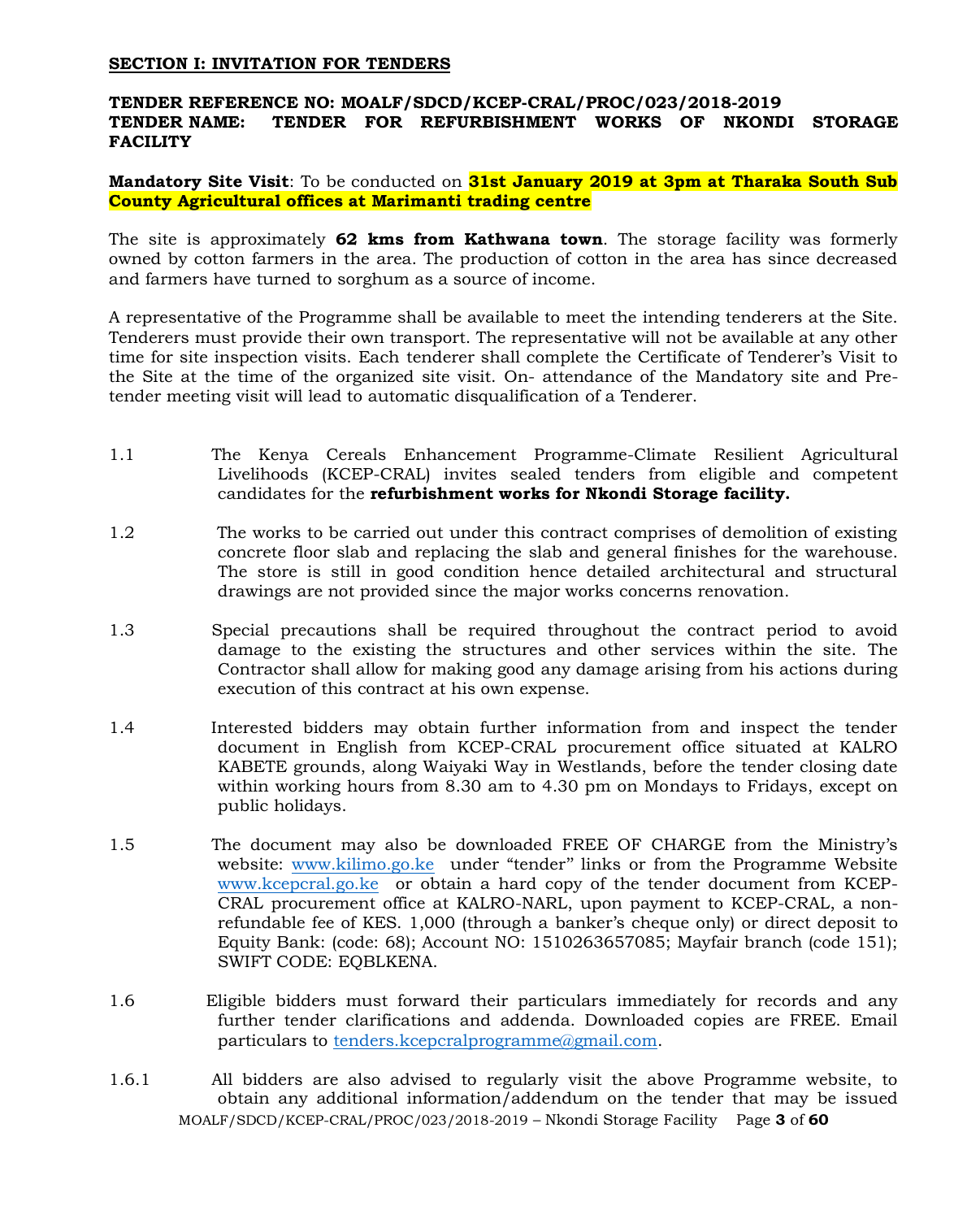#### **SECTION I: INVITATION FOR TENDERS**

#### **TENDER REFERENCE NO: MOALF/SDCD/KCEP-CRAL/PROC/023/2018-2019 TENDER NAME: TENDER FOR REFURBISHMENT WORKS OF NKONDI STORAGE FACILITY**

**Mandatory Site Visit**: To be conducted on **31st January 2019 at 3pm at Tharaka South Sub County Agricultural offices at Marimanti trading centre**

The site is approximately **62 kms from Kathwana town**. The storage facility was formerly owned by cotton farmers in the area. The production of cotton in the area has since decreased and farmers have turned to sorghum as a source of income.

A representative of the Programme shall be available to meet the intending tenderers at the Site. Tenderers must provide their own transport. The representative will not be available at any other time for site inspection visits. Each tenderer shall complete the Certificate of Tenderer's Visit to the Site at the time of the organized site visit. On- attendance of the Mandatory site and Pretender meeting visit will lead to automatic disqualification of a Tenderer.

- 1.1 The Kenya Cereals Enhancement Programme-Climate Resilient Agricultural Livelihoods (KCEP-CRAL) invites sealed tenders from eligible and competent candidates for the **refurbishment works for Nkondi Storage facility.**
- 1.2 The works to be carried out under this contract comprises of demolition of existing concrete floor slab and replacing the slab and general finishes for the warehouse. The store is still in good condition hence detailed architectural and structural drawings are not provided since the major works concerns renovation.
- 1.3 Special precautions shall be required throughout the contract period to avoid damage to the existing the structures and other services within the site. The Contractor shall allow for making good any damage arising from his actions during execution of this contract at his own expense.
- 1.4 Interested bidders may obtain further information from and inspect the tender document in English from KCEP-CRAL procurement office situated at KALRO KABETE grounds, along Waiyaki Way in Westlands, before the tender closing date within working hours from 8.30 am to 4.30 pm on Mondays to Fridays, except on public holidays.
- 1.5 The document may also be downloaded FREE OF CHARGE from the Ministry's website: [www.kilimo.go.ke](http://www.kilimo.go.ke/) under "tender'' links or from the Programme Website [www.kcepcral.go.ke](http://www.kcepcral.go.ke/) or obtain a hard copy of the tender document from KCEP-CRAL procurement office at KALRO-NARL, upon payment to KCEP-CRAL, a nonrefundable fee of KES. 1,000 (through a banker's cheque only) or direct deposit to Equity Bank: (code: 68); Account NO: 1510263657085; Mayfair branch (code 151); SWIFT CODE: EQBLKENA.
- 1.6 Eligible bidders must forward their particulars immediately for records and any further tender clarifications and addenda. Downloaded copies are FREE. Email particulars to [tenders.kcepcralprogramme@gmail.com.](mailto:tenders.kcepcralprogramme@gmail.com)
- MOALF/SDCD/KCEP-CRAL/PROC/023/2018-2019 Nkondi Storage Facility Page **3** of **60** 1.6.1 All bidders are also advised to regularly visit the above Programme website, to obtain any additional information/addendum on the tender that may be issued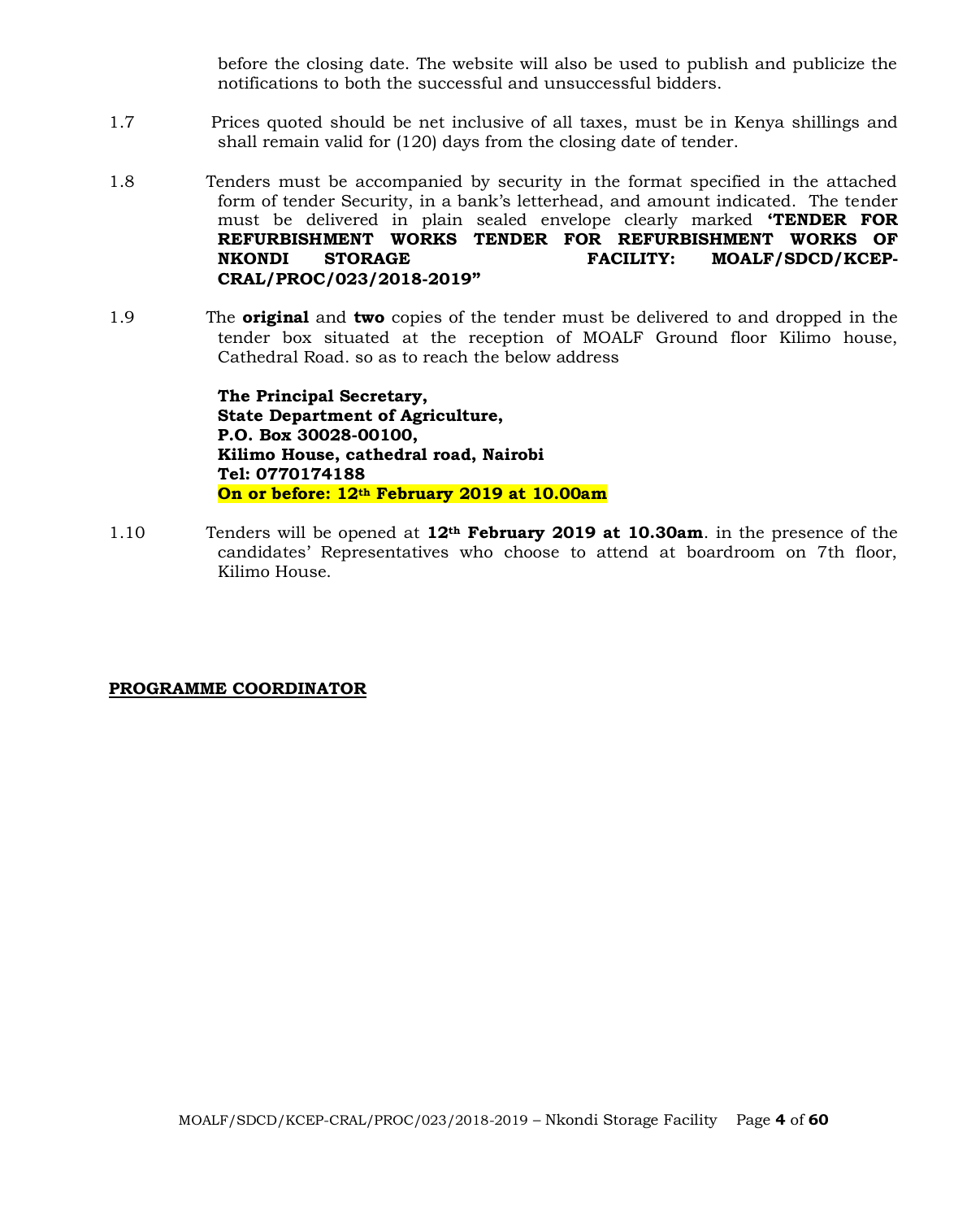before the closing date. The website will also be used to publish and publicize the notifications to both the successful and unsuccessful bidders.

- 1.7 Prices quoted should be net inclusive of all taxes, must be in Kenya shillings and shall remain valid for (120) days from the closing date of tender.
- 1.8 Tenders must be accompanied by security in the format specified in the attached form of tender Security, in a bank's letterhead, and amount indicated. The tender must be delivered in plain sealed envelope clearly marked **'TENDER FOR REFURBISHMENT WORKS TENDER FOR REFURBISHMENT WORKS OF NKONDI STORAGE FACILITY: MOALF/SDCD/KCEP-CRAL/PROC/023/2018-2019"**
- 1.9 The **original** and **two** copies of the tender must be delivered to and dropped in the tender box situated at the reception of MOALF Ground floor Kilimo house, Cathedral Road. so as to reach the below address

**The Principal Secretary, State Department of Agriculture, P.O. Box 30028-00100, Kilimo House, cathedral road, Nairobi Tel: 0770174188 On or before: 12th February 2019 at 10.00am**

1.10 Tenders will be opened at **12th February 2019 at 10.30am**. in the presence of the candidates' Representatives who choose to attend at boardroom on 7th floor, Kilimo House.

#### **PROGRAMME COORDINATOR**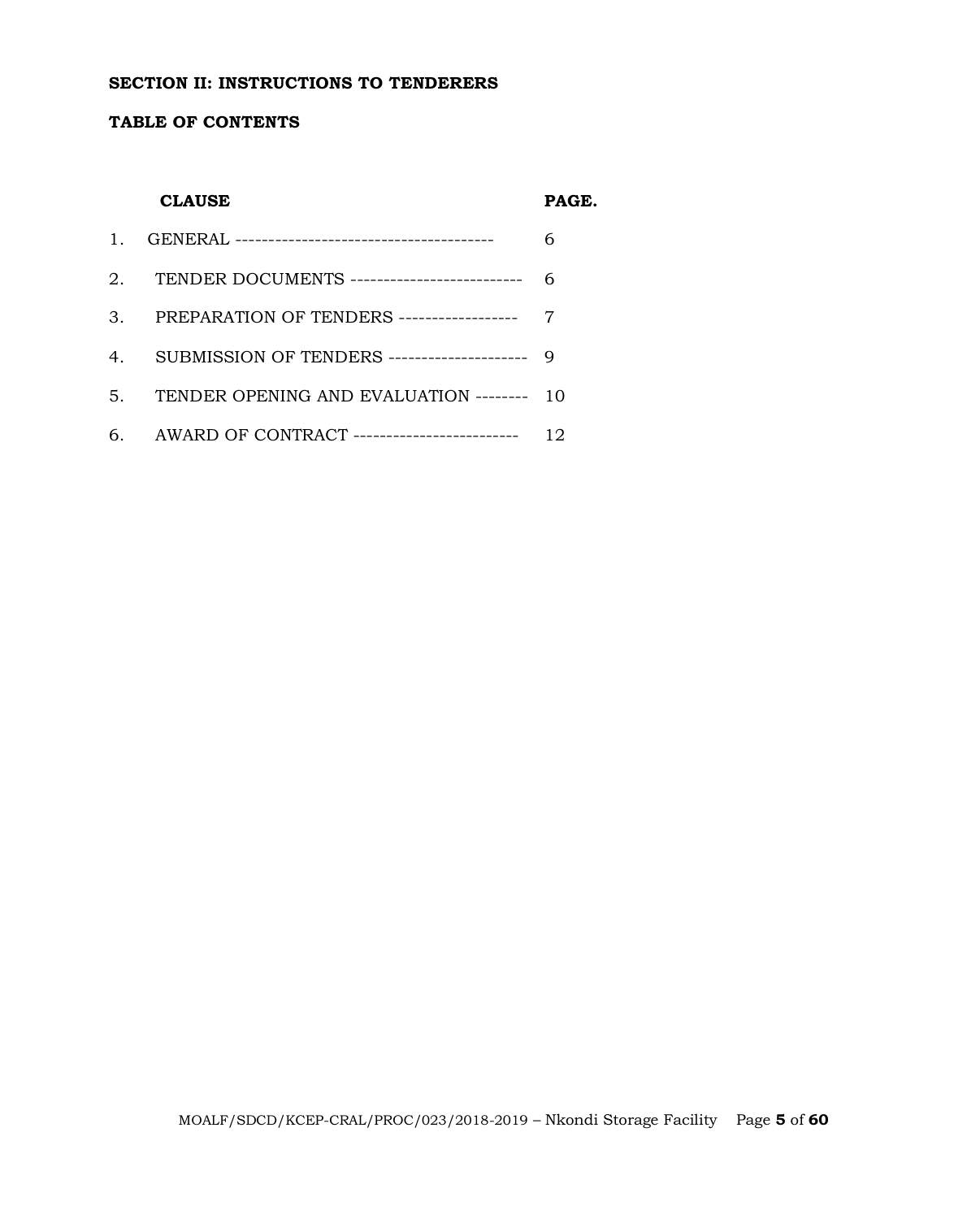#### **SECTION II: INSTRUCTIONS TO TENDERERS**

#### **TABLE OF CONTENTS**

#### **CLAUSE PAGE.**

| 2. TENDER DOCUMENTS ---------------------------- 6 |    |
|----------------------------------------------------|----|
| 3. PREPARATION OF TENDERS ------------------- 7    |    |
| 4. SUBMISSION OF TENDERS --------------------- 9   |    |
| 5. TENDER OPENING AND EVALUATION -------- 10       |    |
| 6. AWARD OF CONTRACT ---------------------------   | 12 |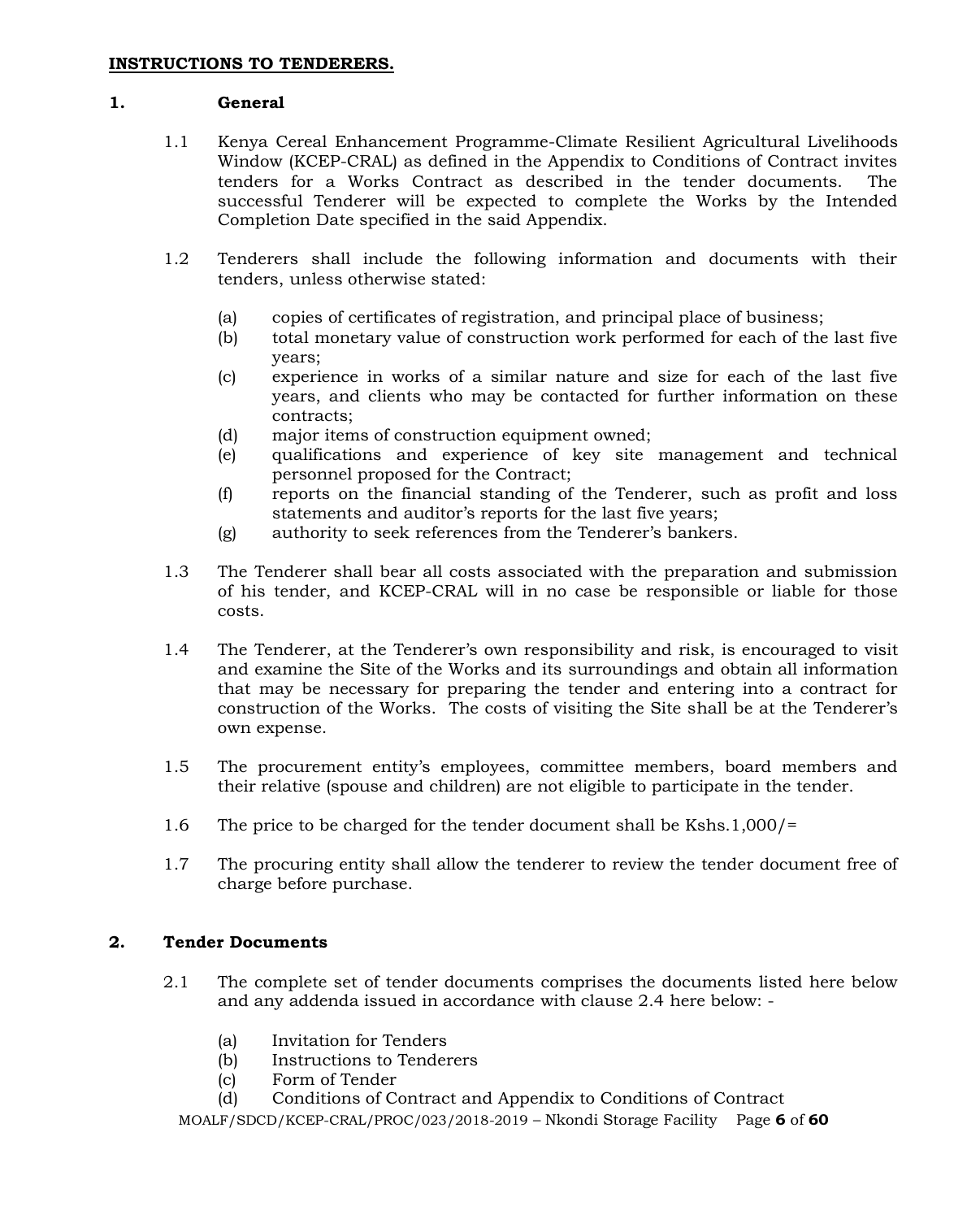#### **1. General**

- 1.1 Kenya Cereal Enhancement Programme-Climate Resilient Agricultural Livelihoods Window (KCEP-CRAL) as defined in the Appendix to Conditions of Contract invites tenders for a Works Contract as described in the tender documents. The successful Tenderer will be expected to complete the Works by the Intended Completion Date specified in the said Appendix.
- 1.2 Tenderers shall include the following information and documents with their tenders, unless otherwise stated:
	- (a) copies of certificates of registration, and principal place of business;
	- (b) total monetary value of construction work performed for each of the last five years;
	- (c) experience in works of a similar nature and size for each of the last five years, and clients who may be contacted for further information on these contracts;
	- (d) major items of construction equipment owned;
	- (e) qualifications and experience of key site management and technical personnel proposed for the Contract;
	- (f) reports on the financial standing of the Tenderer, such as profit and loss statements and auditor's reports for the last five years;
	- (g) authority to seek references from the Tenderer's bankers.
- 1.3 The Tenderer shall bear all costs associated with the preparation and submission of his tender, and KCEP-CRAL will in no case be responsible or liable for those costs.
- 1.4 The Tenderer, at the Tenderer's own responsibility and risk, is encouraged to visit and examine the Site of the Works and its surroundings and obtain all information that may be necessary for preparing the tender and entering into a contract for construction of the Works. The costs of visiting the Site shall be at the Tenderer's own expense.
- 1.5 The procurement entity's employees, committee members, board members and their relative (spouse and children) are not eligible to participate in the tender.
- 1.6 The price to be charged for the tender document shall be Kshs.1,000/=
- 1.7 The procuring entity shall allow the tenderer to review the tender document free of charge before purchase.

# **2. Tender Documents**

- 2.1 The complete set of tender documents comprises the documents listed here below and any addenda issued in accordance with clause 2.4 here below: -
	- (a) Invitation for Tenders
	- (b) Instructions to Tenderers
	- (c) Form of Tender
	- (d) Conditions of Contract and Appendix to Conditions of Contract

MOALF/SDCD/KCEP-CRAL/PROC/023/2018-2019 – Nkondi Storage Facility Page **6** of **60**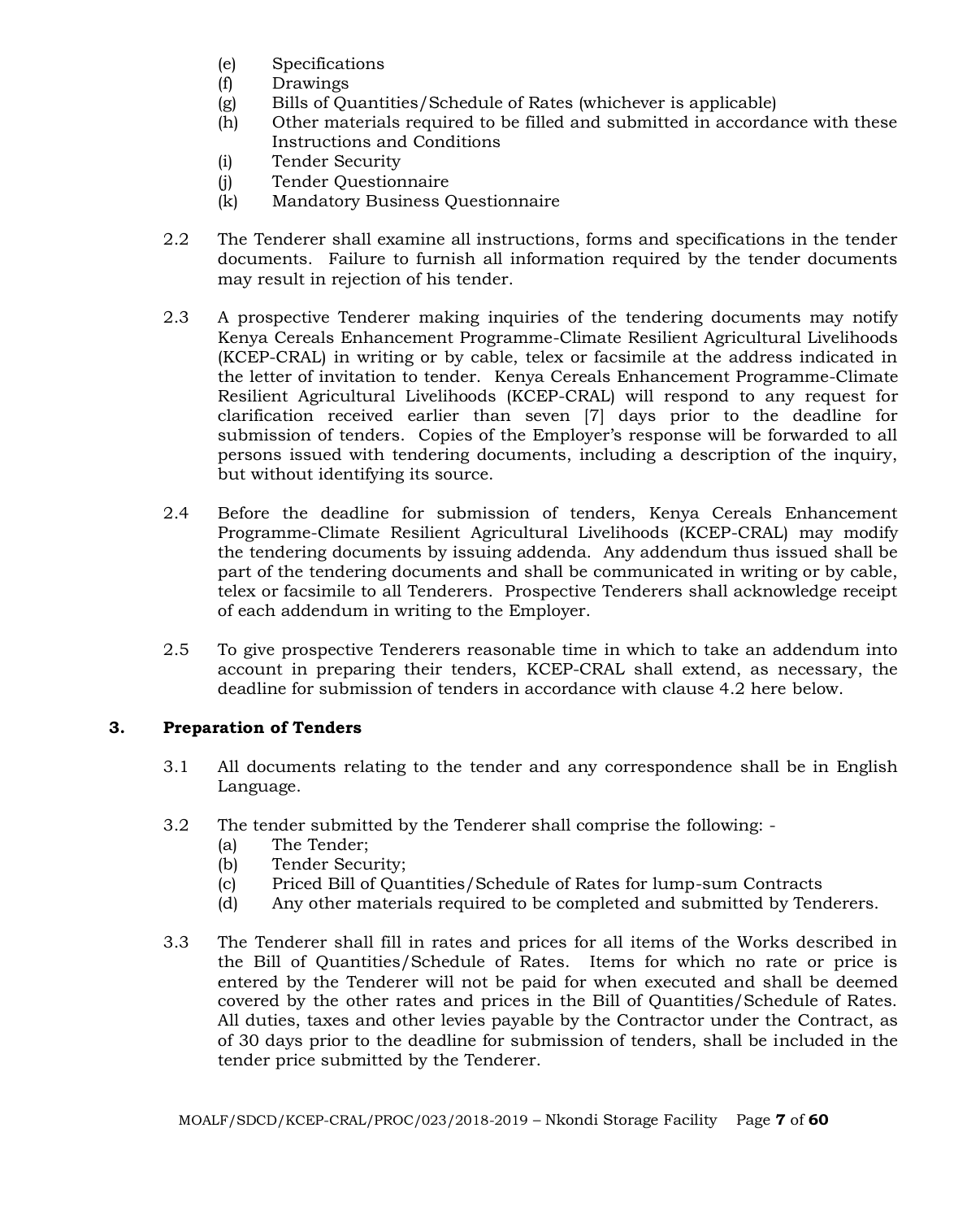- (e) Specifications
- (f) Drawings
- (g) Bills of Quantities/Schedule of Rates (whichever is applicable)
- (h) Other materials required to be filled and submitted in accordance with these Instructions and Conditions
- (i) Tender Security
- (j) Tender Questionnaire
- (k) Mandatory Business Questionnaire
- 2.2 The Tenderer shall examine all instructions, forms and specifications in the tender documents. Failure to furnish all information required by the tender documents may result in rejection of his tender.
- 2.3 A prospective Tenderer making inquiries of the tendering documents may notify Kenya Cereals Enhancement Programme-Climate Resilient Agricultural Livelihoods (KCEP-CRAL) in writing or by cable, telex or facsimile at the address indicated in the letter of invitation to tender. Kenya Cereals Enhancement Programme-Climate Resilient Agricultural Livelihoods (KCEP-CRAL) will respond to any request for clarification received earlier than seven [7] days prior to the deadline for submission of tenders. Copies of the Employer's response will be forwarded to all persons issued with tendering documents, including a description of the inquiry, but without identifying its source.
- 2.4 Before the deadline for submission of tenders, Kenya Cereals Enhancement Programme-Climate Resilient Agricultural Livelihoods (KCEP-CRAL) may modify the tendering documents by issuing addenda. Any addendum thus issued shall be part of the tendering documents and shall be communicated in writing or by cable, telex or facsimile to all Tenderers. Prospective Tenderers shall acknowledge receipt of each addendum in writing to the Employer.
- 2.5 To give prospective Tenderers reasonable time in which to take an addendum into account in preparing their tenders, KCEP-CRAL shall extend, as necessary, the deadline for submission of tenders in accordance with clause 4.2 here below.

# **3. Preparation of Tenders**

- 3.1 All documents relating to the tender and any correspondence shall be in English Language.
- 3.2 The tender submitted by the Tenderer shall comprise the following:
	- (a) The Tender;
	- (b) Tender Security;
	- (c) Priced Bill of Quantities/Schedule of Rates for lump-sum Contracts
	- (d) Any other materials required to be completed and submitted by Tenderers.
- 3.3 The Tenderer shall fill in rates and prices for all items of the Works described in the Bill of Quantities/Schedule of Rates. Items for which no rate or price is entered by the Tenderer will not be paid for when executed and shall be deemed covered by the other rates and prices in the Bill of Quantities/Schedule of Rates. All duties, taxes and other levies payable by the Contractor under the Contract, as of 30 days prior to the deadline for submission of tenders, shall be included in the tender price submitted by the Tenderer.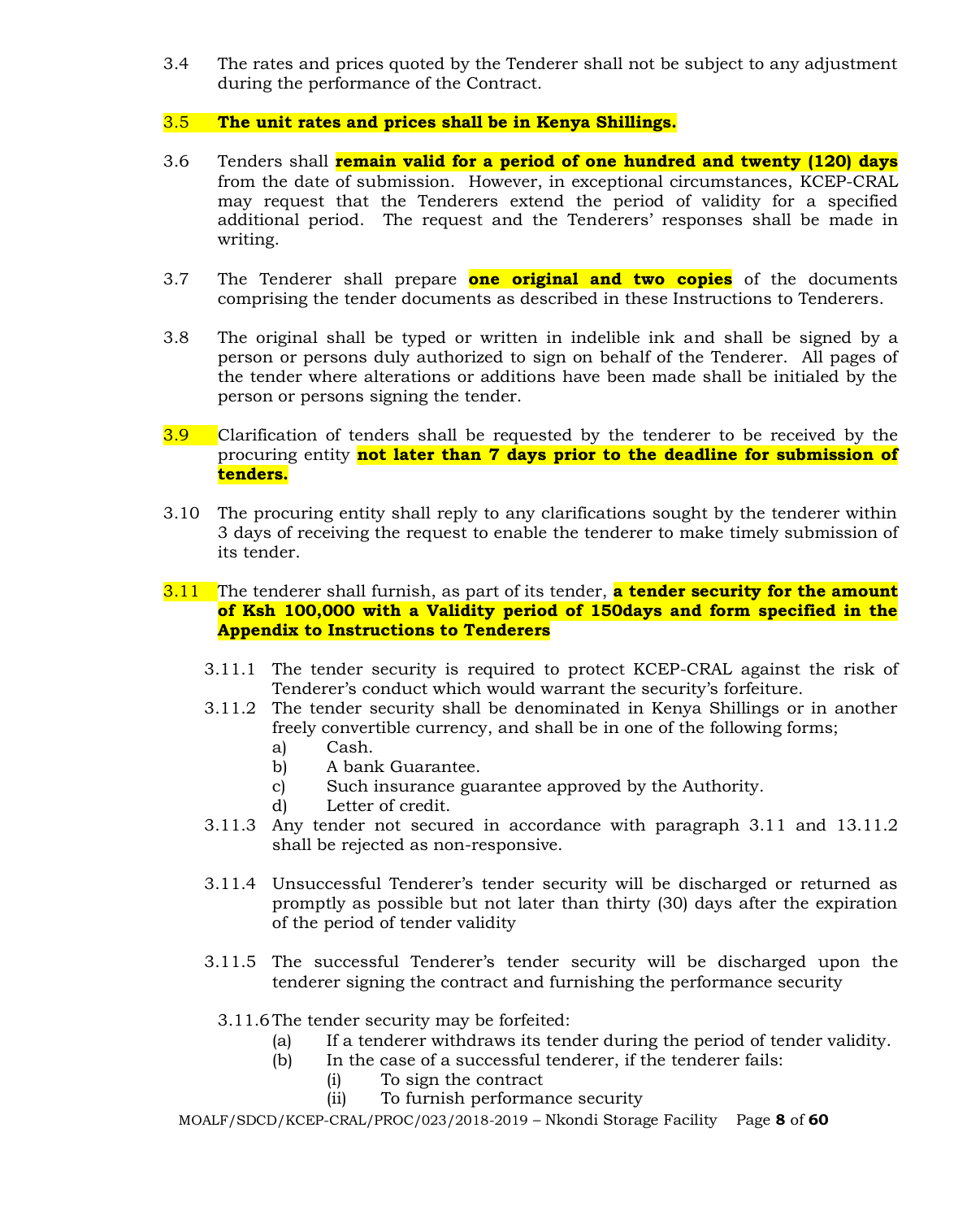3.4 The rates and prices quoted by the Tenderer shall not be subject to any adjustment during the performance of the Contract.

# 3.5 **The unit rates and prices shall be in Kenya Shillings.**

- 3.6 Tenders shall **remain valid for a period of one hundred and twenty (120) days** from the date of submission. However, in exceptional circumstances, KCEP-CRAL may request that the Tenderers extend the period of validity for a specified additional period. The request and the Tenderers' responses shall be made in writing.
- 3.7 The Tenderer shall prepare **one original and two copies** of the documents comprising the tender documents as described in these Instructions to Tenderers.
- 3.8 The original shall be typed or written in indelible ink and shall be signed by a person or persons duly authorized to sign on behalf of the Tenderer. All pages of the tender where alterations or additions have been made shall be initialed by the person or persons signing the tender.
- 3.9 Clarification of tenders shall be requested by the tenderer to be received by the procuring entity **not later than 7 days prior to the deadline for submission of tenders.**
- 3.10 The procuring entity shall reply to any clarifications sought by the tenderer within 3 days of receiving the request to enable the tenderer to make timely submission of its tender.

#### 3.11 The tenderer shall furnish, as part of its tender, **a tender security for the amount of Ksh 100,000 with a Validity period of 150days and form specified in the Appendix to Instructions to Tenderers**

- 3.11.1 The tender security is required to protect KCEP-CRAL against the risk of Tenderer's conduct which would warrant the security's forfeiture.
- 3.11.2 The tender security shall be denominated in Kenya Shillings or in another freely convertible currency, and shall be in one of the following forms;
	- a) Cash.
	- b) A bank Guarantee.
	- c) Such insurance guarantee approved by the Authority.
	- d) Letter of credit.
- 3.11.3 Any tender not secured in accordance with paragraph 3.11 and 13.11.2 shall be rejected as non-responsive.
- 3.11.4 Unsuccessful Tenderer's tender security will be discharged or returned as promptly as possible but not later than thirty (30) days after the expiration of the period of tender validity
- 3.11.5 The successful Tenderer's tender security will be discharged upon the tenderer signing the contract and furnishing the performance security
	- 3.11.6The tender security may be forfeited:
		- (a) If a tenderer withdraws its tender during the period of tender validity.
		- (b) In the case of a successful tenderer, if the tenderer fails:
			- (i) To sign the contract
			- (ii) To furnish performance security

MOALF/SDCD/KCEP-CRAL/PROC/023/2018-2019 – Nkondi Storage Facility Page **8** of **60**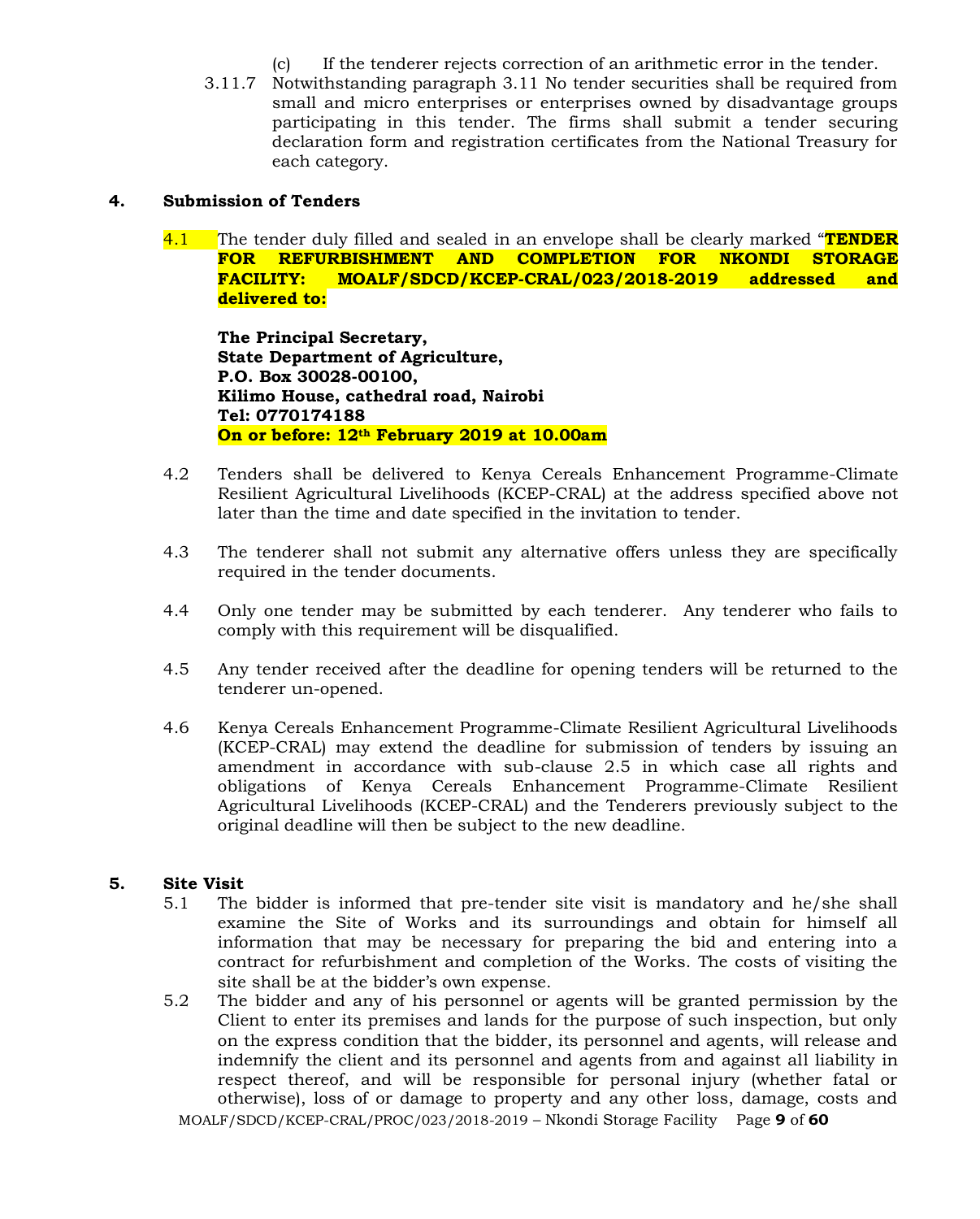- (c) If the tenderer rejects correction of an arithmetic error in the tender.
- 3.11.7 Notwithstanding paragraph 3.11 No tender securities shall be required from small and micro enterprises or enterprises owned by disadvantage groups participating in this tender. The firms shall submit a tender securing declaration form and registration certificates from the National Treasury for each category.

#### **4. Submission of Tenders**

4.1 The tender duly filled and sealed in an envelope shall be clearly marked "**TENDER FOR REFURBISHMENT AND COMPLETION FOR NKONDI STORAGE FACILITY: MOALF/SDCD/KCEP-CRAL/023/2018-2019 addressed and delivered to:**

**The Principal Secretary, State Department of Agriculture, P.O. Box 30028-00100, Kilimo House, cathedral road, Nairobi Tel: 0770174188 On or before: 12th February 2019 at 10.00am**

- 4.2 Tenders shall be delivered to Kenya Cereals Enhancement Programme-Climate Resilient Agricultural Livelihoods (KCEP-CRAL) at the address specified above not later than the time and date specified in the invitation to tender.
- 4.3 The tenderer shall not submit any alternative offers unless they are specifically required in the tender documents.
- 4.4 Only one tender may be submitted by each tenderer. Any tenderer who fails to comply with this requirement will be disqualified.
- 4.5 Any tender received after the deadline for opening tenders will be returned to the tenderer un-opened.
- 4.6 Kenya Cereals Enhancement Programme-Climate Resilient Agricultural Livelihoods (KCEP-CRAL) may extend the deadline for submission of tenders by issuing an amendment in accordance with sub-clause 2.5 in which case all rights and obligations of Kenya Cereals Enhancement Programme-Climate Resilient Agricultural Livelihoods (KCEP-CRAL) and the Tenderers previously subject to the original deadline will then be subject to the new deadline.

#### **5. Site Visit**

- 5.1 The bidder is informed that pre-tender site visit is mandatory and he/she shall examine the Site of Works and its surroundings and obtain for himself all information that may be necessary for preparing the bid and entering into a contract for refurbishment and completion of the Works. The costs of visiting the site shall be at the bidder's own expense.
- 5.2 The bidder and any of his personnel or agents will be granted permission by the Client to enter its premises and lands for the purpose of such inspection, but only on the express condition that the bidder, its personnel and agents, will release and indemnify the client and its personnel and agents from and against all liability in respect thereof, and will be responsible for personal injury (whether fatal or otherwise), loss of or damage to property and any other loss, damage, costs and

MOALF/SDCD/KCEP-CRAL/PROC/023/2018-2019 – Nkondi Storage Facility Page **9** of **60**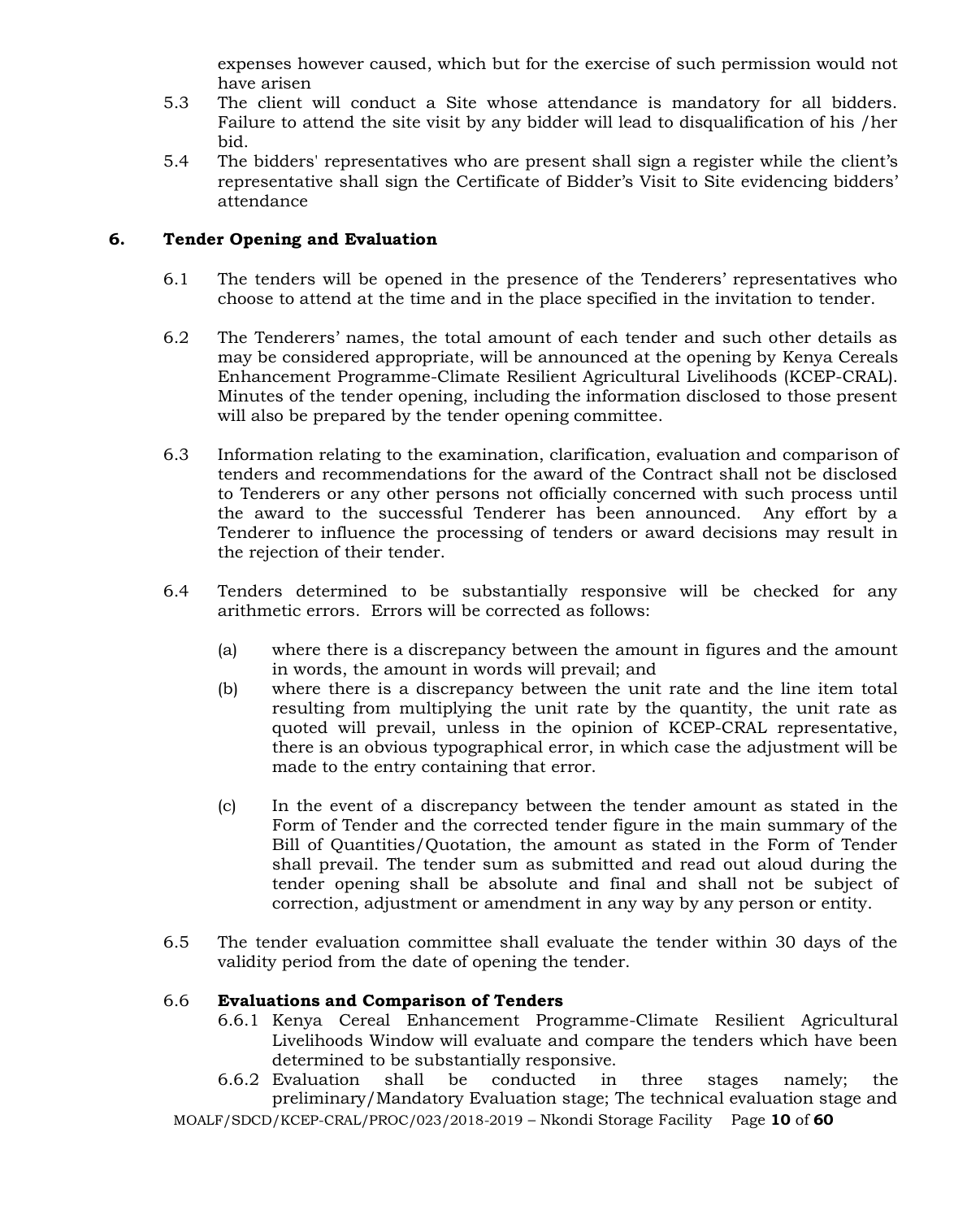expenses however caused, which but for the exercise of such permission would not have arisen

- 5.3 The client will conduct a Site whose attendance is mandatory for all bidders. Failure to attend the site visit by any bidder will lead to disqualification of his /her bid.
- 5.4 The bidders' representatives who are present shall sign a register while the client's representative shall sign the Certificate of Bidder's Visit to Site evidencing bidders' attendance

#### **6. Tender Opening and Evaluation**

- 6.1 The tenders will be opened in the presence of the Tenderers' representatives who choose to attend at the time and in the place specified in the invitation to tender.
- 6.2 The Tenderers' names, the total amount of each tender and such other details as may be considered appropriate, will be announced at the opening by Kenya Cereals Enhancement Programme-Climate Resilient Agricultural Livelihoods (KCEP-CRAL). Minutes of the tender opening, including the information disclosed to those present will also be prepared by the tender opening committee.
- 6.3 Information relating to the examination, clarification, evaluation and comparison of tenders and recommendations for the award of the Contract shall not be disclosed to Tenderers or any other persons not officially concerned with such process until the award to the successful Tenderer has been announced. Any effort by a Tenderer to influence the processing of tenders or award decisions may result in the rejection of their tender.
- 6.4 Tenders determined to be substantially responsive will be checked for any arithmetic errors. Errors will be corrected as follows:
	- (a) where there is a discrepancy between the amount in figures and the amount in words, the amount in words will prevail; and
	- (b) where there is a discrepancy between the unit rate and the line item total resulting from multiplying the unit rate by the quantity, the unit rate as quoted will prevail, unless in the opinion of KCEP-CRAL representative, there is an obvious typographical error, in which case the adjustment will be made to the entry containing that error.
	- (c) In the event of a discrepancy between the tender amount as stated in the Form of Tender and the corrected tender figure in the main summary of the Bill of Quantities/Quotation, the amount as stated in the Form of Tender shall prevail. The tender sum as submitted and read out aloud during the tender opening shall be absolute and final and shall not be subject of correction, adjustment or amendment in any way by any person or entity.
- 6.5 The tender evaluation committee shall evaluate the tender within 30 days of the validity period from the date of opening the tender.

#### 6.6 **Evaluations and Comparison of Tenders**

- 6.6.1 Kenya Cereal Enhancement Programme-Climate Resilient Agricultural Livelihoods Window will evaluate and compare the tenders which have been determined to be substantially responsive.
- 6.6.2 Evaluation shall be conducted in three stages namely; the preliminary/Mandatory Evaluation stage; The technical evaluation stage and

MOALF/SDCD/KCEP-CRAL/PROC/023/2018-2019 – Nkondi Storage Facility Page **10** of **60**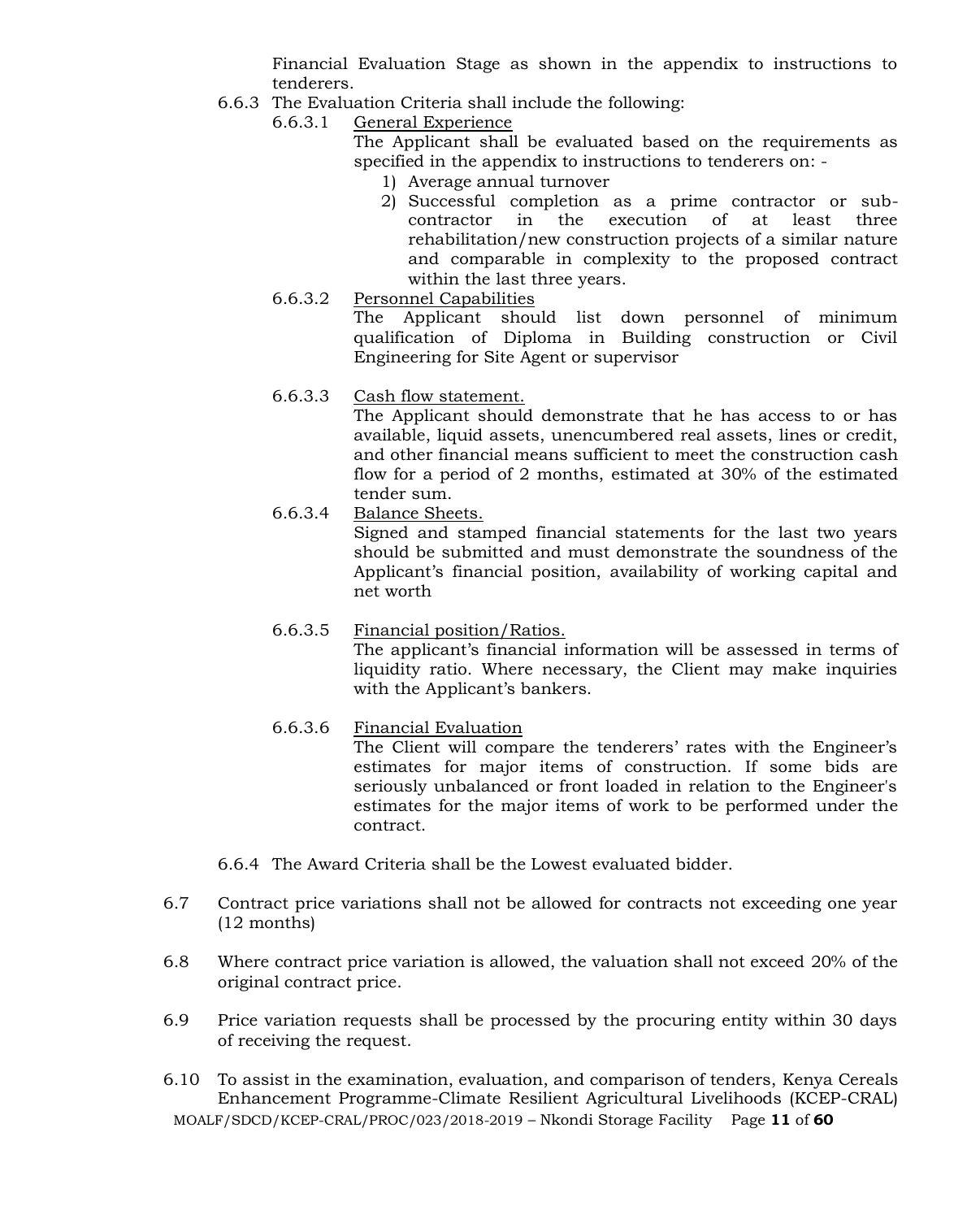Financial Evaluation Stage as shown in the appendix to instructions to tenderers.

- 6.6.3 The Evaluation Criteria shall include the following:
	- 6.6.3.1 General Experience

The Applicant shall be evaluated based on the requirements as specified in the appendix to instructions to tenderers on: -

- 1) Average annual turnover
- 2) Successful completion as a prime contractor or subcontractor in the execution of at least three rehabilitation/new construction projects of a similar nature and comparable in complexity to the proposed contract within the last three years.
- 6.6.3.2 Personnel Capabilities

The Applicant should list down personnel of minimum qualification of Diploma in Building construction or Civil Engineering for Site Agent or supervisor

6.6.3.3 Cash flow statement.

The Applicant should demonstrate that he has access to or has available, liquid assets, unencumbered real assets, lines or credit, and other financial means sufficient to meet the construction cash flow for a period of 2 months, estimated at 30% of the estimated tender sum.

6.6.3.4 Balance Sheets.

Signed and stamped financial statements for the last two years should be submitted and must demonstrate the soundness of the Applicant's financial position, availability of working capital and net worth

# 6.6.3.5 Financial position/Ratios.

The applicant's financial information will be assessed in terms of liquidity ratio. Where necessary, the Client may make inquiries with the Applicant's bankers.

# 6.6.3.6 Financial Evaluation

The Client will compare the tenderers' rates with the Engineer's estimates for major items of construction. If some bids are seriously unbalanced or front loaded in relation to the Engineer's estimates for the major items of work to be performed under the contract.

- 6.6.4 The Award Criteria shall be the Lowest evaluated bidder.
- 6.7 Contract price variations shall not be allowed for contracts not exceeding one year (12 months)
- 6.8 Where contract price variation is allowed, the valuation shall not exceed 20% of the original contract price.
- 6.9 Price variation requests shall be processed by the procuring entity within 30 days of receiving the request.
- MOALF/SDCD/KCEP-CRAL/PROC/023/2018-2019 Nkondi Storage Facility Page **11** of **60** 6.10 To assist in the examination, evaluation, and comparison of tenders, Kenya Cereals Enhancement Programme-Climate Resilient Agricultural Livelihoods (KCEP-CRAL)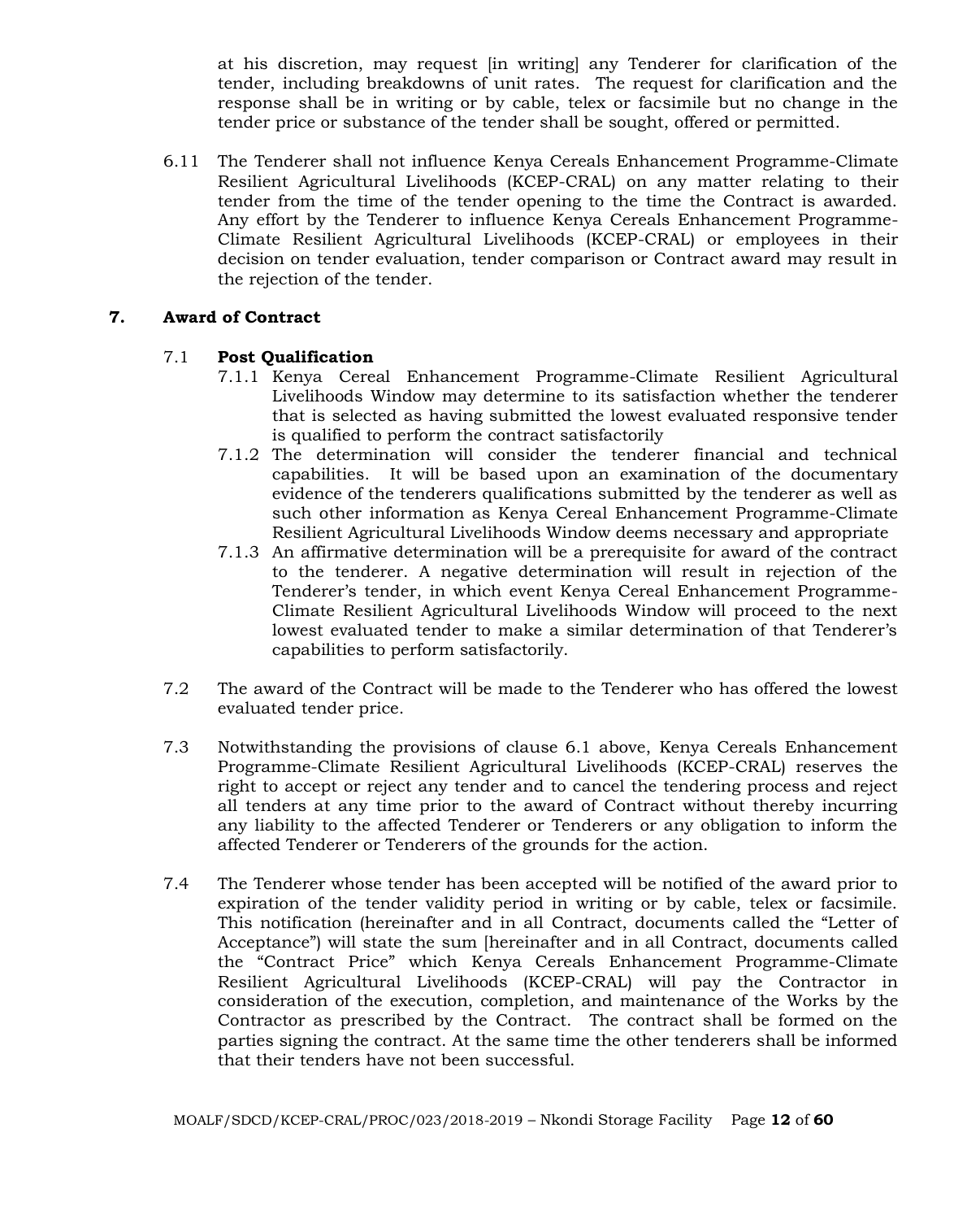at his discretion, may request [in writing] any Tenderer for clarification of the tender, including breakdowns of unit rates. The request for clarification and the response shall be in writing or by cable, telex or facsimile but no change in the tender price or substance of the tender shall be sought, offered or permitted.

6.11 The Tenderer shall not influence Kenya Cereals Enhancement Programme-Climate Resilient Agricultural Livelihoods (KCEP-CRAL) on any matter relating to their tender from the time of the tender opening to the time the Contract is awarded. Any effort by the Tenderer to influence Kenya Cereals Enhancement Programme-Climate Resilient Agricultural Livelihoods (KCEP-CRAL) or employees in their decision on tender evaluation, tender comparison or Contract award may result in the rejection of the tender.

# **7. Award of Contract**

# 7.1 **Post Qualification**

- 7.1.1 Kenya Cereal Enhancement Programme-Climate Resilient Agricultural Livelihoods Window may determine to its satisfaction whether the tenderer that is selected as having submitted the lowest evaluated responsive tender is qualified to perform the contract satisfactorily
- 7.1.2 The determination will consider the tenderer financial and technical capabilities. It will be based upon an examination of the documentary evidence of the tenderers qualifications submitted by the tenderer as well as such other information as Kenya Cereal Enhancement Programme-Climate Resilient Agricultural Livelihoods Window deems necessary and appropriate
- 7.1.3 An affirmative determination will be a prerequisite for award of the contract to the tenderer. A negative determination will result in rejection of the Tenderer's tender, in which event Kenya Cereal Enhancement Programme-Climate Resilient Agricultural Livelihoods Window will proceed to the next lowest evaluated tender to make a similar determination of that Tenderer's capabilities to perform satisfactorily.
- 7.2 The award of the Contract will be made to the Tenderer who has offered the lowest evaluated tender price.
- 7.3 Notwithstanding the provisions of clause 6.1 above, Kenya Cereals Enhancement Programme-Climate Resilient Agricultural Livelihoods (KCEP-CRAL) reserves the right to accept or reject any tender and to cancel the tendering process and reject all tenders at any time prior to the award of Contract without thereby incurring any liability to the affected Tenderer or Tenderers or any obligation to inform the affected Tenderer or Tenderers of the grounds for the action.
- 7.4 The Tenderer whose tender has been accepted will be notified of the award prior to expiration of the tender validity period in writing or by cable, telex or facsimile. This notification (hereinafter and in all Contract, documents called the "Letter of Acceptance") will state the sum [hereinafter and in all Contract, documents called the "Contract Price" which Kenya Cereals Enhancement Programme-Climate Resilient Agricultural Livelihoods (KCEP-CRAL) will pay the Contractor in consideration of the execution, completion, and maintenance of the Works by the Contractor as prescribed by the Contract. The contract shall be formed on the parties signing the contract. At the same time the other tenderers shall be informed that their tenders have not been successful.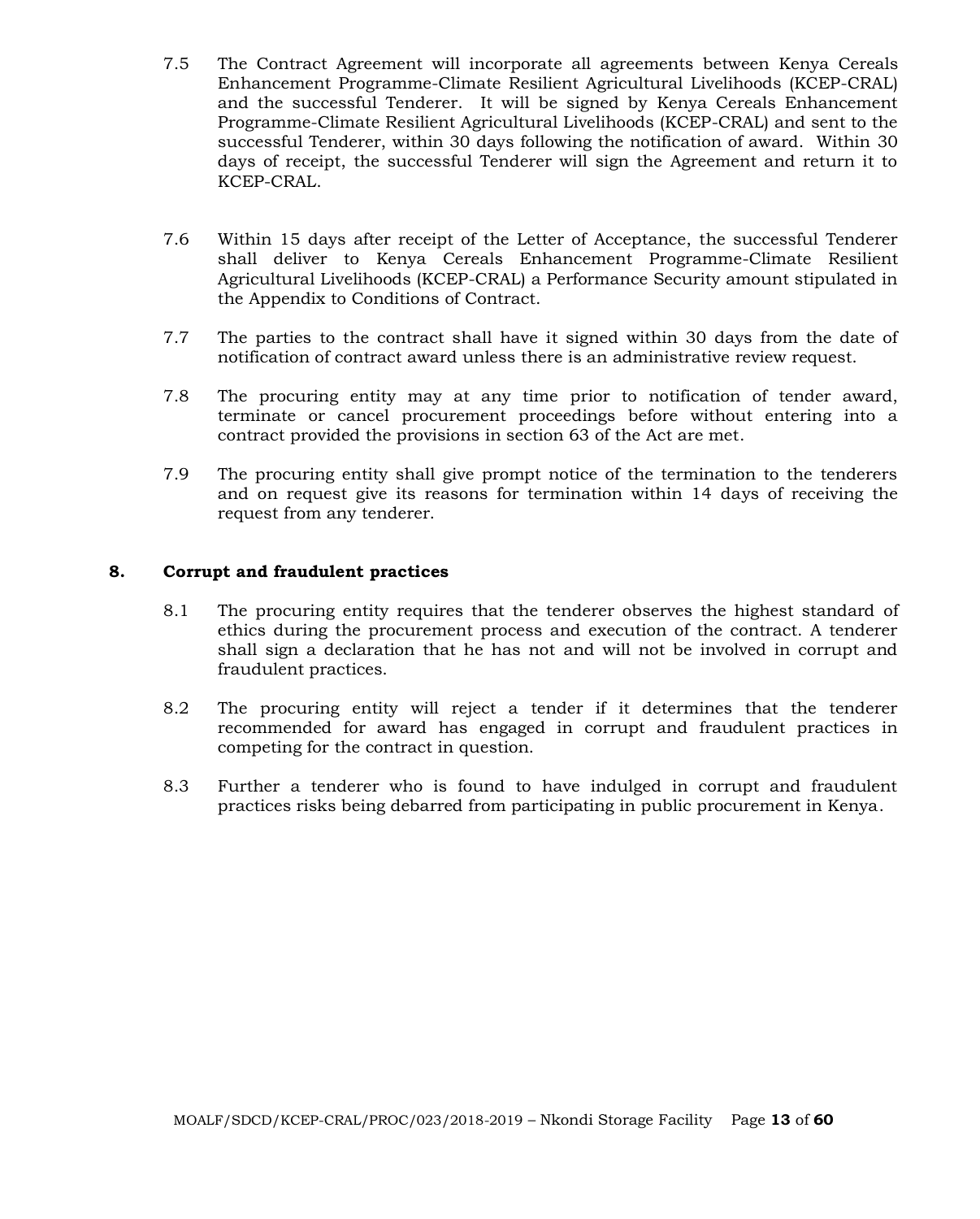- 7.5 The Contract Agreement will incorporate all agreements between Kenya Cereals Enhancement Programme-Climate Resilient Agricultural Livelihoods (KCEP-CRAL) and the successful Tenderer. It will be signed by Kenya Cereals Enhancement Programme-Climate Resilient Agricultural Livelihoods (KCEP-CRAL) and sent to the successful Tenderer, within 30 days following the notification of award. Within 30 days of receipt, the successful Tenderer will sign the Agreement and return it to KCEP-CRAL.
- 7.6 Within 15 days after receipt of the Letter of Acceptance, the successful Tenderer shall deliver to Kenya Cereals Enhancement Programme-Climate Resilient Agricultural Livelihoods (KCEP-CRAL) a Performance Security amount stipulated in the Appendix to Conditions of Contract.
- 7.7 The parties to the contract shall have it signed within 30 days from the date of notification of contract award unless there is an administrative review request.
- 7.8 The procuring entity may at any time prior to notification of tender award, terminate or cancel procurement proceedings before without entering into a contract provided the provisions in section 63 of the Act are met.
- 7.9 The procuring entity shall give prompt notice of the termination to the tenderers and on request give its reasons for termination within 14 days of receiving the request from any tenderer.

#### **8. Corrupt and fraudulent practices**

- 8.1 The procuring entity requires that the tenderer observes the highest standard of ethics during the procurement process and execution of the contract. A tenderer shall sign a declaration that he has not and will not be involved in corrupt and fraudulent practices.
- 8.2 The procuring entity will reject a tender if it determines that the tenderer recommended for award has engaged in corrupt and fraudulent practices in competing for the contract in question.
- 8.3 Further a tenderer who is found to have indulged in corrupt and fraudulent practices risks being debarred from participating in public procurement in Kenya.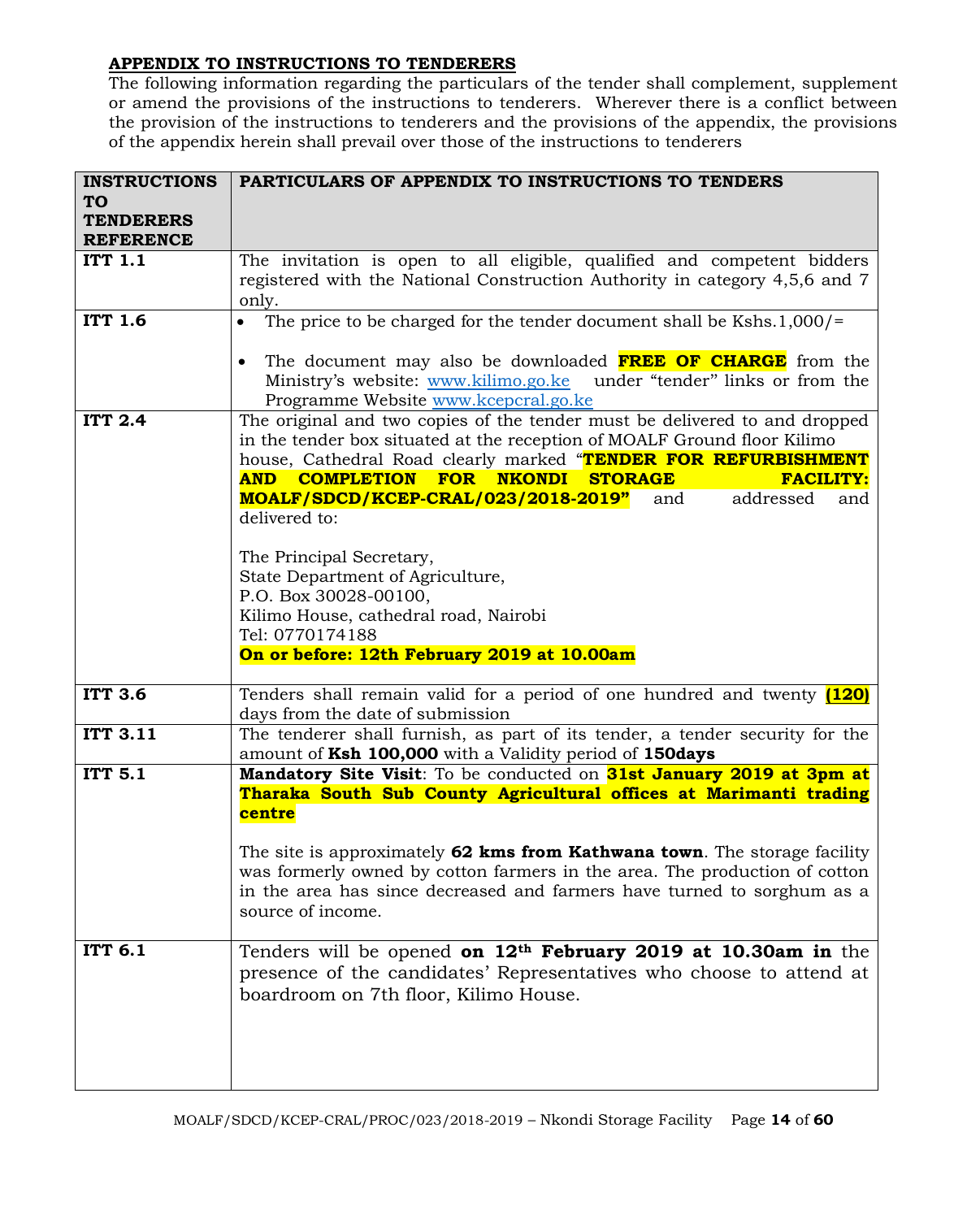# **APPENDIX TO INSTRUCTIONS TO TENDERERS**

The following information regarding the particulars of the tender shall complement, supplement or amend the provisions of the instructions to tenderers. Wherever there is a conflict between the provision of the instructions to tenderers and the provisions of the appendix, the provisions of the appendix herein shall prevail over those of the instructions to tenderers

| <b>INSTRUCTIONS</b> | PARTICULARS OF APPENDIX TO INSTRUCTIONS TO TENDERS                                 |  |  |  |  |  |
|---------------------|------------------------------------------------------------------------------------|--|--|--|--|--|
| <b>TO</b>           |                                                                                    |  |  |  |  |  |
| <b>TENDERERS</b>    |                                                                                    |  |  |  |  |  |
| <b>REFERENCE</b>    |                                                                                    |  |  |  |  |  |
| <b>ITT 1.1</b>      | The invitation is open to all eligible, qualified and competent bidders            |  |  |  |  |  |
|                     | registered with the National Construction Authority in category 4,5,6 and 7        |  |  |  |  |  |
|                     | only.                                                                              |  |  |  |  |  |
| <b>ITT 1.6</b>      | The price to be charged for the tender document shall be Kshs.1,000/=<br>$\bullet$ |  |  |  |  |  |
|                     | The document may also be downloaded FREE OF CHARGE from the                        |  |  |  |  |  |
|                     | Ministry's website: www.kilimo.go.ke under "tender" links or from the              |  |  |  |  |  |
|                     | Programme Website www.kcepcral.go.ke                                               |  |  |  |  |  |
| <b>ITT 2.4</b>      | The original and two copies of the tender must be delivered to and dropped         |  |  |  |  |  |
|                     | in the tender box situated at the reception of MOALF Ground floor Kilimo           |  |  |  |  |  |
|                     | house, Cathedral Road clearly marked "TENDER FOR REFURBISHMENT                     |  |  |  |  |  |
|                     | <b>COMPLETION FOR NKONDI</b><br><b>AND</b><br><b>STORAGE</b><br><b>FACILITY:</b>   |  |  |  |  |  |
|                     | addressed<br>MOALF/SDCD/KCEP-CRAL/023/2018-2019"<br>and<br>and                     |  |  |  |  |  |
|                     | delivered to:                                                                      |  |  |  |  |  |
|                     | The Principal Secretary,                                                           |  |  |  |  |  |
|                     | State Department of Agriculture,                                                   |  |  |  |  |  |
|                     | P.O. Box 30028-00100,                                                              |  |  |  |  |  |
|                     | Kilimo House, cathedral road, Nairobi                                              |  |  |  |  |  |
|                     | Tel: 0770174188                                                                    |  |  |  |  |  |
|                     | On or before: 12th February 2019 at 10.00am                                        |  |  |  |  |  |
|                     |                                                                                    |  |  |  |  |  |
| <b>ITT 3.6</b>      | Tenders shall remain valid for a period of one hundred and twenty (120)            |  |  |  |  |  |
|                     | days from the date of submission                                                   |  |  |  |  |  |
| <b>ITT 3.11</b>     | The tenderer shall furnish, as part of its tender, a tender security for the       |  |  |  |  |  |
|                     | amount of Ksh 100,000 with a Validity period of 150days                            |  |  |  |  |  |
| <b>ITT 5.1</b>      | Mandatory Site Visit: To be conducted on <b>31st January 2019 at 3pm at</b>        |  |  |  |  |  |
|                     | Tharaka South Sub County Agricultural offices at Marimanti trading                 |  |  |  |  |  |
|                     | centre                                                                             |  |  |  |  |  |
|                     | The site is approximately 62 kms from Kathwana town. The storage facility          |  |  |  |  |  |
|                     | was formerly owned by cotton farmers in the area. The production of cotton         |  |  |  |  |  |
|                     | in the area has since decreased and farmers have turned to sorghum as a            |  |  |  |  |  |
|                     | source of income.                                                                  |  |  |  |  |  |
|                     |                                                                                    |  |  |  |  |  |
| <b>ITT 6.1</b>      | Tenders will be opened on $12th$ February 2019 at 10.30am in the                   |  |  |  |  |  |
|                     | presence of the candidates' Representatives who choose to attend at                |  |  |  |  |  |
|                     |                                                                                    |  |  |  |  |  |
|                     | boardroom on 7th floor, Kilimo House.                                              |  |  |  |  |  |
|                     |                                                                                    |  |  |  |  |  |
|                     |                                                                                    |  |  |  |  |  |
|                     |                                                                                    |  |  |  |  |  |
|                     |                                                                                    |  |  |  |  |  |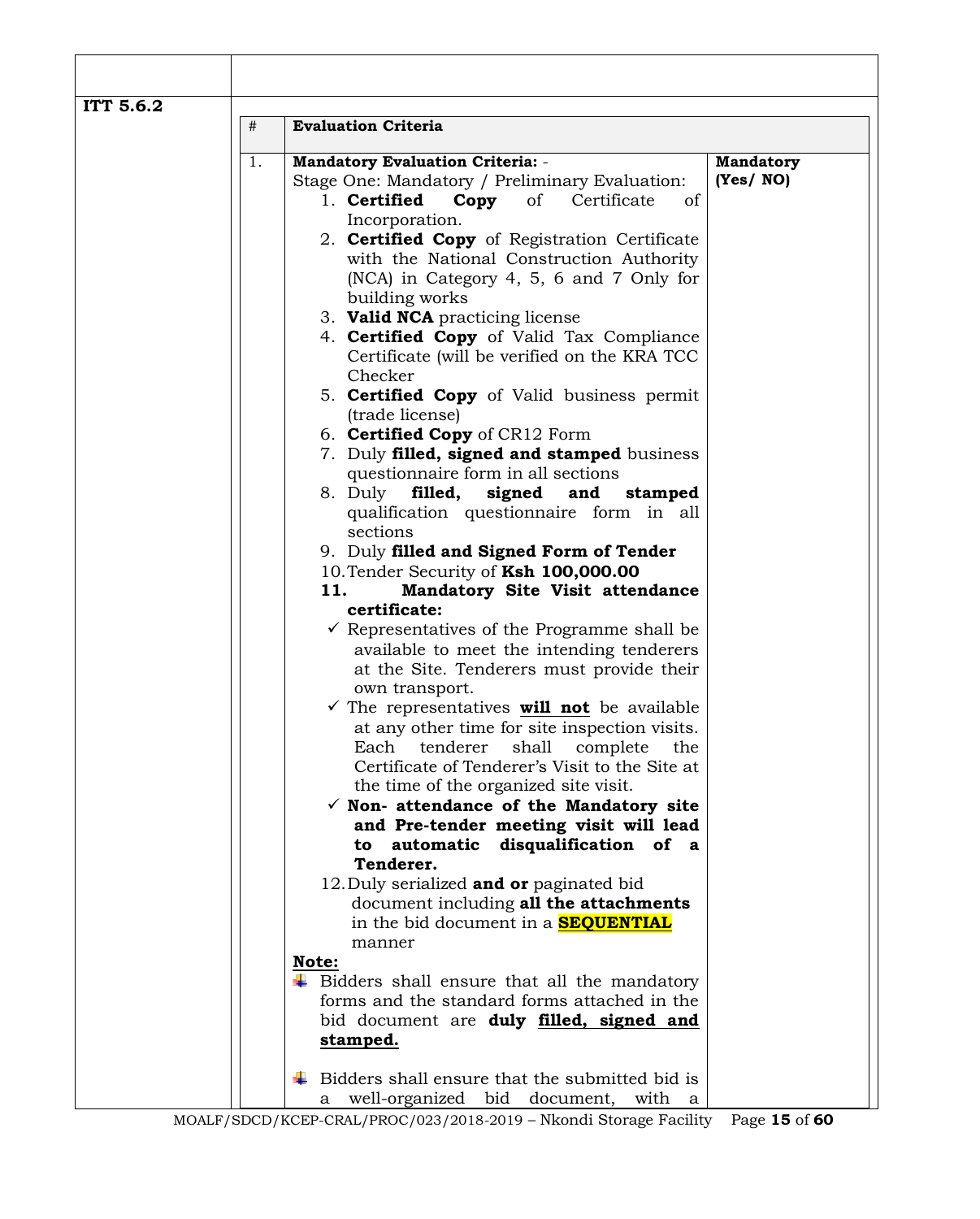| 1.<br><b>Mandatory Evaluation Criteria: -</b><br>(Yes/NO)<br>Stage One: Mandatory / Preliminary Evaluation:<br>1. Certified<br>Copy<br>of Certificate<br>of<br>Incorporation.<br>2. <b>Certified Copy</b> of Registration Certificate<br>with the National Construction Authority<br>(NCA) in Category 4, 5, 6 and 7 Only for<br>building works<br>3. Valid NCA practicing license<br>4. <b>Certified Copy</b> of Valid Tax Compliance<br>Certificate (will be verified on the KRA TCC<br>Checker<br>5. Certified Copy of Valid business permit<br>(trade license)<br>6. Certified Copy of CR12 Form<br>7. Duly filled, signed and stamped business<br>questionnaire form in all sections<br>8. Duly filled,<br>signed and<br>stamped<br>qualification questionnaire form in all<br>sections<br>9. Duly filled and Signed Form of Tender<br>10. Tender Security of Ksh 100,000.00<br>Mandatory Site Visit attendance<br>11.<br>certificate:<br>$\checkmark$ Representatives of the Programme shall be<br>available to meet the intending tenderers<br>at the Site. Tenderers must provide their<br>own transport.<br>$\checkmark$ The representatives will not be available<br>at any other time for site inspection visits.<br>shall<br>Each<br>tenderer<br>complete<br>the<br>Certificate of Tenderer's Visit to the Site at<br>the time of the organized site visit.<br>$\checkmark$ Non- attendance of the Mandatory site<br>and Pre-tender meeting visit will lead<br>automatic<br>disqualification of a<br>to<br>Tenderer.<br>12. Duly serialized and or paginated bid<br>document including all the attachments<br>in the bid document in a <b>SEQUENTIAL</b><br>manner<br>Note:<br>$\ddot{\bullet}$ Bidders shall ensure that all the mandatory<br>forms and the standard forms attached in the<br>bid document are <b>duly filled, signed and</b><br>stamped. | # | <b>Evaluation Criteria</b>               |                  |
|------------------------------------------------------------------------------------------------------------------------------------------------------------------------------------------------------------------------------------------------------------------------------------------------------------------------------------------------------------------------------------------------------------------------------------------------------------------------------------------------------------------------------------------------------------------------------------------------------------------------------------------------------------------------------------------------------------------------------------------------------------------------------------------------------------------------------------------------------------------------------------------------------------------------------------------------------------------------------------------------------------------------------------------------------------------------------------------------------------------------------------------------------------------------------------------------------------------------------------------------------------------------------------------------------------------------------------------------------------------------------------------------------------------------------------------------------------------------------------------------------------------------------------------------------------------------------------------------------------------------------------------------------------------------------------------------------------------------------------------------------------------------------------------------------------------------------------------------------------------------|---|------------------------------------------|------------------|
|                                                                                                                                                                                                                                                                                                                                                                                                                                                                                                                                                                                                                                                                                                                                                                                                                                                                                                                                                                                                                                                                                                                                                                                                                                                                                                                                                                                                                                                                                                                                                                                                                                                                                                                                                                                                                                                                        |   |                                          | <b>Mandatory</b> |
|                                                                                                                                                                                                                                                                                                                                                                                                                                                                                                                                                                                                                                                                                                                                                                                                                                                                                                                                                                                                                                                                                                                                                                                                                                                                                                                                                                                                                                                                                                                                                                                                                                                                                                                                                                                                                                                                        |   |                                          |                  |
|                                                                                                                                                                                                                                                                                                                                                                                                                                                                                                                                                                                                                                                                                                                                                                                                                                                                                                                                                                                                                                                                                                                                                                                                                                                                                                                                                                                                                                                                                                                                                                                                                                                                                                                                                                                                                                                                        |   |                                          |                  |
|                                                                                                                                                                                                                                                                                                                                                                                                                                                                                                                                                                                                                                                                                                                                                                                                                                                                                                                                                                                                                                                                                                                                                                                                                                                                                                                                                                                                                                                                                                                                                                                                                                                                                                                                                                                                                                                                        |   |                                          |                  |
|                                                                                                                                                                                                                                                                                                                                                                                                                                                                                                                                                                                                                                                                                                                                                                                                                                                                                                                                                                                                                                                                                                                                                                                                                                                                                                                                                                                                                                                                                                                                                                                                                                                                                                                                                                                                                                                                        |   |                                          |                  |
|                                                                                                                                                                                                                                                                                                                                                                                                                                                                                                                                                                                                                                                                                                                                                                                                                                                                                                                                                                                                                                                                                                                                                                                                                                                                                                                                                                                                                                                                                                                                                                                                                                                                                                                                                                                                                                                                        |   |                                          |                  |
|                                                                                                                                                                                                                                                                                                                                                                                                                                                                                                                                                                                                                                                                                                                                                                                                                                                                                                                                                                                                                                                                                                                                                                                                                                                                                                                                                                                                                                                                                                                                                                                                                                                                                                                                                                                                                                                                        |   |                                          |                  |
|                                                                                                                                                                                                                                                                                                                                                                                                                                                                                                                                                                                                                                                                                                                                                                                                                                                                                                                                                                                                                                                                                                                                                                                                                                                                                                                                                                                                                                                                                                                                                                                                                                                                                                                                                                                                                                                                        |   |                                          |                  |
|                                                                                                                                                                                                                                                                                                                                                                                                                                                                                                                                                                                                                                                                                                                                                                                                                                                                                                                                                                                                                                                                                                                                                                                                                                                                                                                                                                                                                                                                                                                                                                                                                                                                                                                                                                                                                                                                        |   |                                          |                  |
|                                                                                                                                                                                                                                                                                                                                                                                                                                                                                                                                                                                                                                                                                                                                                                                                                                                                                                                                                                                                                                                                                                                                                                                                                                                                                                                                                                                                                                                                                                                                                                                                                                                                                                                                                                                                                                                                        |   |                                          |                  |
|                                                                                                                                                                                                                                                                                                                                                                                                                                                                                                                                                                                                                                                                                                                                                                                                                                                                                                                                                                                                                                                                                                                                                                                                                                                                                                                                                                                                                                                                                                                                                                                                                                                                                                                                                                                                                                                                        |   |                                          |                  |
|                                                                                                                                                                                                                                                                                                                                                                                                                                                                                                                                                                                                                                                                                                                                                                                                                                                                                                                                                                                                                                                                                                                                                                                                                                                                                                                                                                                                                                                                                                                                                                                                                                                                                                                                                                                                                                                                        |   |                                          |                  |
|                                                                                                                                                                                                                                                                                                                                                                                                                                                                                                                                                                                                                                                                                                                                                                                                                                                                                                                                                                                                                                                                                                                                                                                                                                                                                                                                                                                                                                                                                                                                                                                                                                                                                                                                                                                                                                                                        |   |                                          |                  |
|                                                                                                                                                                                                                                                                                                                                                                                                                                                                                                                                                                                                                                                                                                                                                                                                                                                                                                                                                                                                                                                                                                                                                                                                                                                                                                                                                                                                                                                                                                                                                                                                                                                                                                                                                                                                                                                                        |   |                                          |                  |
|                                                                                                                                                                                                                                                                                                                                                                                                                                                                                                                                                                                                                                                                                                                                                                                                                                                                                                                                                                                                                                                                                                                                                                                                                                                                                                                                                                                                                                                                                                                                                                                                                                                                                                                                                                                                                                                                        |   |                                          |                  |
|                                                                                                                                                                                                                                                                                                                                                                                                                                                                                                                                                                                                                                                                                                                                                                                                                                                                                                                                                                                                                                                                                                                                                                                                                                                                                                                                                                                                                                                                                                                                                                                                                                                                                                                                                                                                                                                                        |   |                                          |                  |
|                                                                                                                                                                                                                                                                                                                                                                                                                                                                                                                                                                                                                                                                                                                                                                                                                                                                                                                                                                                                                                                                                                                                                                                                                                                                                                                                                                                                                                                                                                                                                                                                                                                                                                                                                                                                                                                                        |   |                                          |                  |
|                                                                                                                                                                                                                                                                                                                                                                                                                                                                                                                                                                                                                                                                                                                                                                                                                                                                                                                                                                                                                                                                                                                                                                                                                                                                                                                                                                                                                                                                                                                                                                                                                                                                                                                                                                                                                                                                        |   |                                          |                  |
|                                                                                                                                                                                                                                                                                                                                                                                                                                                                                                                                                                                                                                                                                                                                                                                                                                                                                                                                                                                                                                                                                                                                                                                                                                                                                                                                                                                                                                                                                                                                                                                                                                                                                                                                                                                                                                                                        |   |                                          |                  |
|                                                                                                                                                                                                                                                                                                                                                                                                                                                                                                                                                                                                                                                                                                                                                                                                                                                                                                                                                                                                                                                                                                                                                                                                                                                                                                                                                                                                                                                                                                                                                                                                                                                                                                                                                                                                                                                                        |   |                                          |                  |
|                                                                                                                                                                                                                                                                                                                                                                                                                                                                                                                                                                                                                                                                                                                                                                                                                                                                                                                                                                                                                                                                                                                                                                                                                                                                                                                                                                                                                                                                                                                                                                                                                                                                                                                                                                                                                                                                        |   |                                          |                  |
|                                                                                                                                                                                                                                                                                                                                                                                                                                                                                                                                                                                                                                                                                                                                                                                                                                                                                                                                                                                                                                                                                                                                                                                                                                                                                                                                                                                                                                                                                                                                                                                                                                                                                                                                                                                                                                                                        |   |                                          |                  |
|                                                                                                                                                                                                                                                                                                                                                                                                                                                                                                                                                                                                                                                                                                                                                                                                                                                                                                                                                                                                                                                                                                                                                                                                                                                                                                                                                                                                                                                                                                                                                                                                                                                                                                                                                                                                                                                                        |   |                                          |                  |
|                                                                                                                                                                                                                                                                                                                                                                                                                                                                                                                                                                                                                                                                                                                                                                                                                                                                                                                                                                                                                                                                                                                                                                                                                                                                                                                                                                                                                                                                                                                                                                                                                                                                                                                                                                                                                                                                        |   |                                          |                  |
|                                                                                                                                                                                                                                                                                                                                                                                                                                                                                                                                                                                                                                                                                                                                                                                                                                                                                                                                                                                                                                                                                                                                                                                                                                                                                                                                                                                                                                                                                                                                                                                                                                                                                                                                                                                                                                                                        |   |                                          |                  |
|                                                                                                                                                                                                                                                                                                                                                                                                                                                                                                                                                                                                                                                                                                                                                                                                                                                                                                                                                                                                                                                                                                                                                                                                                                                                                                                                                                                                                                                                                                                                                                                                                                                                                                                                                                                                                                                                        |   |                                          |                  |
|                                                                                                                                                                                                                                                                                                                                                                                                                                                                                                                                                                                                                                                                                                                                                                                                                                                                                                                                                                                                                                                                                                                                                                                                                                                                                                                                                                                                                                                                                                                                                                                                                                                                                                                                                                                                                                                                        |   |                                          |                  |
|                                                                                                                                                                                                                                                                                                                                                                                                                                                                                                                                                                                                                                                                                                                                                                                                                                                                                                                                                                                                                                                                                                                                                                                                                                                                                                                                                                                                                                                                                                                                                                                                                                                                                                                                                                                                                                                                        |   |                                          |                  |
|                                                                                                                                                                                                                                                                                                                                                                                                                                                                                                                                                                                                                                                                                                                                                                                                                                                                                                                                                                                                                                                                                                                                                                                                                                                                                                                                                                                                                                                                                                                                                                                                                                                                                                                                                                                                                                                                        |   |                                          |                  |
|                                                                                                                                                                                                                                                                                                                                                                                                                                                                                                                                                                                                                                                                                                                                                                                                                                                                                                                                                                                                                                                                                                                                                                                                                                                                                                                                                                                                                                                                                                                                                                                                                                                                                                                                                                                                                                                                        |   |                                          |                  |
|                                                                                                                                                                                                                                                                                                                                                                                                                                                                                                                                                                                                                                                                                                                                                                                                                                                                                                                                                                                                                                                                                                                                                                                                                                                                                                                                                                                                                                                                                                                                                                                                                                                                                                                                                                                                                                                                        |   |                                          |                  |
|                                                                                                                                                                                                                                                                                                                                                                                                                                                                                                                                                                                                                                                                                                                                                                                                                                                                                                                                                                                                                                                                                                                                                                                                                                                                                                                                                                                                                                                                                                                                                                                                                                                                                                                                                                                                                                                                        |   |                                          |                  |
|                                                                                                                                                                                                                                                                                                                                                                                                                                                                                                                                                                                                                                                                                                                                                                                                                                                                                                                                                                                                                                                                                                                                                                                                                                                                                                                                                                                                                                                                                                                                                                                                                                                                                                                                                                                                                                                                        |   |                                          |                  |
|                                                                                                                                                                                                                                                                                                                                                                                                                                                                                                                                                                                                                                                                                                                                                                                                                                                                                                                                                                                                                                                                                                                                                                                                                                                                                                                                                                                                                                                                                                                                                                                                                                                                                                                                                                                                                                                                        |   |                                          |                  |
|                                                                                                                                                                                                                                                                                                                                                                                                                                                                                                                                                                                                                                                                                                                                                                                                                                                                                                                                                                                                                                                                                                                                                                                                                                                                                                                                                                                                                                                                                                                                                                                                                                                                                                                                                                                                                                                                        |   |                                          |                  |
|                                                                                                                                                                                                                                                                                                                                                                                                                                                                                                                                                                                                                                                                                                                                                                                                                                                                                                                                                                                                                                                                                                                                                                                                                                                                                                                                                                                                                                                                                                                                                                                                                                                                                                                                                                                                                                                                        |   |                                          |                  |
|                                                                                                                                                                                                                                                                                                                                                                                                                                                                                                                                                                                                                                                                                                                                                                                                                                                                                                                                                                                                                                                                                                                                                                                                                                                                                                                                                                                                                                                                                                                                                                                                                                                                                                                                                                                                                                                                        |   |                                          |                  |
|                                                                                                                                                                                                                                                                                                                                                                                                                                                                                                                                                                                                                                                                                                                                                                                                                                                                                                                                                                                                                                                                                                                                                                                                                                                                                                                                                                                                                                                                                                                                                                                                                                                                                                                                                                                                                                                                        |   |                                          |                  |
|                                                                                                                                                                                                                                                                                                                                                                                                                                                                                                                                                                                                                                                                                                                                                                                                                                                                                                                                                                                                                                                                                                                                                                                                                                                                                                                                                                                                                                                                                                                                                                                                                                                                                                                                                                                                                                                                        |   |                                          |                  |
|                                                                                                                                                                                                                                                                                                                                                                                                                                                                                                                                                                                                                                                                                                                                                                                                                                                                                                                                                                                                                                                                                                                                                                                                                                                                                                                                                                                                                                                                                                                                                                                                                                                                                                                                                                                                                                                                        |   |                                          |                  |
|                                                                                                                                                                                                                                                                                                                                                                                                                                                                                                                                                                                                                                                                                                                                                                                                                                                                                                                                                                                                                                                                                                                                                                                                                                                                                                                                                                                                                                                                                                                                                                                                                                                                                                                                                                                                                                                                        |   |                                          |                  |
|                                                                                                                                                                                                                                                                                                                                                                                                                                                                                                                                                                                                                                                                                                                                                                                                                                                                                                                                                                                                                                                                                                                                                                                                                                                                                                                                                                                                                                                                                                                                                                                                                                                                                                                                                                                                                                                                        |   |                                          |                  |
|                                                                                                                                                                                                                                                                                                                                                                                                                                                                                                                                                                                                                                                                                                                                                                                                                                                                                                                                                                                                                                                                                                                                                                                                                                                                                                                                                                                                                                                                                                                                                                                                                                                                                                                                                                                                                                                                        |   | well-organized bid document, with a<br>a |                  |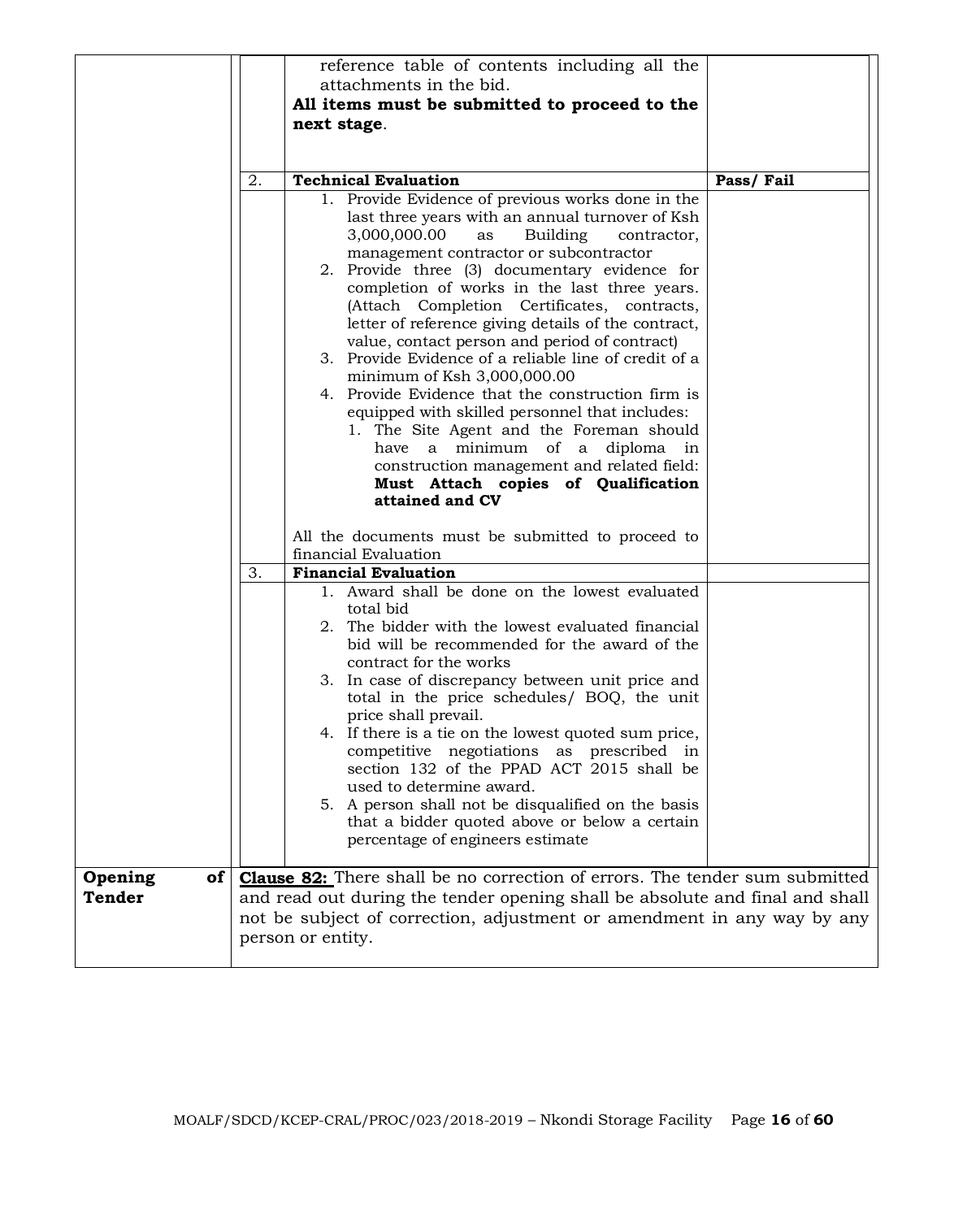|                           |    | reference table of contents including all the<br>attachments in the bid.<br>All items must be submitted to proceed to the<br>next stage.                                                                                                                                                                                                                                                                                                                                                                                                                                                                                                                                              |           |
|---------------------------|----|---------------------------------------------------------------------------------------------------------------------------------------------------------------------------------------------------------------------------------------------------------------------------------------------------------------------------------------------------------------------------------------------------------------------------------------------------------------------------------------------------------------------------------------------------------------------------------------------------------------------------------------------------------------------------------------|-----------|
|                           | 2. | <b>Technical Evaluation</b><br>1. Provide Evidence of previous works done in the<br>last three years with an annual turnover of Ksh<br>3,000,000.00<br>Building<br>as<br>contractor,<br>management contractor or subcontractor<br>2. Provide three (3) documentary evidence for<br>completion of works in the last three years.<br>(Attach Completion Certificates, contracts,<br>letter of reference giving details of the contract,<br>value, contact person and period of contract)<br>3. Provide Evidence of a reliable line of credit of a<br>minimum of Ksh 3,000,000.00<br>4. Provide Evidence that the construction firm is<br>equipped with skilled personnel that includes: | Pass/Fail |
|                           | 3. | 1. The Site Agent and the Foreman should<br>have a minimum of a diploma in<br>construction management and related field:<br>Must Attach copies of Qualification<br>attained and CV<br>All the documents must be submitted to proceed to<br>financial Evaluation<br><b>Financial Evaluation</b>                                                                                                                                                                                                                                                                                                                                                                                        |           |
|                           |    | 1. Award shall be done on the lowest evaluated<br>total bid<br>2. The bidder with the lowest evaluated financial<br>bid will be recommended for the award of the<br>contract for the works<br>3. In case of discrepancy between unit price and<br>total in the price schedules/ BOQ, the unit<br>price shall prevail.<br>4. If there is a tie on the lowest quoted sum price,<br>competitive negotiations as prescribed in<br>section 132 of the PPAD ACT 2015 shall be<br>used to determine award.<br>5. A person shall not be disqualified on the basis<br>that a bidder quoted above or below a certain<br>percentage of engineers estimate                                        |           |
| of  <br>Opening<br>Tender |    | <b>Clause 82:</b> There shall be no correction of errors. The tender sum submitted<br>and read out during the tender opening shall be absolute and final and shall<br>not be subject of correction, adjustment or amendment in any way by any<br>person or entity.                                                                                                                                                                                                                                                                                                                                                                                                                    |           |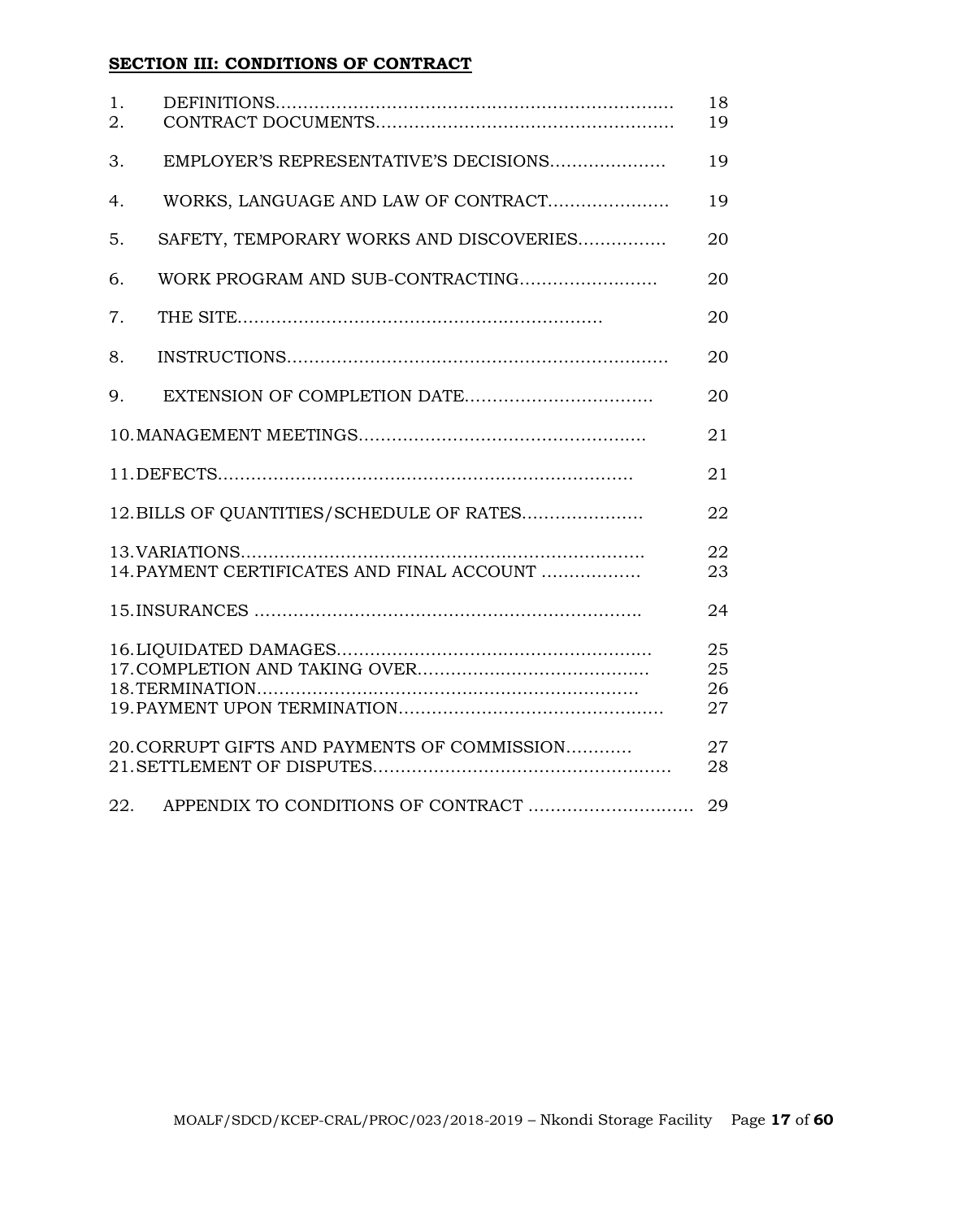# **SECTION III: CONDITIONS OF CONTRACT**

| 1.<br>2. |                                              | 18<br>19             |
|----------|----------------------------------------------|----------------------|
| 3.       | EMPLOYER'S REPRESENTATIVE'S DECISIONS        | 19                   |
| 4.       | WORKS, LANGUAGE AND LAW OF CONTRACT          | 19                   |
| 5.       | SAFETY, TEMPORARY WORKS AND DISCOVERIES      | 20                   |
| 6.       |                                              | 20                   |
| 7.       |                                              | 20                   |
| 8.       |                                              | 20                   |
| 9.       |                                              | 20                   |
|          |                                              | 21                   |
|          |                                              | 21                   |
|          | 12. BILLS OF QUANTITIES/SCHEDULE OF RATES    | 22                   |
|          | 14. PAYMENT CERTIFICATES AND FINAL ACCOUNT   | 22<br>23             |
|          |                                              | 24                   |
|          |                                              | 25<br>25<br>26<br>27 |
|          | 20. CORRUPT GIFTS AND PAYMENTS OF COMMISSION | 27<br>28             |
| 22.      | APPENDIX TO CONDITIONS OF CONTRACT           | 29                   |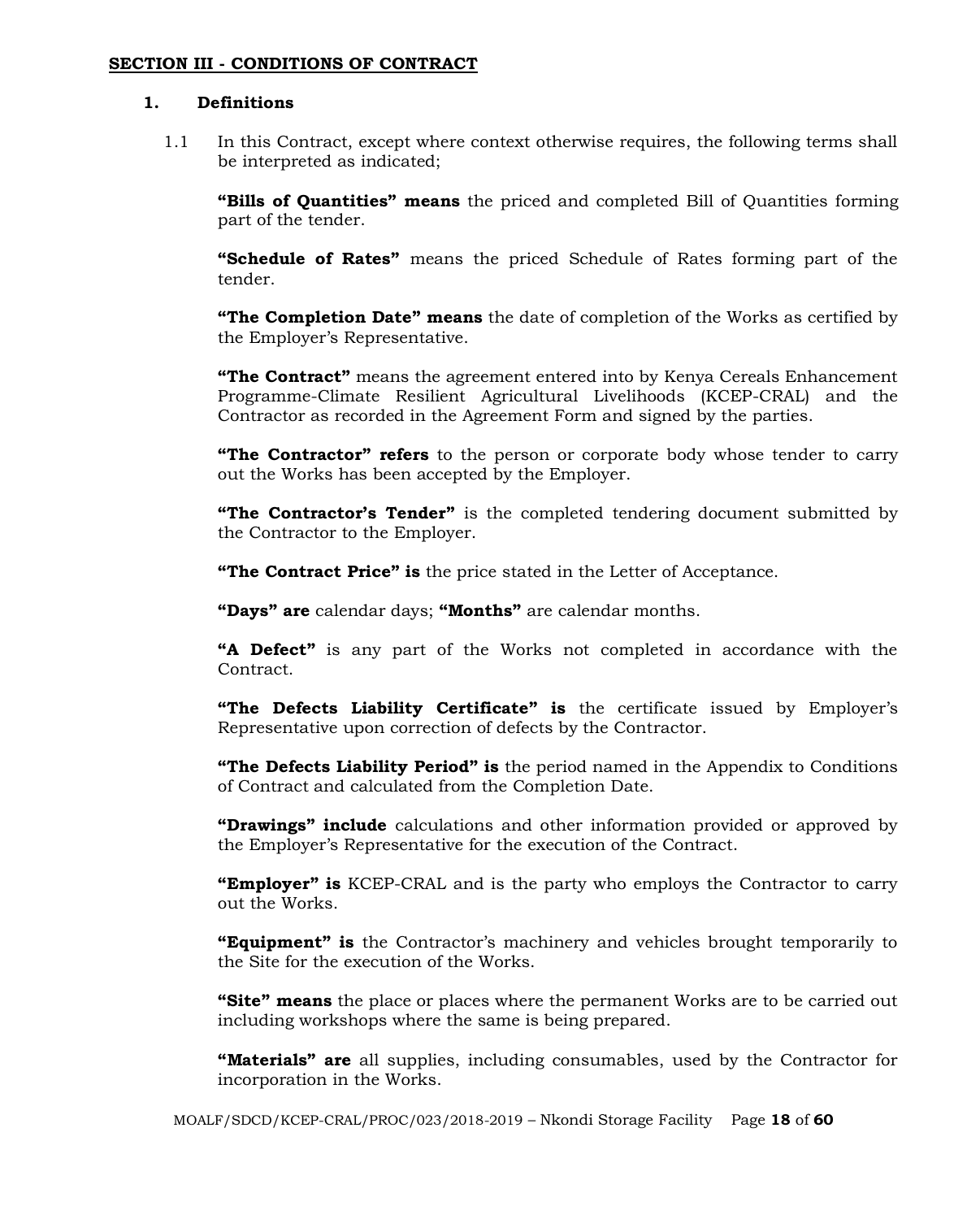#### **SECTION III - CONDITIONS OF CONTRACT**

# **1. Definitions**

1.1 In this Contract, except where context otherwise requires, the following terms shall be interpreted as indicated;

**"Bills of Quantities" means** the priced and completed Bill of Quantities forming part of the tender.

**"Schedule of Rates"** means the priced Schedule of Rates forming part of the tender.

**"The Completion Date" means** the date of completion of the Works as certified by the Employer's Representative.

**"The Contract"** means the agreement entered into by Kenya Cereals Enhancement Programme-Climate Resilient Agricultural Livelihoods (KCEP-CRAL) and the Contractor as recorded in the Agreement Form and signed by the parties.

**"The Contractor" refers** to the person or corporate body whose tender to carry out the Works has been accepted by the Employer.

**"The Contractor's Tender"** is the completed tendering document submitted by the Contractor to the Employer.

**"The Contract Price" is** the price stated in the Letter of Acceptance.

**"Days" are** calendar days; **"Months"** are calendar months.

**"A Defect"** is any part of the Works not completed in accordance with the Contract.

**"The Defects Liability Certificate" is** the certificate issued by Employer's Representative upon correction of defects by the Contractor.

**"The Defects Liability Period" is** the period named in the Appendix to Conditions of Contract and calculated from the Completion Date.

**"Drawings" include** calculations and other information provided or approved by the Employer's Representative for the execution of the Contract.

**"Employer" is** KCEP-CRAL and is the party who employs the Contractor to carry out the Works.

**"Equipment" is** the Contractor's machinery and vehicles brought temporarily to the Site for the execution of the Works.

**"Site" means** the place or places where the permanent Works are to be carried out including workshops where the same is being prepared.

**"Materials" are** all supplies, including consumables, used by the Contractor for incorporation in the Works.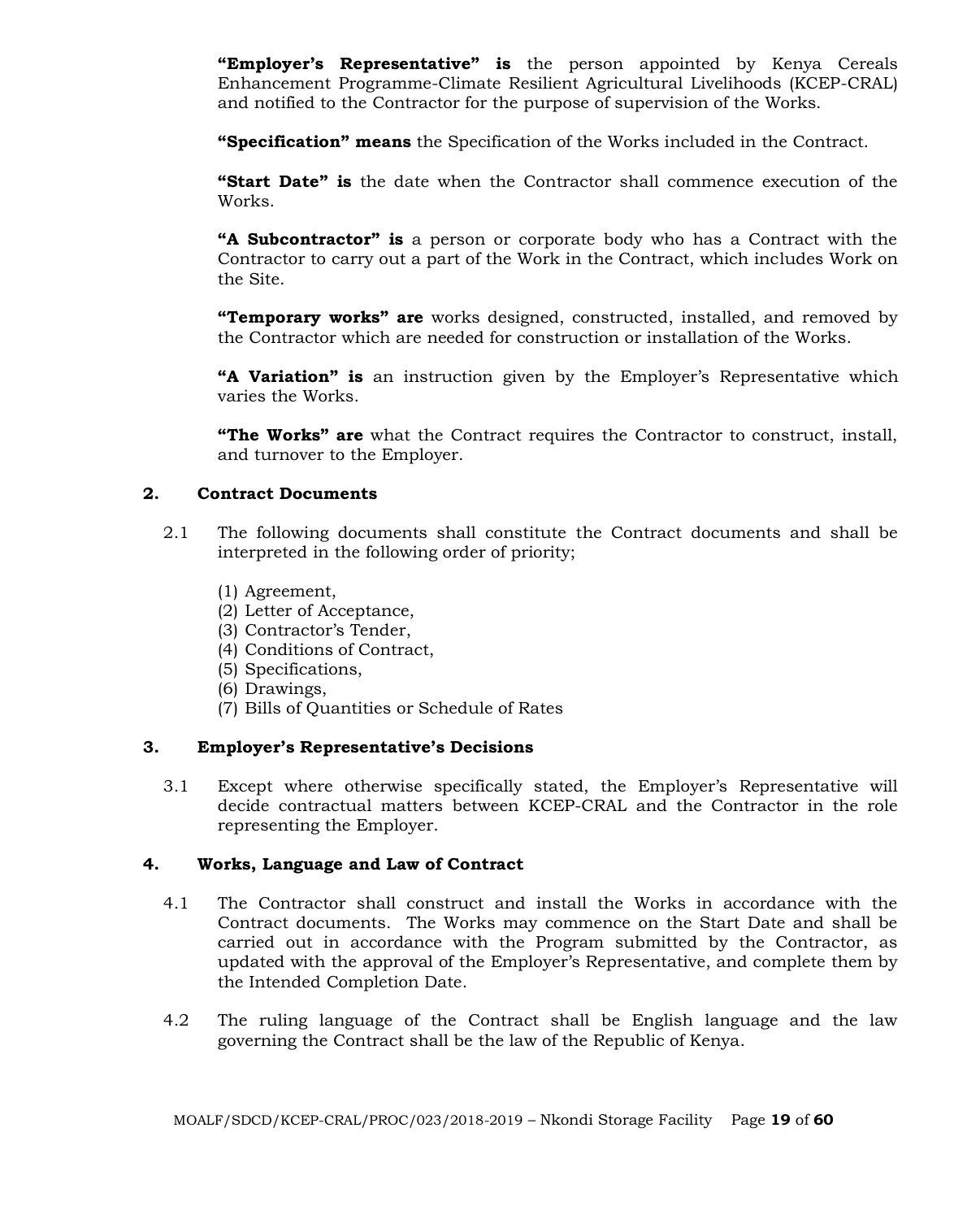**"Employer's Representative" is** the person appointed by Kenya Cereals Enhancement Programme-Climate Resilient Agricultural Livelihoods (KCEP-CRAL) and notified to the Contractor for the purpose of supervision of the Works.

**"Specification" means** the Specification of the Works included in the Contract.

**"Start Date" is** the date when the Contractor shall commence execution of the Works.

**"A Subcontractor" is** a person or corporate body who has a Contract with the Contractor to carry out a part of the Work in the Contract, which includes Work on the Site.

**"Temporary works" are** works designed, constructed, installed, and removed by the Contractor which are needed for construction or installation of the Works.

**"A Variation" is** an instruction given by the Employer's Representative which varies the Works.

**"The Works" are** what the Contract requires the Contractor to construct, install, and turnover to the Employer.

# **2. Contract Documents**

- 2.1 The following documents shall constitute the Contract documents and shall be interpreted in the following order of priority;
	- (1) Agreement,
	- (2) Letter of Acceptance,
	- (3) Contractor's Tender,
	- (4) Conditions of Contract,
	- (5) Specifications,
	- (6) Drawings,
	- (7) Bills of Quantities or Schedule of Rates

# **3. Employer's Representative's Decisions**

3.1 Except where otherwise specifically stated, the Employer's Representative will decide contractual matters between KCEP-CRAL and the Contractor in the role representing the Employer.

# **4. Works, Language and Law of Contract**

- 4.1 The Contractor shall construct and install the Works in accordance with the Contract documents. The Works may commence on the Start Date and shall be carried out in accordance with the Program submitted by the Contractor, as updated with the approval of the Employer's Representative, and complete them by the Intended Completion Date.
- 4.2 The ruling language of the Contract shall be English language and the law governing the Contract shall be the law of the Republic of Kenya.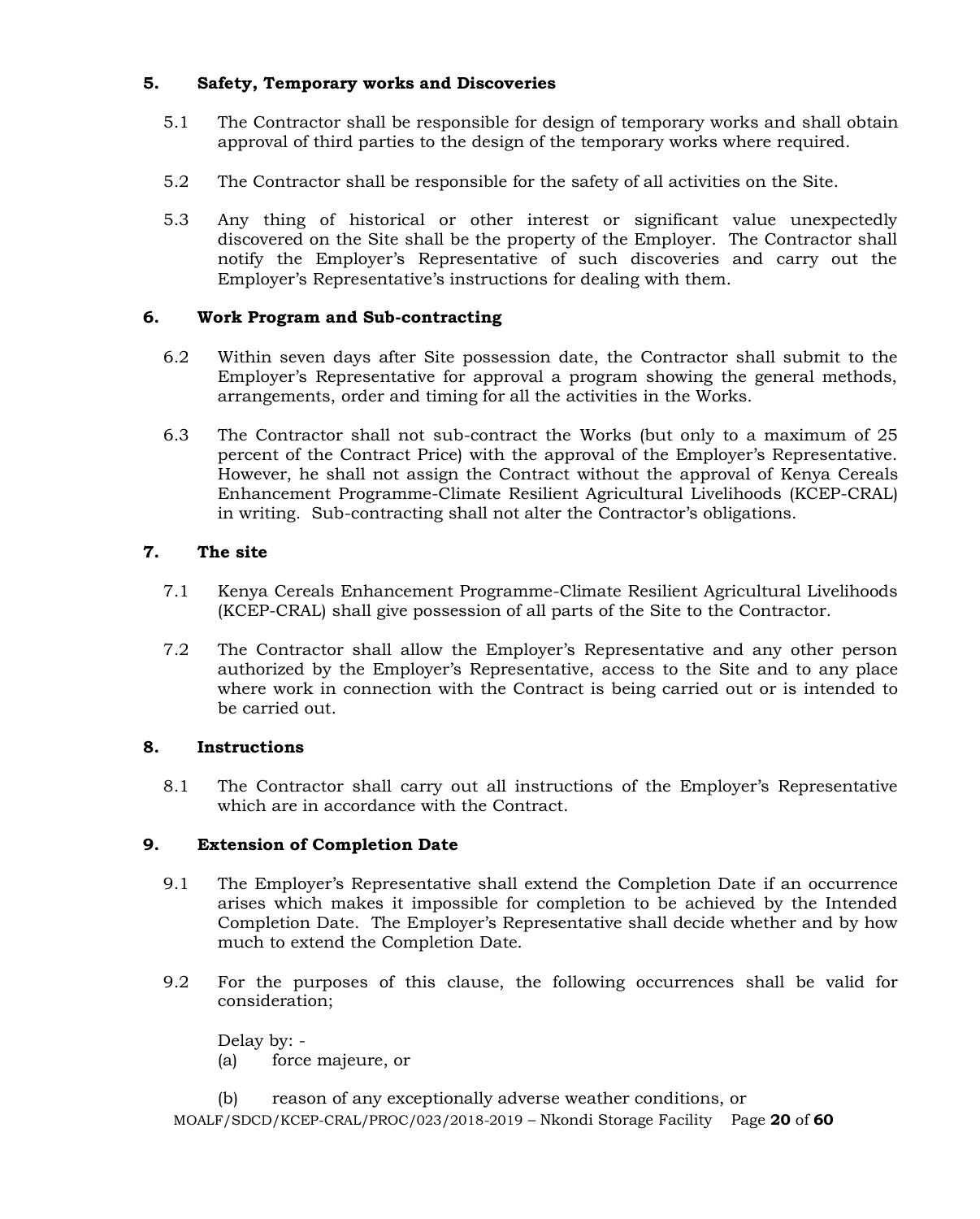# **5. Safety, Temporary works and Discoveries**

- 5.1 The Contractor shall be responsible for design of temporary works and shall obtain approval of third parties to the design of the temporary works where required.
- 5.2 The Contractor shall be responsible for the safety of all activities on the Site.
- 5.3 Any thing of historical or other interest or significant value unexpectedly discovered on the Site shall be the property of the Employer. The Contractor shall notify the Employer's Representative of such discoveries and carry out the Employer's Representative's instructions for dealing with them.

# **6. Work Program and Sub-contracting**

- 6.2 Within seven days after Site possession date, the Contractor shall submit to the Employer's Representative for approval a program showing the general methods, arrangements, order and timing for all the activities in the Works.
- 6.3 The Contractor shall not sub-contract the Works (but only to a maximum of 25 percent of the Contract Price) with the approval of the Employer's Representative. However, he shall not assign the Contract without the approval of Kenya Cereals Enhancement Programme-Climate Resilient Agricultural Livelihoods (KCEP-CRAL) in writing. Sub-contracting shall not alter the Contractor's obligations.

# **7. The site**

- 7.1 Kenya Cereals Enhancement Programme-Climate Resilient Agricultural Livelihoods (KCEP-CRAL) shall give possession of all parts of the Site to the Contractor.
- 7.2 The Contractor shall allow the Employer's Representative and any other person authorized by the Employer's Representative, access to the Site and to any place where work in connection with the Contract is being carried out or is intended to be carried out.

# **8. Instructions**

8.1 The Contractor shall carry out all instructions of the Employer's Representative which are in accordance with the Contract.

# **9. Extension of Completion Date**

- 9.1 The Employer's Representative shall extend the Completion Date if an occurrence arises which makes it impossible for completion to be achieved by the Intended Completion Date. The Employer's Representative shall decide whether and by how much to extend the Completion Date.
- 9.2 For the purposes of this clause, the following occurrences shall be valid for consideration;

Delay by: - (a) force majeure, or

MOALF/SDCD/KCEP-CRAL/PROC/023/2018-2019 – Nkondi Storage Facility Page **20** of **60** (b) reason of any exceptionally adverse weather conditions, or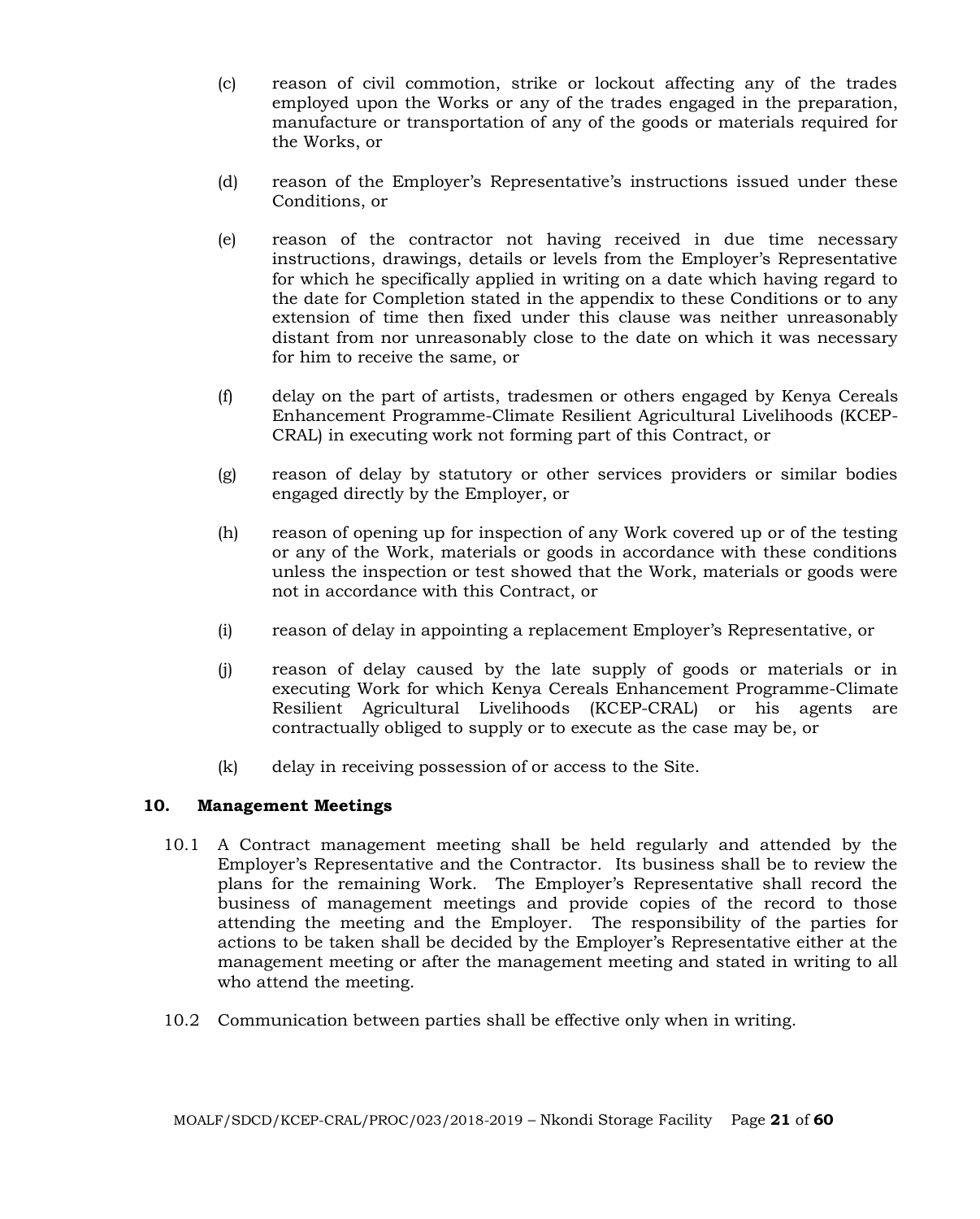- (c) reason of civil commotion, strike or lockout affecting any of the trades employed upon the Works or any of the trades engaged in the preparation, manufacture or transportation of any of the goods or materials required for the Works, or
- (d) reason of the Employer's Representative's instructions issued under these Conditions, or
- (e) reason of the contractor not having received in due time necessary instructions, drawings, details or levels from the Employer's Representative for which he specifically applied in writing on a date which having regard to the date for Completion stated in the appendix to these Conditions or to any extension of time then fixed under this clause was neither unreasonably distant from nor unreasonably close to the date on which it was necessary for him to receive the same, or
- (f) delay on the part of artists, tradesmen or others engaged by Kenya Cereals Enhancement Programme-Climate Resilient Agricultural Livelihoods (KCEP-CRAL) in executing work not forming part of this Contract, or
- (g) reason of delay by statutory or other services providers or similar bodies engaged directly by the Employer, or
- (h) reason of opening up for inspection of any Work covered up or of the testing or any of the Work, materials or goods in accordance with these conditions unless the inspection or test showed that the Work, materials or goods were not in accordance with this Contract, or
- (i) reason of delay in appointing a replacement Employer's Representative, or
- (j) reason of delay caused by the late supply of goods or materials or in executing Work for which Kenya Cereals Enhancement Programme-Climate Resilient Agricultural Livelihoods (KCEP-CRAL) or his agents are contractually obliged to supply or to execute as the case may be, or
- (k) delay in receiving possession of or access to the Site.

#### **10. Management Meetings**

- 10.1 A Contract management meeting shall be held regularly and attended by the Employer's Representative and the Contractor. Its business shall be to review the plans for the remaining Work. The Employer's Representative shall record the business of management meetings and provide copies of the record to those attending the meeting and the Employer. The responsibility of the parties for actions to be taken shall be decided by the Employer's Representative either at the management meeting or after the management meeting and stated in writing to all who attend the meeting.
- 10.2 Communication between parties shall be effective only when in writing.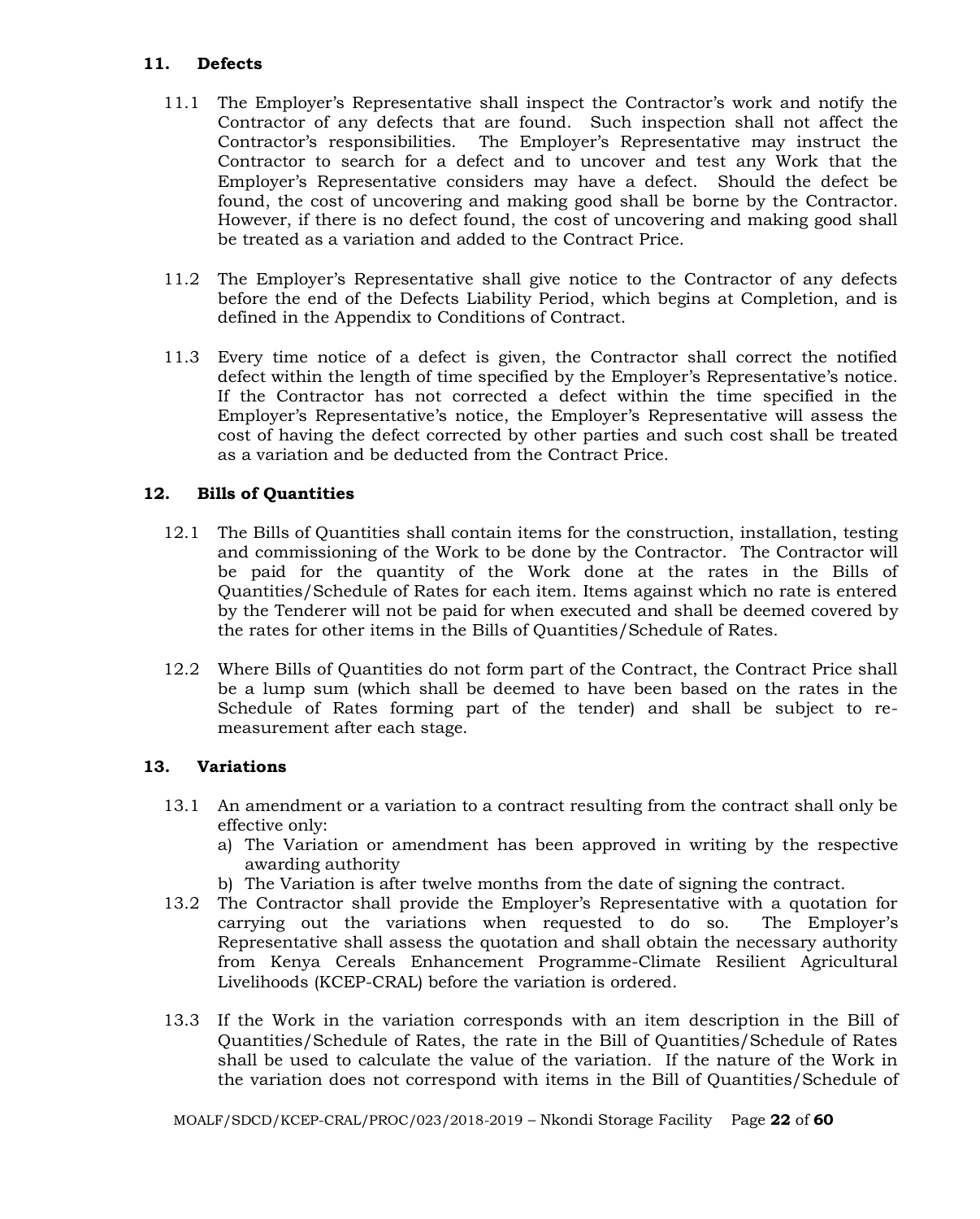# **11. Defects**

- 11.1 The Employer's Representative shall inspect the Contractor's work and notify the Contractor of any defects that are found. Such inspection shall not affect the Contractor's responsibilities. The Employer's Representative may instruct the Contractor to search for a defect and to uncover and test any Work that the Employer's Representative considers may have a defect. Should the defect be found, the cost of uncovering and making good shall be borne by the Contractor. However, if there is no defect found, the cost of uncovering and making good shall be treated as a variation and added to the Contract Price.
- 11.2 The Employer's Representative shall give notice to the Contractor of any defects before the end of the Defects Liability Period, which begins at Completion, and is defined in the Appendix to Conditions of Contract.
- 11.3 Every time notice of a defect is given, the Contractor shall correct the notified defect within the length of time specified by the Employer's Representative's notice. If the Contractor has not corrected a defect within the time specified in the Employer's Representative's notice, the Employer's Representative will assess the cost of having the defect corrected by other parties and such cost shall be treated as a variation and be deducted from the Contract Price.

# **12. Bills of Quantities**

- 12.1 The Bills of Quantities shall contain items for the construction, installation, testing and commissioning of the Work to be done by the Contractor. The Contractor will be paid for the quantity of the Work done at the rates in the Bills of Quantities/Schedule of Rates for each item. Items against which no rate is entered by the Tenderer will not be paid for when executed and shall be deemed covered by the rates for other items in the Bills of Quantities/Schedule of Rates.
- 12.2 Where Bills of Quantities do not form part of the Contract, the Contract Price shall be a lump sum (which shall be deemed to have been based on the rates in the Schedule of Rates forming part of the tender) and shall be subject to remeasurement after each stage.

# **13. Variations**

- 13.1 An amendment or a variation to a contract resulting from the contract shall only be effective only:
	- a) The Variation or amendment has been approved in writing by the respective awarding authority
	- b) The Variation is after twelve months from the date of signing the contract.
- 13.2 The Contractor shall provide the Employer's Representative with a quotation for carrying out the variations when requested to do so. The Employer's Representative shall assess the quotation and shall obtain the necessary authority from Kenya Cereals Enhancement Programme-Climate Resilient Agricultural Livelihoods (KCEP-CRAL) before the variation is ordered.
- 13.3 If the Work in the variation corresponds with an item description in the Bill of Quantities/Schedule of Rates, the rate in the Bill of Quantities/Schedule of Rates shall be used to calculate the value of the variation. If the nature of the Work in the variation does not correspond with items in the Bill of Quantities/Schedule of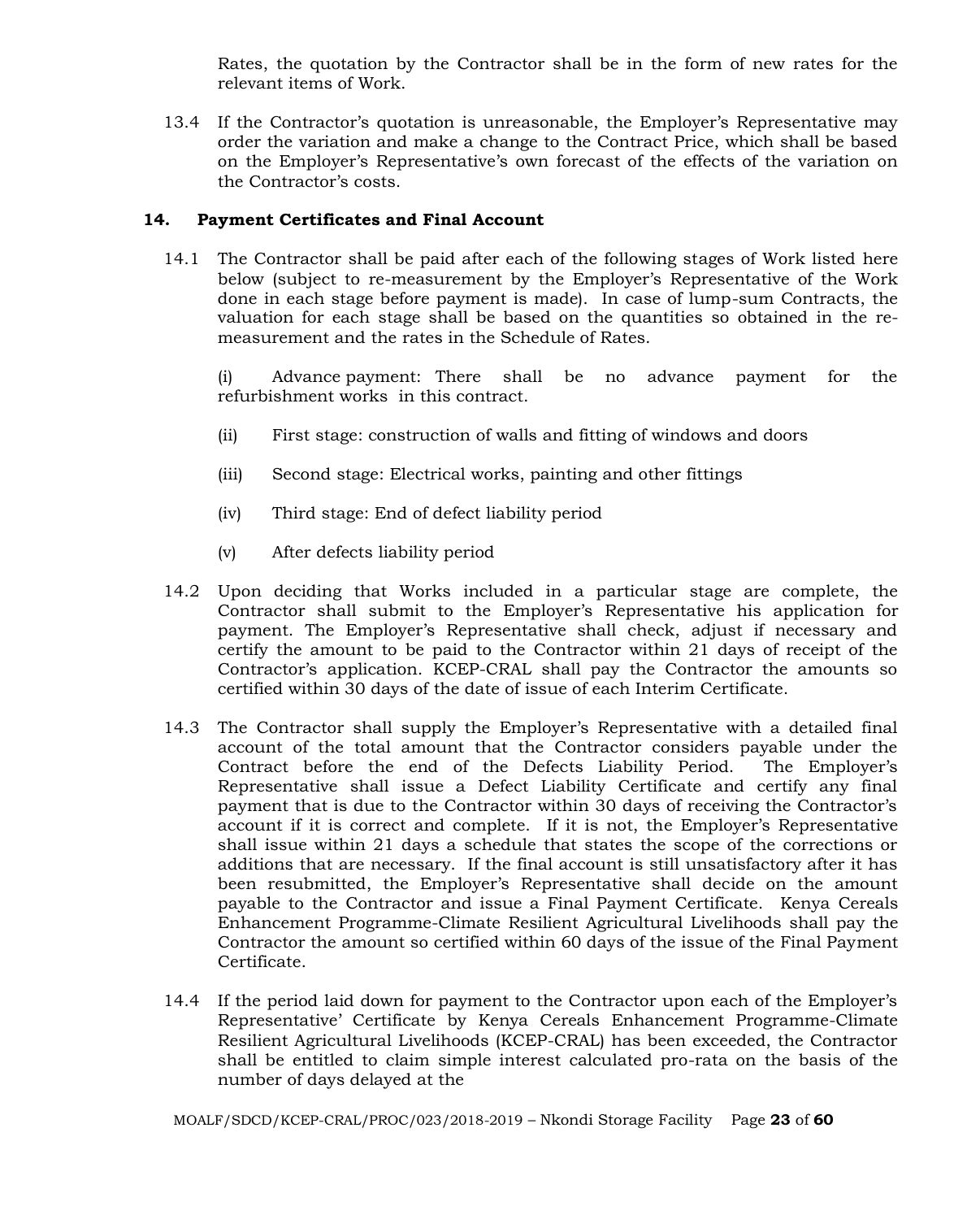Rates, the quotation by the Contractor shall be in the form of new rates for the relevant items of Work.

13.4 If the Contractor's quotation is unreasonable, the Employer's Representative may order the variation and make a change to the Contract Price, which shall be based on the Employer's Representative's own forecast of the effects of the variation on the Contractor's costs.

# **14. Payment Certificates and Final Account**

14.1 The Contractor shall be paid after each of the following stages of Work listed here below (subject to re-measurement by the Employer's Representative of the Work done in each stage before payment is made). In case of lump-sum Contracts, the valuation for each stage shall be based on the quantities so obtained in the remeasurement and the rates in the Schedule of Rates.

(i) Advance payment: There shall be no advance payment for the refurbishment works in this contract.

- (ii) First stage: construction of walls and fitting of windows and doors
- (iii) Second stage: Electrical works, painting and other fittings
- (iv) Third stage: End of defect liability period
- (v) After defects liability period
- 14.2 Upon deciding that Works included in a particular stage are complete, the Contractor shall submit to the Employer's Representative his application for payment. The Employer's Representative shall check, adjust if necessary and certify the amount to be paid to the Contractor within 21 days of receipt of the Contractor's application. KCEP-CRAL shall pay the Contractor the amounts so certified within 30 days of the date of issue of each Interim Certificate.
- 14.3 The Contractor shall supply the Employer's Representative with a detailed final account of the total amount that the Contractor considers payable under the Contract before the end of the Defects Liability Period. The Employer's Representative shall issue a Defect Liability Certificate and certify any final payment that is due to the Contractor within 30 days of receiving the Contractor's account if it is correct and complete. If it is not, the Employer's Representative shall issue within 21 days a schedule that states the scope of the corrections or additions that are necessary. If the final account is still unsatisfactory after it has been resubmitted, the Employer's Representative shall decide on the amount payable to the Contractor and issue a Final Payment Certificate. Kenya Cereals Enhancement Programme-Climate Resilient Agricultural Livelihoods shall pay the Contractor the amount so certified within 60 days of the issue of the Final Payment Certificate.
- 14.4 If the period laid down for payment to the Contractor upon each of the Employer's Representative' Certificate by Kenya Cereals Enhancement Programme-Climate Resilient Agricultural Livelihoods (KCEP-CRAL) has been exceeded, the Contractor shall be entitled to claim simple interest calculated pro-rata on the basis of the number of days delayed at the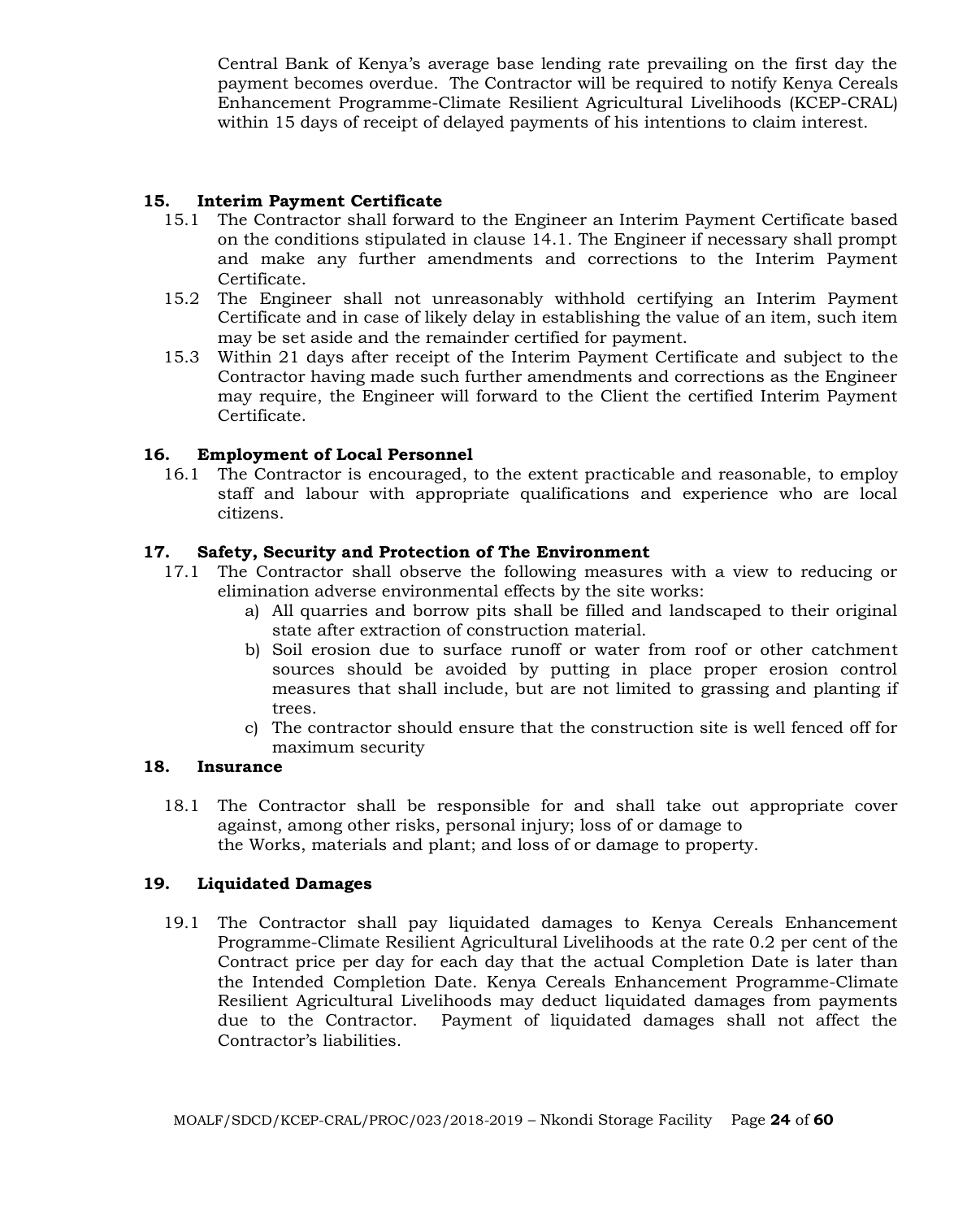Central Bank of Kenya's average base lending rate prevailing on the first day the payment becomes overdue. The Contractor will be required to notify Kenya Cereals Enhancement Programme-Climate Resilient Agricultural Livelihoods (KCEP-CRAL) within 15 days of receipt of delayed payments of his intentions to claim interest.

# **15. Interim Payment Certificate**

- 15.1 The Contractor shall forward to the Engineer an Interim Payment Certificate based on the conditions stipulated in clause 14.1. The Engineer if necessary shall prompt and make any further amendments and corrections to the Interim Payment Certificate.
- 15.2 The Engineer shall not unreasonably withhold certifying an Interim Payment Certificate and in case of likely delay in establishing the value of an item, such item may be set aside and the remainder certified for payment.
- 15.3 Within 21 days after receipt of the Interim Payment Certificate and subject to the Contractor having made such further amendments and corrections as the Engineer may require, the Engineer will forward to the Client the certified Interim Payment Certificate.

#### **16. Employment of Local Personnel**

16.1 The Contractor is encouraged, to the extent practicable and reasonable, to employ staff and labour with appropriate qualifications and experience who are local citizens.

#### **17. Safety, Security and Protection of The Environment**

- 17.1 The Contractor shall observe the following measures with a view to reducing or elimination adverse environmental effects by the site works:
	- a) All quarries and borrow pits shall be filled and landscaped to their original state after extraction of construction material.
	- b) Soil erosion due to surface runoff or water from roof or other catchment sources should be avoided by putting in place proper erosion control measures that shall include, but are not limited to grassing and planting if trees.
	- c) The contractor should ensure that the construction site is well fenced off for maximum security

#### **18. Insurance**

18.1 The Contractor shall be responsible for and shall take out appropriate cover against, among other risks, personal injury; loss of or damage to the Works, materials and plant; and loss of or damage to property.

#### **19. Liquidated Damages**

19.1 The Contractor shall pay liquidated damages to Kenya Cereals Enhancement Programme-Climate Resilient Agricultural Livelihoods at the rate 0.2 per cent of the Contract price per day for each day that the actual Completion Date is later than the Intended Completion Date. Kenya Cereals Enhancement Programme-Climate Resilient Agricultural Livelihoods may deduct liquidated damages from payments due to the Contractor. Payment of liquidated damages shall not affect the Contractor's liabilities.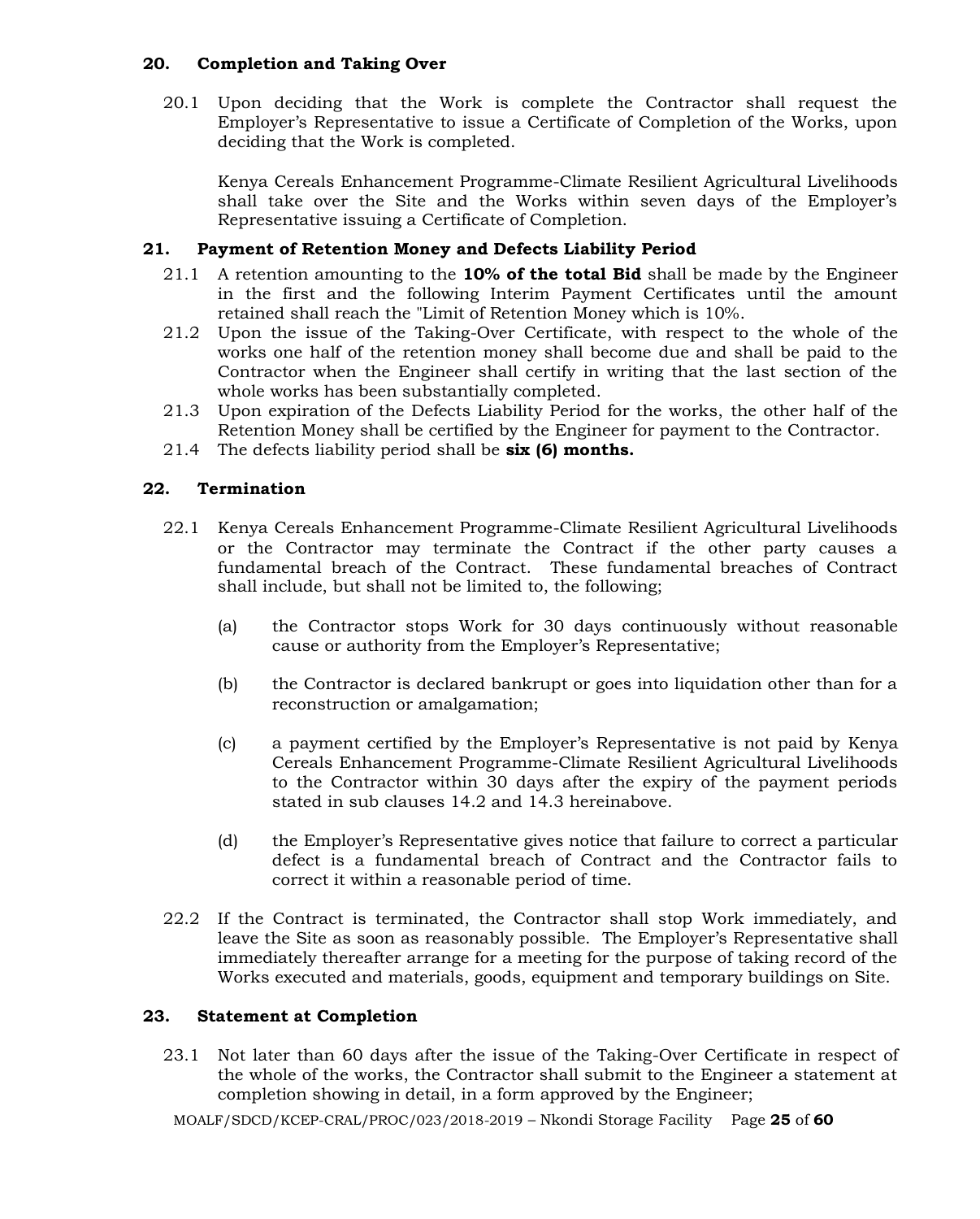#### **20. Completion and Taking Over**

20.1 Upon deciding that the Work is complete the Contractor shall request the Employer's Representative to issue a Certificate of Completion of the Works, upon deciding that the Work is completed.

Kenya Cereals Enhancement Programme-Climate Resilient Agricultural Livelihoods shall take over the Site and the Works within seven days of the Employer's Representative issuing a Certificate of Completion.

# **21. Payment of Retention Money and Defects Liability Period**

- 21.1 A retention amounting to the **10% of the total Bid** shall be made by the Engineer in the first and the following Interim Payment Certificates until the amount retained shall reach the "Limit of Retention Money which is 10%.
- 21.2 Upon the issue of the Taking-Over Certificate, with respect to the whole of the works one half of the retention money shall become due and shall be paid to the Contractor when the Engineer shall certify in writing that the last section of the whole works has been substantially completed.
- 21.3 Upon expiration of the Defects Liability Period for the works, the other half of the Retention Money shall be certified by the Engineer for payment to the Contractor.
- 21.4 The defects liability period shall be **six (6) months.**

#### **22. Termination**

- 22.1 Kenya Cereals Enhancement Programme-Climate Resilient Agricultural Livelihoods or the Contractor may terminate the Contract if the other party causes a fundamental breach of the Contract. These fundamental breaches of Contract shall include, but shall not be limited to, the following;
	- (a) the Contractor stops Work for 30 days continuously without reasonable cause or authority from the Employer's Representative;
	- (b) the Contractor is declared bankrupt or goes into liquidation other than for a reconstruction or amalgamation;
	- (c) a payment certified by the Employer's Representative is not paid by Kenya Cereals Enhancement Programme-Climate Resilient Agricultural Livelihoods to the Contractor within 30 days after the expiry of the payment periods stated in sub clauses 14.2 and 14.3 hereinabove.
	- (d) the Employer's Representative gives notice that failure to correct a particular defect is a fundamental breach of Contract and the Contractor fails to correct it within a reasonable period of time.
- 22.2 If the Contract is terminated, the Contractor shall stop Work immediately, and leave the Site as soon as reasonably possible. The Employer's Representative shall immediately thereafter arrange for a meeting for the purpose of taking record of the Works executed and materials, goods, equipment and temporary buildings on Site.

#### **23. Statement at Completion**

23.1 Not later than 60 days after the issue of the Taking-Over Certificate in respect of the whole of the works, the Contractor shall submit to the Engineer a statement at completion showing in detail, in a form approved by the Engineer;

MOALF/SDCD/KCEP-CRAL/PROC/023/2018-2019 – Nkondi Storage Facility Page **25** of **60**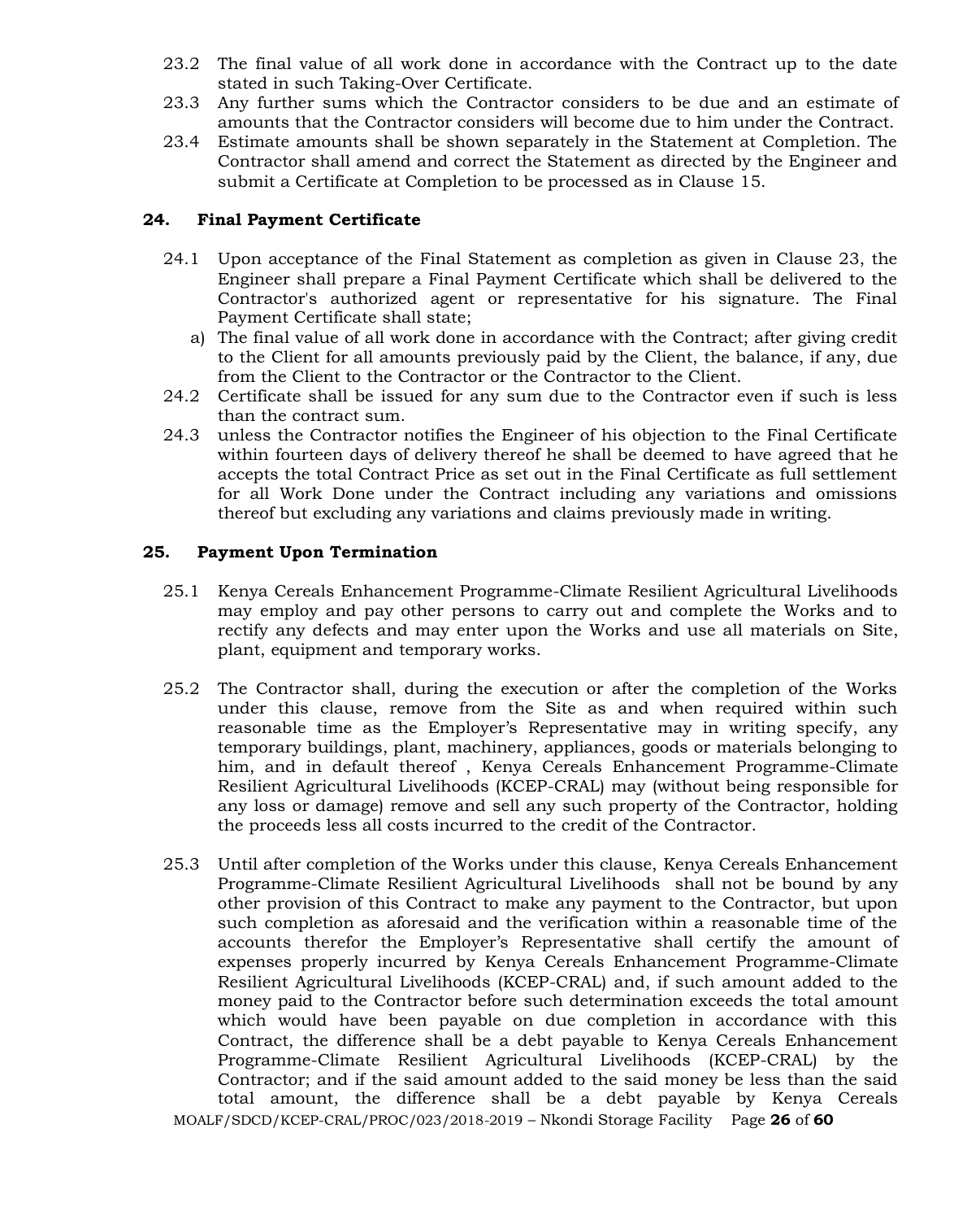- 23.2 The final value of all work done in accordance with the Contract up to the date stated in such Taking-Over Certificate.
- 23.3 Any further sums which the Contractor considers to be due and an estimate of amounts that the Contractor considers will become due to him under the Contract.
- 23.4 Estimate amounts shall be shown separately in the Statement at Completion. The Contractor shall amend and correct the Statement as directed by the Engineer and submit a Certificate at Completion to be processed as in Clause 15.

#### **24. Final Payment Certificate**

- 24.1 Upon acceptance of the Final Statement as completion as given in Clause 23, the Engineer shall prepare a Final Payment Certificate which shall be delivered to the Contractor's authorized agent or representative for his signature. The Final Payment Certificate shall state;
	- a) The final value of all work done in accordance with the Contract; after giving credit to the Client for all amounts previously paid by the Client, the balance, if any, due from the Client to the Contractor or the Contractor to the Client.
- 24.2 Certificate shall be issued for any sum due to the Contractor even if such is less than the contract sum.
- 24.3 unless the Contractor notifies the Engineer of his objection to the Final Certificate within fourteen days of delivery thereof he shall be deemed to have agreed that he accepts the total Contract Price as set out in the Final Certificate as full settlement for all Work Done under the Contract including any variations and omissions thereof but excluding any variations and claims previously made in writing.

#### **25. Payment Upon Termination**

- 25.1 Kenya Cereals Enhancement Programme-Climate Resilient Agricultural Livelihoods may employ and pay other persons to carry out and complete the Works and to rectify any defects and may enter upon the Works and use all materials on Site, plant, equipment and temporary works.
- 25.2 The Contractor shall, during the execution or after the completion of the Works under this clause, remove from the Site as and when required within such reasonable time as the Employer's Representative may in writing specify, any temporary buildings, plant, machinery, appliances, goods or materials belonging to him, and in default thereof , Kenya Cereals Enhancement Programme-Climate Resilient Agricultural Livelihoods (KCEP-CRAL) may (without being responsible for any loss or damage) remove and sell any such property of the Contractor, holding the proceeds less all costs incurred to the credit of the Contractor.
- MOALF/SDCD/KCEP-CRAL/PROC/023/2018-2019 Nkondi Storage Facility Page **26** of **60** 25.3 Until after completion of the Works under this clause, Kenya Cereals Enhancement Programme-Climate Resilient Agricultural Livelihoods shall not be bound by any other provision of this Contract to make any payment to the Contractor, but upon such completion as aforesaid and the verification within a reasonable time of the accounts therefor the Employer's Representative shall certify the amount of expenses properly incurred by Kenya Cereals Enhancement Programme-Climate Resilient Agricultural Livelihoods (KCEP-CRAL) and, if such amount added to the money paid to the Contractor before such determination exceeds the total amount which would have been payable on due completion in accordance with this Contract, the difference shall be a debt payable to Kenya Cereals Enhancement Programme-Climate Resilient Agricultural Livelihoods (KCEP-CRAL) by the Contractor; and if the said amount added to the said money be less than the said total amount, the difference shall be a debt payable by Kenya Cereals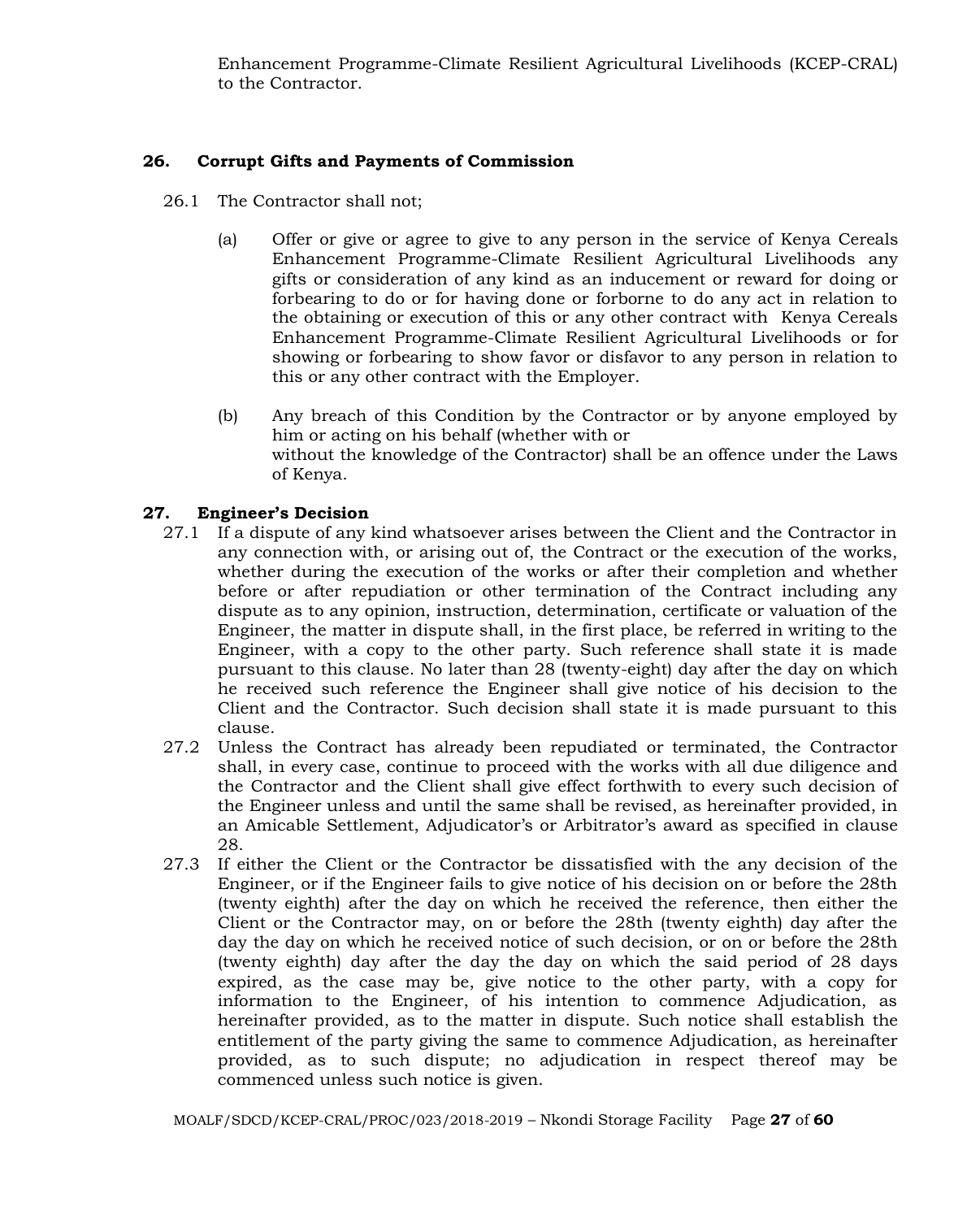Enhancement Programme-Climate Resilient Agricultural Livelihoods (KCEP-CRAL) to the Contractor.

# **26. Corrupt Gifts and Payments of Commission**

- 26.1 The Contractor shall not;
	- (a) Offer or give or agree to give to any person in the service of Kenya Cereals Enhancement Programme-Climate Resilient Agricultural Livelihoods any gifts or consideration of any kind as an inducement or reward for doing or forbearing to do or for having done or forborne to do any act in relation to the obtaining or execution of this or any other contract with Kenya Cereals Enhancement Programme-Climate Resilient Agricultural Livelihoods or for showing or forbearing to show favor or disfavor to any person in relation to this or any other contract with the Employer.
	- (b) Any breach of this Condition by the Contractor or by anyone employed by him or acting on his behalf (whether with or without the knowledge of the Contractor) shall be an offence under the Laws of Kenya.

# **27. Engineer's Decision**

- 27.1 If a dispute of any kind whatsoever arises between the Client and the Contractor in any connection with, or arising out of, the Contract or the execution of the works, whether during the execution of the works or after their completion and whether before or after repudiation or other termination of the Contract including any dispute as to any opinion, instruction, determination, certificate or valuation of the Engineer, the matter in dispute shall, in the first place, be referred in writing to the Engineer, with a copy to the other party. Such reference shall state it is made pursuant to this clause. No later than 28 (twenty-eight) day after the day on which he received such reference the Engineer shall give notice of his decision to the Client and the Contractor. Such decision shall state it is made pursuant to this clause.
- 27.2 Unless the Contract has already been repudiated or terminated, the Contractor shall, in every case, continue to proceed with the works with all due diligence and the Contractor and the Client shall give effect forthwith to every such decision of the Engineer unless and until the same shall be revised, as hereinafter provided, in an Amicable Settlement, Adjudicator's or Arbitrator's award as specified in clause 28.
- 27.3 If either the Client or the Contractor be dissatisfied with the any decision of the Engineer, or if the Engineer fails to give notice of his decision on or before the 28th (twenty eighth) after the day on which he received the reference, then either the Client or the Contractor may, on or before the 28th (twenty eighth) day after the day the day on which he received notice of such decision, or on or before the 28th (twenty eighth) day after the day the day on which the said period of 28 days expired, as the case may be, give notice to the other party, with a copy for information to the Engineer, of his intention to commence Adjudication, as hereinafter provided, as to the matter in dispute. Such notice shall establish the entitlement of the party giving the same to commence Adjudication, as hereinafter provided, as to such dispute; no adjudication in respect thereof may be commenced unless such notice is given.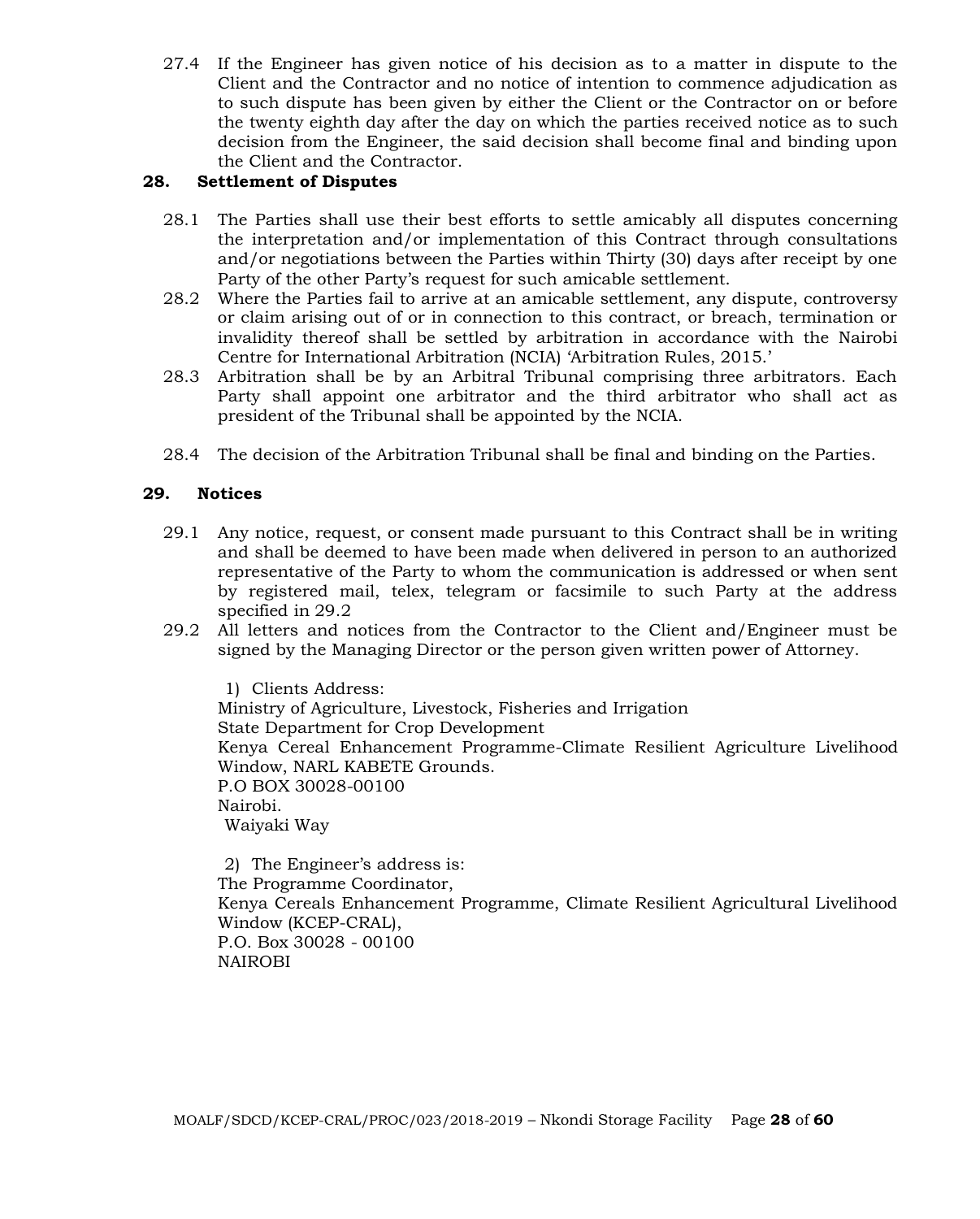27.4 If the Engineer has given notice of his decision as to a matter in dispute to the Client and the Contractor and no notice of intention to commence adjudication as to such dispute has been given by either the Client or the Contractor on or before the twenty eighth day after the day on which the parties received notice as to such decision from the Engineer, the said decision shall become final and binding upon the Client and the Contractor.

# **28. Settlement of Disputes**

- 28.1 The Parties shall use their best efforts to settle amicably all disputes concerning the interpretation and/or implementation of this Contract through consultations and/or negotiations between the Parties within Thirty (30) days after receipt by one Party of the other Party's request for such amicable settlement.
- 28.2 Where the Parties fail to arrive at an amicable settlement, any dispute, controversy or claim arising out of or in connection to this contract, or breach, termination or invalidity thereof shall be settled by arbitration in accordance with the Nairobi Centre for International Arbitration (NCIA) 'Arbitration Rules, 2015.'
- 28.3 Arbitration shall be by an Arbitral Tribunal comprising three arbitrators. Each Party shall appoint one arbitrator and the third arbitrator who shall act as president of the Tribunal shall be appointed by the NCIA.
- 28.4 The decision of the Arbitration Tribunal shall be final and binding on the Parties.

# **29. Notices**

- 29.1 Any notice, request, or consent made pursuant to this Contract shall be in writing and shall be deemed to have been made when delivered in person to an authorized representative of the Party to whom the communication is addressed or when sent by registered mail, telex, telegram or facsimile to such Party at the address specified in 29.2
- 29.2 All letters and notices from the Contractor to the Client and/Engineer must be signed by the Managing Director or the person given written power of Attorney.

1) Clients Address: Ministry of Agriculture, Livestock, Fisheries and Irrigation State Department for Crop Development Kenya Cereal Enhancement Programme-Climate Resilient Agriculture Livelihood Window, NARL KABETE Grounds. P.O BOX 30028-00100 Nairobi. Waiyaki Way

2) The Engineer's address is: The Programme Coordinator, Kenya Cereals Enhancement Programme, Climate Resilient Agricultural Livelihood Window (KCEP-CRAL), P.O. Box 30028 - 00100 NAIROBI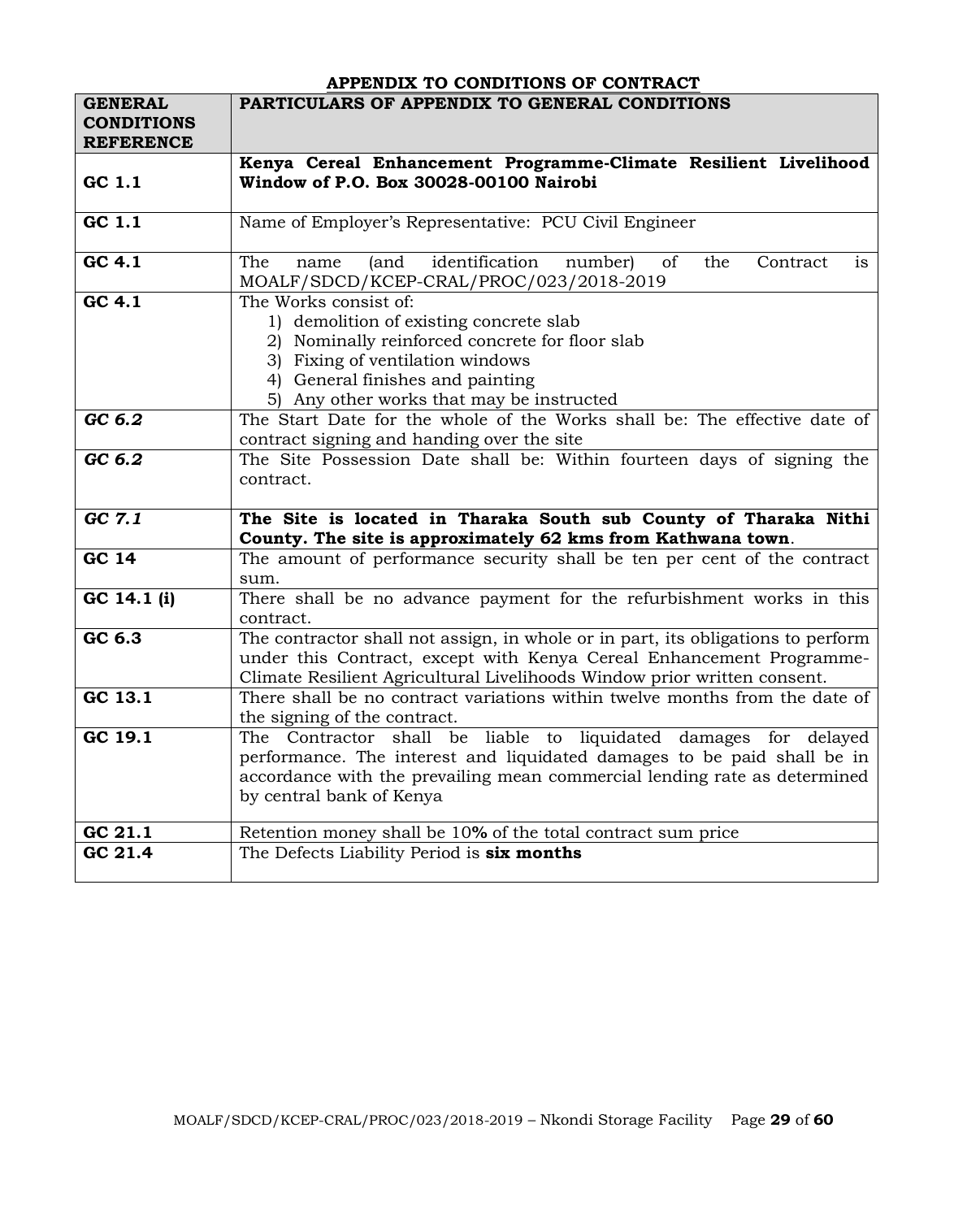|                                     | APPENDIX TO CONDITIONS OF CONTRACT                                               |
|-------------------------------------|----------------------------------------------------------------------------------|
| <b>GENERAL</b><br><b>CONDITIONS</b> | PARTICULARS OF APPENDIX TO GENERAL CONDITIONS                                    |
| <b>REFERENCE</b>                    |                                                                                  |
|                                     | Kenya Cereal Enhancement Programme-Climate Resilient Livelihood                  |
| GC 1.1                              | Window of P.O. Box 30028-00100 Nairobi                                           |
|                                     |                                                                                  |
| GC 1.1                              | Name of Employer's Representative: PCU Civil Engineer                            |
|                                     |                                                                                  |
| GC 4.1                              | The<br>(and identification<br>number)<br>of<br>the<br>Contract<br>is<br>name     |
|                                     | MOALF/SDCD/KCEP-CRAL/PROC/023/2018-2019                                          |
| GC 4.1                              | The Works consist of:                                                            |
|                                     | 1) demolition of existing concrete slab                                          |
|                                     | 2) Nominally reinforced concrete for floor slab                                  |
|                                     | 3) Fixing of ventilation windows                                                 |
|                                     | 4) General finishes and painting                                                 |
|                                     | 5) Any other works that may be instructed                                        |
| GC 6.2                              | The Start Date for the whole of the Works shall be: The effective date of        |
|                                     | contract signing and handing over the site                                       |
| GC 6.2                              | The Site Possession Date shall be: Within fourteen days of signing the           |
|                                     | contract.                                                                        |
|                                     |                                                                                  |
| GC 7.1                              | The Site is located in Tharaka South sub County of Tharaka Nithi                 |
|                                     | County. The site is approximately 62 kms from Kathwana town.                     |
| GC 14                               | The amount of performance security shall be ten per cent of the contract         |
|                                     | sum.                                                                             |
| GC 14.1 (i)                         | There shall be no advance payment for the refurbishment works in this            |
|                                     | contract.                                                                        |
| GC 6.3                              | The contractor shall not assign, in whole or in part, its obligations to perform |
|                                     | under this Contract, except with Kenya Cereal Enhancement Programme-             |
|                                     | Climate Resilient Agricultural Livelihoods Window prior written consent.         |
| GC 13.1                             | There shall be no contract variations within twelve months from the date of      |
|                                     | the signing of the contract.                                                     |
| GC 19.1                             | The Contractor shall be liable to liquidated damages for delayed                 |
|                                     | performance. The interest and liquidated damages to be paid shall be in          |
|                                     | accordance with the prevailing mean commercial lending rate as determined        |
|                                     | by central bank of Kenya                                                         |
|                                     |                                                                                  |
| GC 21.1                             | Retention money shall be 10% of the total contract sum price                     |
| $GC$ 21.4                           | The Defects Liability Period is six months                                       |
|                                     |                                                                                  |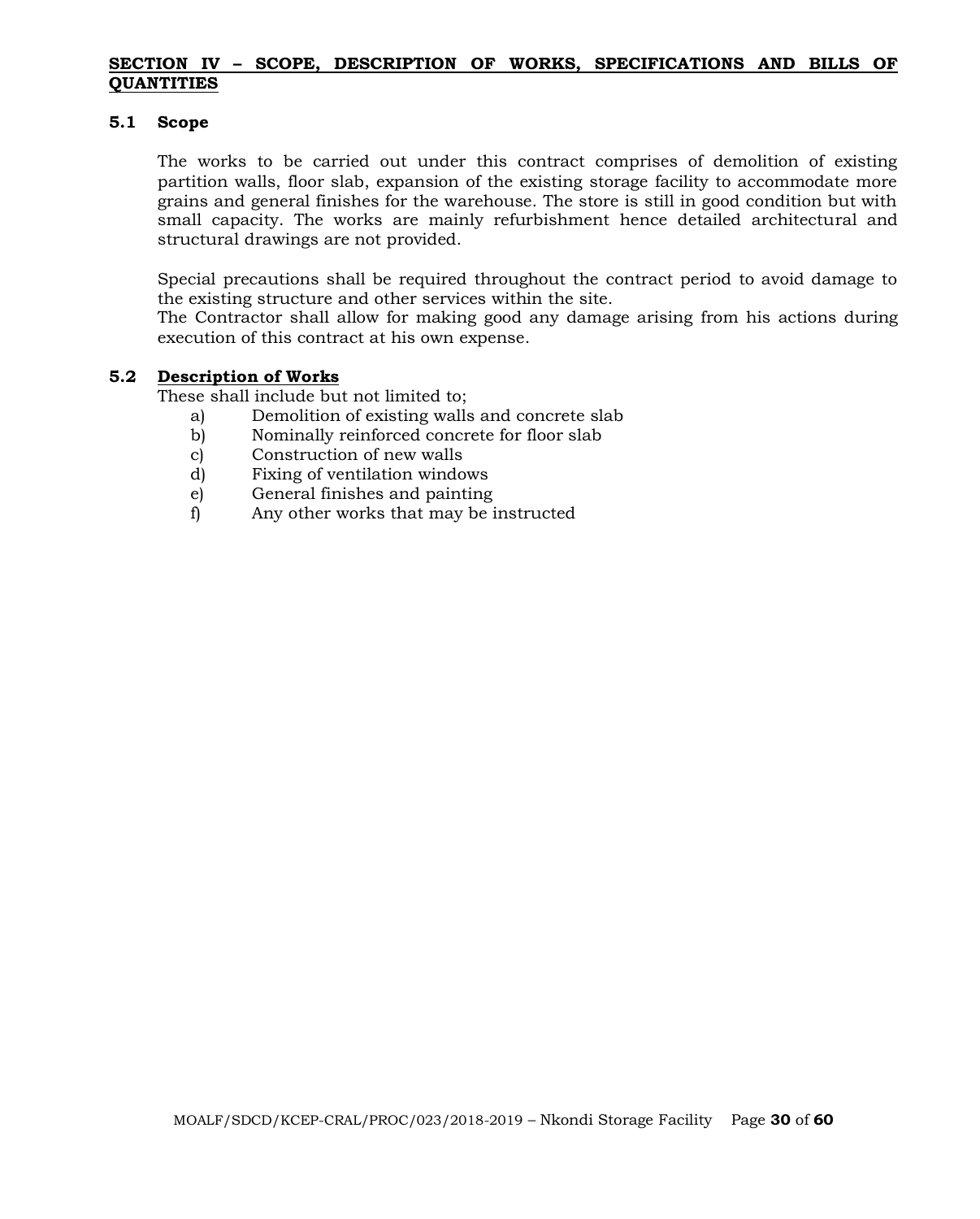#### **SECTION IV – SCOPE, DESCRIPTION OF WORKS, SPECIFICATIONS AND BILLS OF QUANTITIES**

#### **5.1 Scope**

The works to be carried out under this contract comprises of demolition of existing partition walls, floor slab, expansion of the existing storage facility to accommodate more grains and general finishes for the warehouse. The store is still in good condition but with small capacity. The works are mainly refurbishment hence detailed architectural and structural drawings are not provided.

Special precautions shall be required throughout the contract period to avoid damage to the existing structure and other services within the site.

The Contractor shall allow for making good any damage arising from his actions during execution of this contract at his own expense.

#### **5.2 Description of Works**

These shall include but not limited to;

- a) Demolition of existing walls and concrete slab
- b) Nominally reinforced concrete for floor slab
- c) Construction of new walls
- d) Fixing of ventilation windows
- e) General finishes and painting
- f) Any other works that may be instructed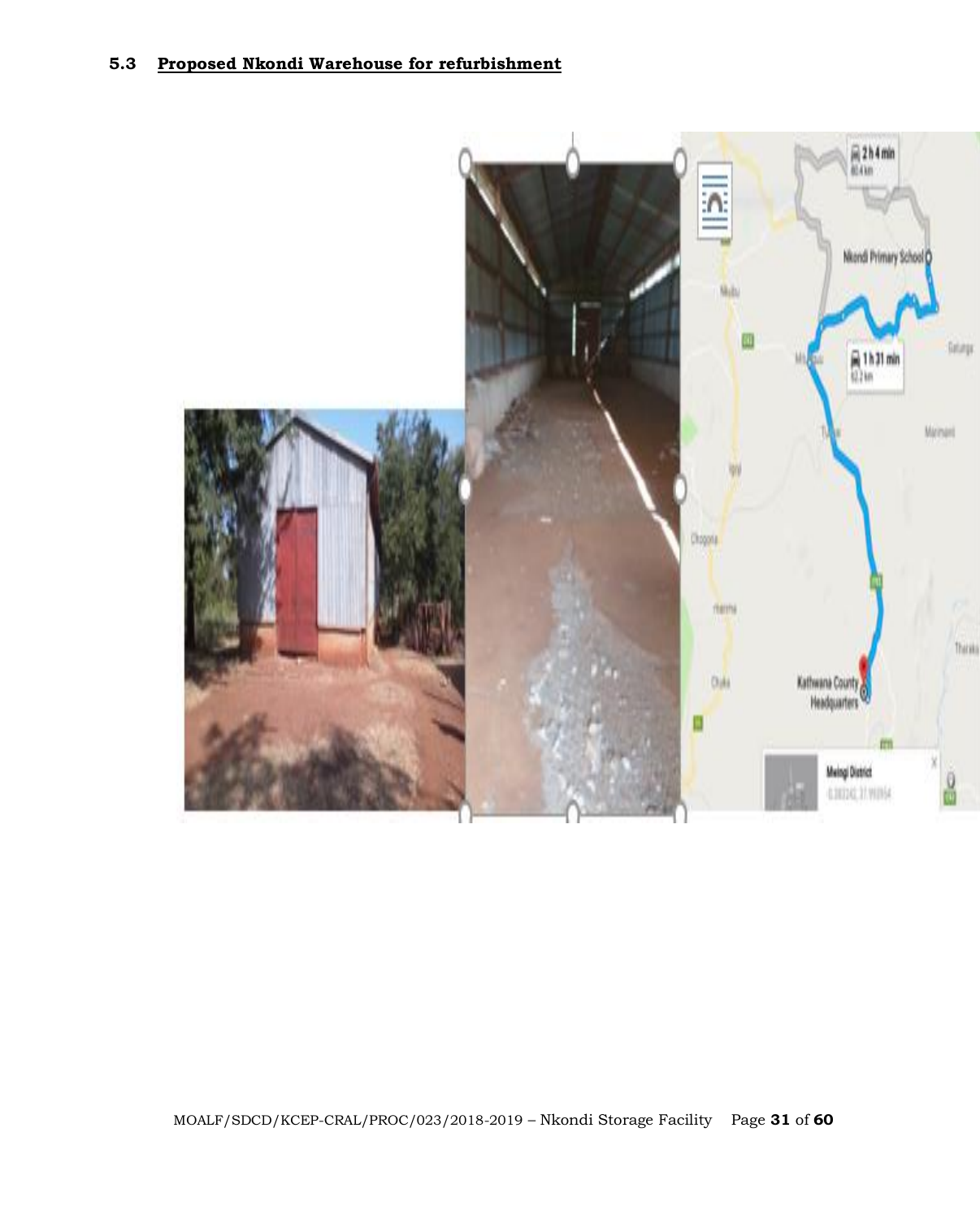# **5.3 Proposed Nkondi Warehouse for refurbishment**

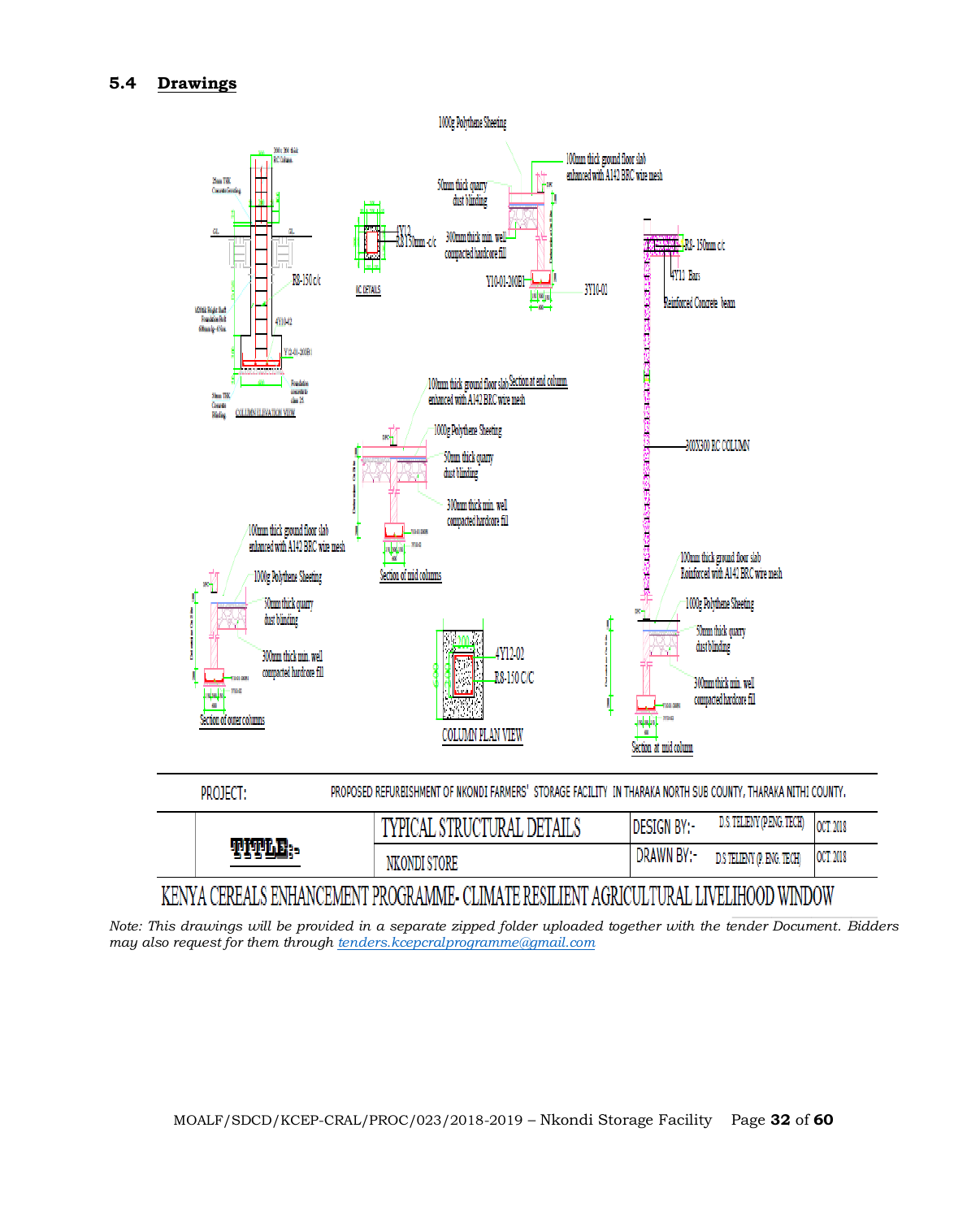# **5.4 Drawings**



| <b>PROJECT:</b> | PROPOSED REPORTSIONMENT OF INVONDED ARMIENS. STORAGE PACILLITE IN THARARA NONTH SOD COUNTER THARARA NETHE COUNTER |                    |                            |           |
|-----------------|-------------------------------------------------------------------------------------------------------------------|--------------------|----------------------------|-----------|
|                 | TYPICAL STRUCTURAL DETAILS                                                                                        | <b>DESIGN BY:-</b> | D.S. TELIENY (P.ENG. TECH) | OCT. 2018 |
| TITLE:-         | NKONDI STORE                                                                                                      | DRAWN BY:-         | D.S TELIENY (P. ENG. TECH) | OCT. 2018 |

# KENYA CEREALS ENHANCEMENT PROGRAMME- CLIMATE RESILIENT AGRICULTURAL LIVELIHOOD WINDOW

*Note: This drawings will be provided in a separate zipped folder uploaded together with the tender Document. Bidders may also request for them through [tenders.kcepcralprogramme@gmail.com](mailto:tenders.kcepcralprogramme@gmail.com)*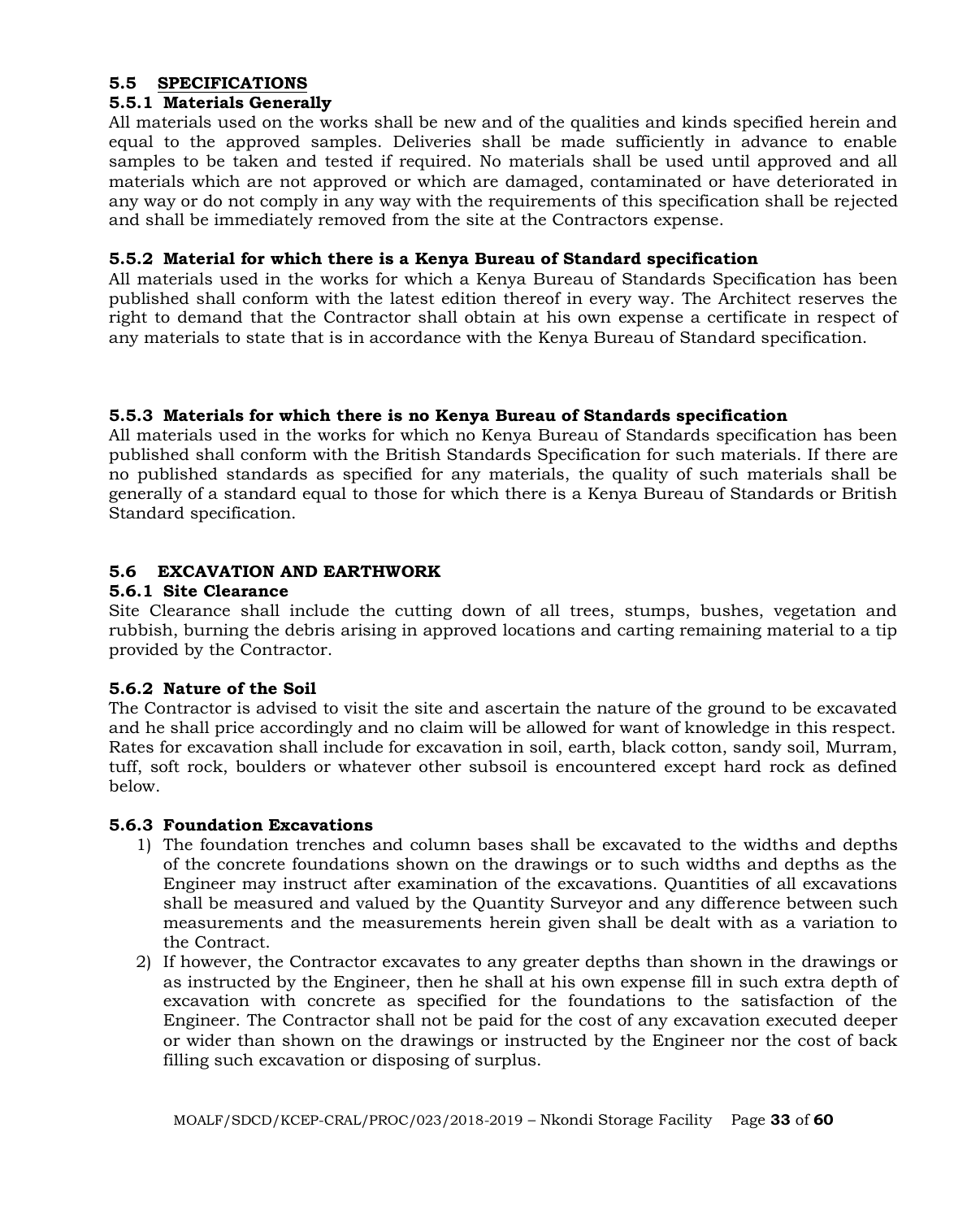# **5.5 SPECIFICATIONS**

# **5.5.1 Materials Generally**

All materials used on the works shall be new and of the qualities and kinds specified herein and equal to the approved samples. Deliveries shall be made sufficiently in advance to enable samples to be taken and tested if required. No materials shall be used until approved and all materials which are not approved or which are damaged, contaminated or have deteriorated in any way or do not comply in any way with the requirements of this specification shall be rejected and shall be immediately removed from the site at the Contractors expense.

#### **5.5.2 Material for which there is a Kenya Bureau of Standard specification**

All materials used in the works for which a Kenya Bureau of Standards Specification has been published shall conform with the latest edition thereof in every way. The Architect reserves the right to demand that the Contractor shall obtain at his own expense a certificate in respect of any materials to state that is in accordance with the Kenya Bureau of Standard specification.

# **5.5.3 Materials for which there is no Kenya Bureau of Standards specification**

All materials used in the works for which no Kenya Bureau of Standards specification has been published shall conform with the British Standards Specification for such materials. If there are no published standards as specified for any materials, the quality of such materials shall be generally of a standard equal to those for which there is a Kenya Bureau of Standards or British Standard specification.

# **5.6 EXCAVATION AND EARTHWORK**

#### **5.6.1 Site Clearance**

Site Clearance shall include the cutting down of all trees, stumps, bushes, vegetation and rubbish, burning the debris arising in approved locations and carting remaining material to a tip provided by the Contractor.

# **5.6.2 Nature of the Soil**

The Contractor is advised to visit the site and ascertain the nature of the ground to be excavated and he shall price accordingly and no claim will be allowed for want of knowledge in this respect. Rates for excavation shall include for excavation in soil, earth, black cotton, sandy soil, Murram, tuff, soft rock, boulders or whatever other subsoil is encountered except hard rock as defined below.

# **5.6.3 Foundation Excavations**

- 1) The foundation trenches and column bases shall be excavated to the widths and depths of the concrete foundations shown on the drawings or to such widths and depths as the Engineer may instruct after examination of the excavations. Quantities of all excavations shall be measured and valued by the Quantity Surveyor and any difference between such measurements and the measurements herein given shall be dealt with as a variation to the Contract.
- 2) If however, the Contractor excavates to any greater depths than shown in the drawings or as instructed by the Engineer, then he shall at his own expense fill in such extra depth of excavation with concrete as specified for the foundations to the satisfaction of the Engineer. The Contractor shall not be paid for the cost of any excavation executed deeper or wider than shown on the drawings or instructed by the Engineer nor the cost of back filling such excavation or disposing of surplus.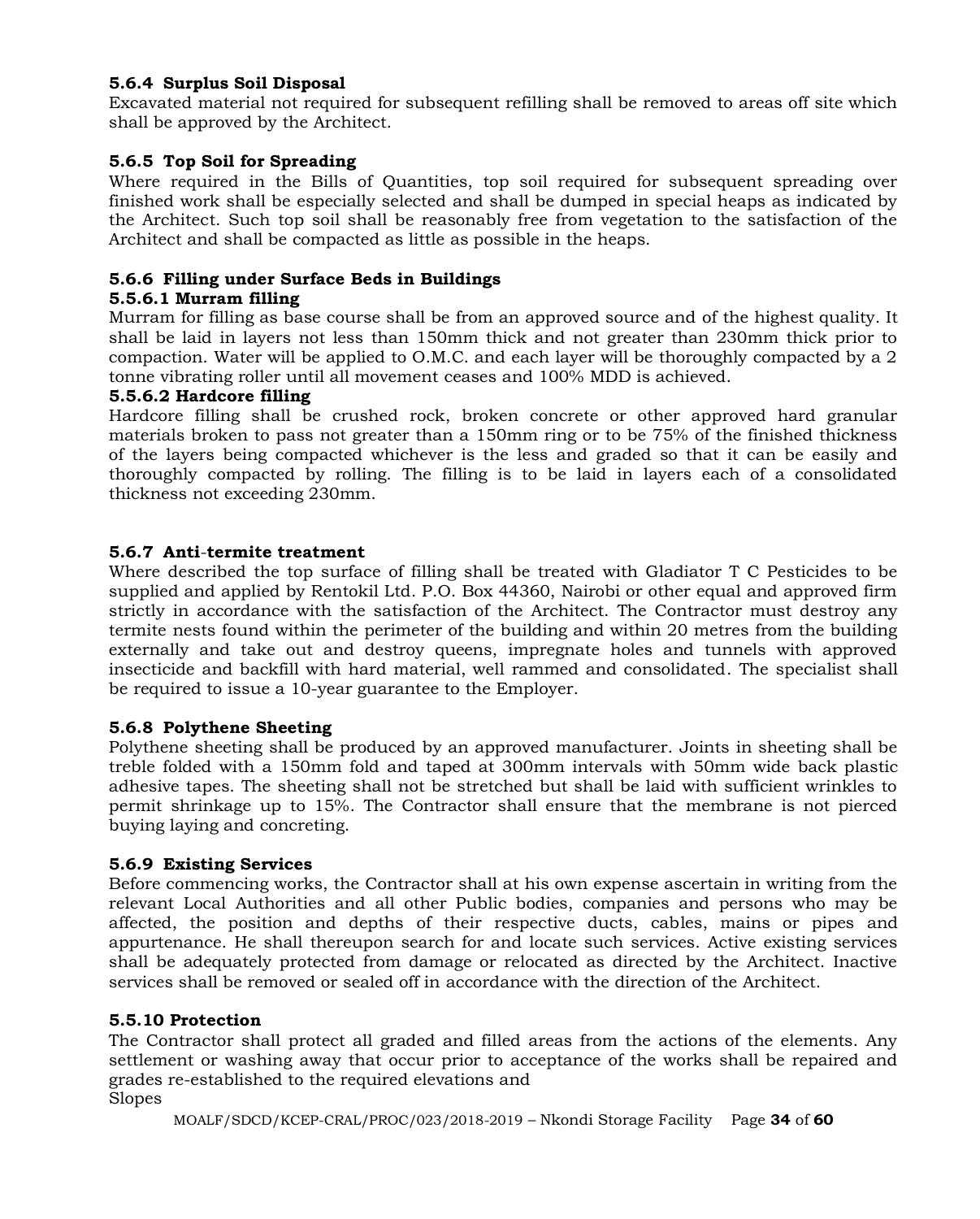# **5.6.4 Surplus Soil Disposal**

Excavated material not required for subsequent refilling shall be removed to areas off site which shall be approved by the Architect.

#### **5.6.5 Top Soil for Spreading**

Where required in the Bills of Quantities, top soil required for subsequent spreading over finished work shall be especially selected and shall be dumped in special heaps as indicated by the Architect. Such top soil shall be reasonably free from vegetation to the satisfaction of the Architect and shall be compacted as little as possible in the heaps.

#### **5.6.6 Filling under Surface Beds in Buildings**

#### **5.5.6.1 Murram filling**

Murram for filling as base course shall be from an approved source and of the highest quality. It shall be laid in layers not less than 150mm thick and not greater than 230mm thick prior to compaction. Water will be applied to O.M.C. and each layer will be thoroughly compacted by a 2 tonne vibrating roller until all movement ceases and 100% MDD is achieved.

#### **5.5.6.2 Hardcore filling**

Hardcore filling shall be crushed rock, broken concrete or other approved hard granular materials broken to pass not greater than a 150mm ring or to be 75% of the finished thickness of the layers being compacted whichever is the less and graded so that it can be easily and thoroughly compacted by rolling. The filling is to be laid in layers each of a consolidated thickness not exceeding 230mm.

#### **5.6.7 Anti**-**termite treatment**

Where described the top surface of filling shall be treated with Gladiator T C Pesticides to be supplied and applied by Rentokil Ltd. P.O. Box 44360, Nairobi or other equal and approved firm strictly in accordance with the satisfaction of the Architect. The Contractor must destroy any termite nests found within the perimeter of the building and within 20 metres from the building externally and take out and destroy queens, impregnate holes and tunnels with approved insecticide and backfill with hard material, well rammed and consolidated. The specialist shall be required to issue a 10-year guarantee to the Employer.

#### **5.6.8 Polythene Sheeting**

Polythene sheeting shall be produced by an approved manufacturer. Joints in sheeting shall be treble folded with a 150mm fold and taped at 300mm intervals with 50mm wide back plastic adhesive tapes. The sheeting shall not be stretched but shall be laid with sufficient wrinkles to permit shrinkage up to 15%. The Contractor shall ensure that the membrane is not pierced buying laying and concreting.

#### **5.6.9 Existing Services**

Before commencing works, the Contractor shall at his own expense ascertain in writing from the relevant Local Authorities and all other Public bodies, companies and persons who may be affected, the position and depths of their respective ducts, cables, mains or pipes and appurtenance. He shall thereupon search for and locate such services. Active existing services shall be adequately protected from damage or relocated as directed by the Architect. Inactive services shall be removed or sealed off in accordance with the direction of the Architect.

#### **5.5.10 Protection**

The Contractor shall protect all graded and filled areas from the actions of the elements. Any settlement or washing away that occur prior to acceptance of the works shall be repaired and grades re-established to the required elevations and Slopes

MOALF/SDCD/KCEP-CRAL/PROC/023/2018-2019 – Nkondi Storage Facility Page **34** of **60**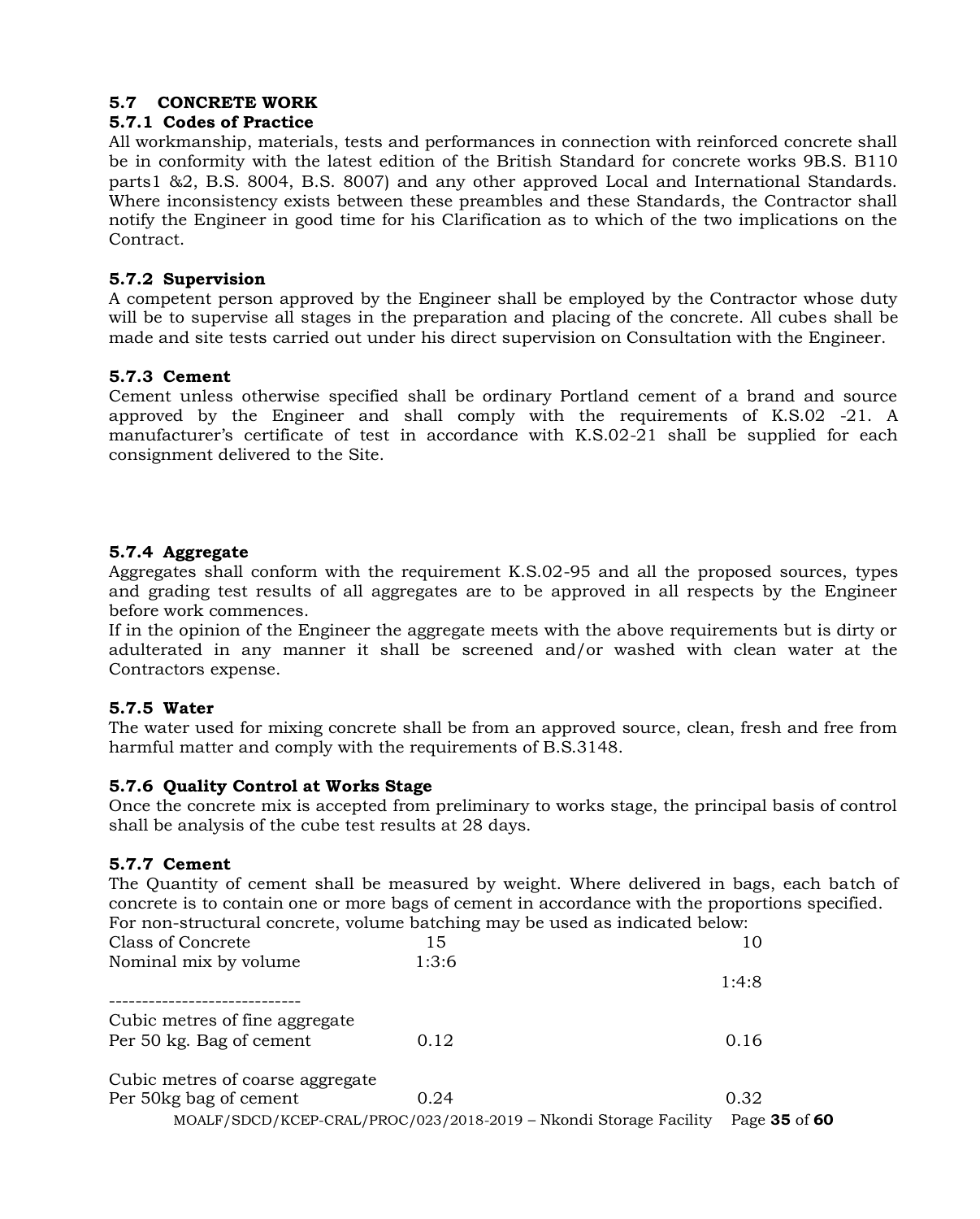# **5.7 CONCRETE WORK**

#### **5.7.1 Codes of Practice**

All workmanship, materials, tests and performances in connection with reinforced concrete shall be in conformity with the latest edition of the British Standard for concrete works 9B.S. B110 parts1 &2, B.S. 8004, B.S. 8007) and any other approved Local and International Standards. Where inconsistency exists between these preambles and these Standards, the Contractor shall notify the Engineer in good time for his Clarification as to which of the two implications on the Contract.

#### **5.7.2 Supervision**

A competent person approved by the Engineer shall be employed by the Contractor whose duty will be to supervise all stages in the preparation and placing of the concrete. All cubes shall be made and site tests carried out under his direct supervision on Consultation with the Engineer.

# **5.7.3 Cement**

Cement unless otherwise specified shall be ordinary Portland cement of a brand and source approved by the Engineer and shall comply with the requirements of K.S.02 -21. A manufacturer's certificate of test in accordance with K.S.02-21 shall be supplied for each consignment delivered to the Site.

#### **5.7.4 Aggregate**

Aggregates shall conform with the requirement K.S.02-95 and all the proposed sources, types and grading test results of all aggregates are to be approved in all respects by the Engineer before work commences.

If in the opinion of the Engineer the aggregate meets with the above requirements but is dirty or adulterated in any manner it shall be screened and/or washed with clean water at the Contractors expense.

# **5.7.5 Water**

The water used for mixing concrete shall be from an approved source, clean, fresh and free from harmful matter and comply with the requirements of B.S.3148.

#### **5.7.6 Quality Control at Works Stage**

Once the concrete mix is accepted from preliminary to works stage, the principal basis of control shall be analysis of the cube test results at 28 days.

# **5.7.7 Cement**

The Quantity of cement shall be measured by weight. Where delivered in bags, each batch of concrete is to contain one or more bags of cement in accordance with the proportions specified. For non-structural concrete, volume batching may be used as indicated below:

| Class of Concrete                | 15                                                                | 10            |
|----------------------------------|-------------------------------------------------------------------|---------------|
| Nominal mix by volume            | 1:3:6                                                             | 1:4:8         |
|                                  |                                                                   |               |
| Cubic metres of fine aggregate   |                                                                   |               |
| Per 50 kg. Bag of cement         | 0.12                                                              | 0.16          |
| Cubic metres of coarse aggregate |                                                                   |               |
| Per 50kg bag of cement           | 0.24                                                              | 0.32          |
|                                  | MOALF/SDCD/KCEP-CRAL/PROC/023/2018-2019 - Nkondi Storage Facility | Page 35 of 60 |
|                                  |                                                                   |               |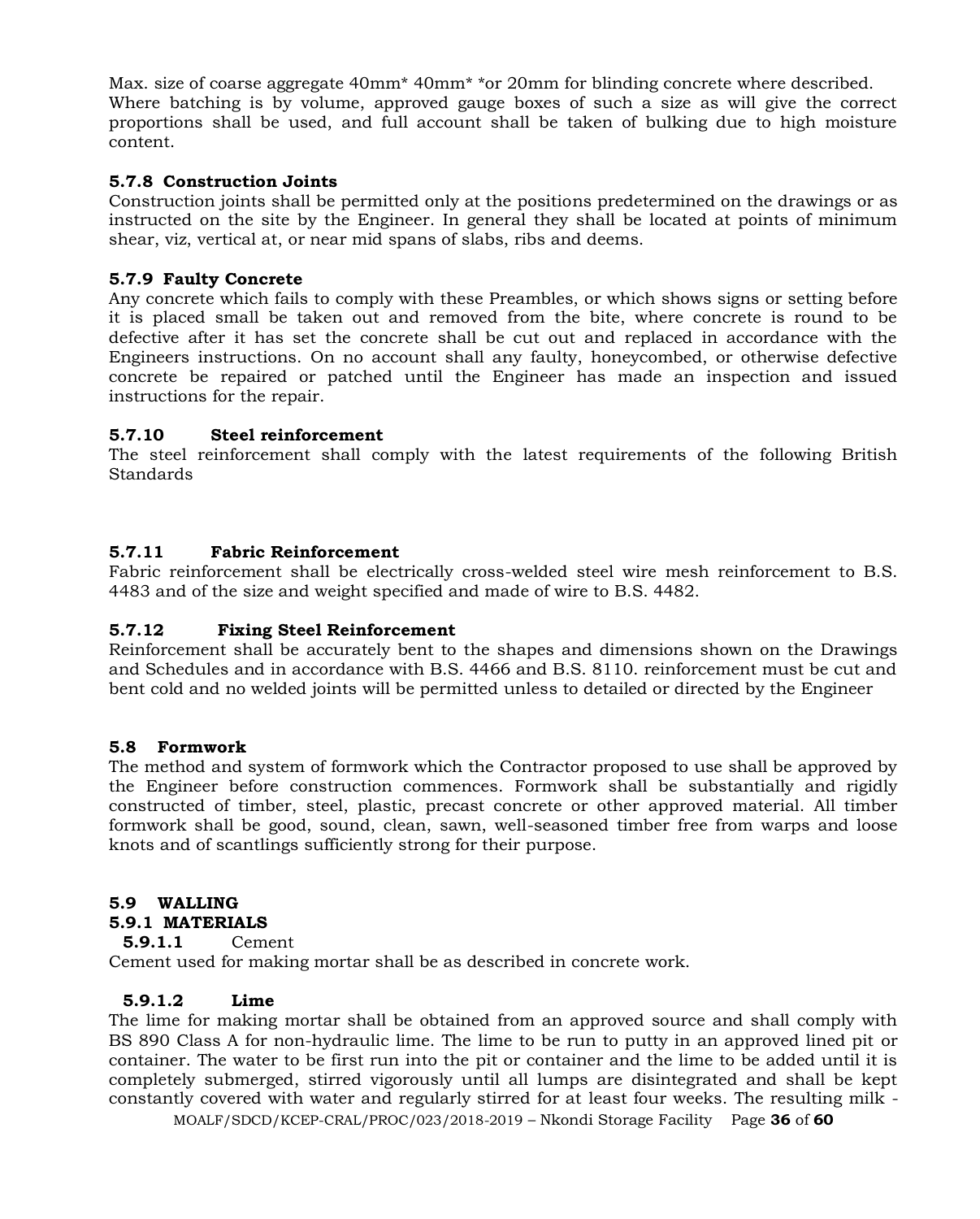Max. size of coarse aggregate 40mm\* 40mm\* \*or 20mm for blinding concrete where described. Where batching is by volume, approved gauge boxes of such a size as will give the correct proportions shall be used, and full account shall be taken of bulking due to high moisture content.

# **5.7.8 Construction Joints**

Construction joints shall be permitted only at the positions predetermined on the drawings or as instructed on the site by the Engineer. In general they shall be located at points of minimum shear, viz, vertical at, or near mid spans of slabs, ribs and deems.

# **5.7.9 Faulty Concrete**

Any concrete which fails to comply with these Preambles, or which shows signs or setting before it is placed small be taken out and removed from the bite, where concrete is round to be defective after it has set the concrete shall be cut out and replaced in accordance with the Engineers instructions. On no account shall any faulty, honeycombed, or otherwise defective concrete be repaired or patched until the Engineer has made an inspection and issued instructions for the repair.

# **5.7.10 Steel reinforcement**

The steel reinforcement shall comply with the latest requirements of the following British Standards

#### **5.7.11 Fabric Reinforcement**

Fabric reinforcement shall be electrically cross-welded steel wire mesh reinforcement to B.S. 4483 and of the size and weight specified and made of wire to B.S. 4482.

# **5.7.12 Fixing Steel Reinforcement**

Reinforcement shall be accurately bent to the shapes and dimensions shown on the Drawings and Schedules and in accordance with B.S. 4466 and B.S. 8110. reinforcement must be cut and bent cold and no welded joints will be permitted unless to detailed or directed by the Engineer

#### **5.8 Formwork**

The method and system of formwork which the Contractor proposed to use shall be approved by the Engineer before construction commences. Formwork shall be substantially and rigidly constructed of timber, steel, plastic, precast concrete or other approved material. All timber formwork shall be good, sound, clean, sawn, well-seasoned timber free from warps and loose knots and of scantlings sufficiently strong for their purpose.

# **5.9 WALLING**

#### **5.9.1 MATERIALS**

#### **5.9.1.1** Cement

Cement used for making mortar shall be as described in concrete work.

#### **5.9.1.2 Lime**

The lime for making mortar shall be obtained from an approved source and shall comply with BS 890 Class A for non-hydraulic lime. The lime to be run to putty in an approved lined pit or container. The water to be first run into the pit or container and the lime to be added until it is completely submerged, stirred vigorously until all lumps are disintegrated and shall be kept constantly covered with water and regularly stirred for at least four weeks. The resulting milk -

MOALF/SDCD/KCEP-CRAL/PROC/023/2018-2019 – Nkondi Storage Facility Page **36** of **60**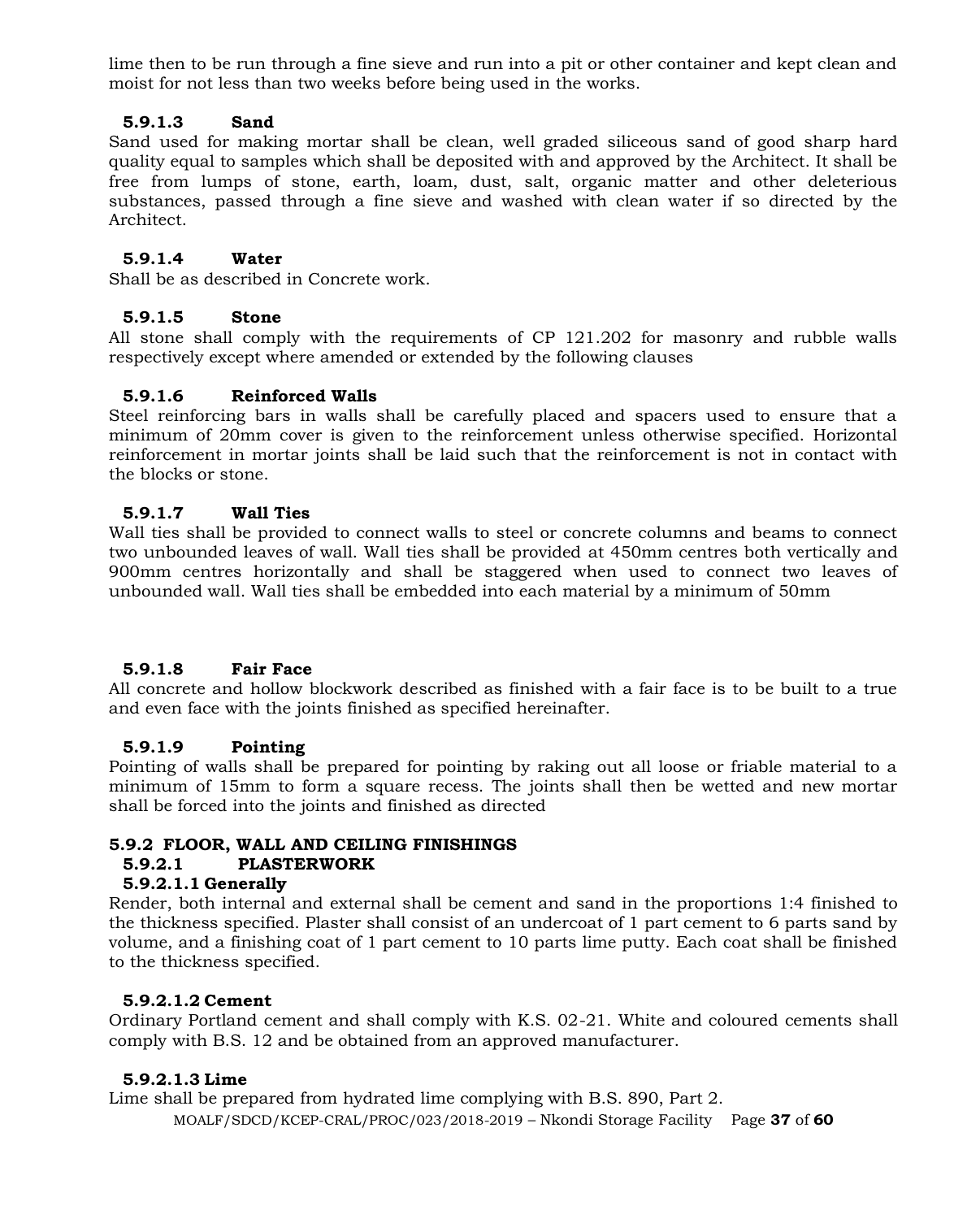lime then to be run through a fine sieve and run into a pit or other container and kept clean and moist for not less than two weeks before being used in the works.

# **5.9.1.3 Sand**

Sand used for making mortar shall be clean, well graded siliceous sand of good sharp hard quality equal to samples which shall be deposited with and approved by the Architect. It shall be free from lumps of stone, earth, loam, dust, salt, organic matter and other deleterious substances, passed through a fine sieve and washed with clean water if so directed by the Architect.

# **5.9.1.4 Water**

Shall be as described in Concrete work.

# **5.9.1.5 Stone**

All stone shall comply with the requirements of CP 121.202 for masonry and rubble walls respectively except where amended or extended by the following clauses

# **5.9.1.6 Reinforced Walls**

Steel reinforcing bars in walls shall be carefully placed and spacers used to ensure that a minimum of 20mm cover is given to the reinforcement unless otherwise specified. Horizontal reinforcement in mortar joints shall be laid such that the reinforcement is not in contact with the blocks or stone.

# **5.9.1.7 Wall Ties**

Wall ties shall be provided to connect walls to steel or concrete columns and beams to connect two unbounded leaves of wall. Wall ties shall be provided at 450mm centres both vertically and 900mm centres horizontally and shall be staggered when used to connect two leaves of unbounded wall. Wall ties shall be embedded into each material by a minimum of 50mm

# **5.9.1.8 Fair Face**

All concrete and hollow blockwork described as finished with a fair face is to be built to a true and even face with the joints finished as specified hereinafter.

# **5.9.1.9 Pointing**

Pointing of walls shall be prepared for pointing by raking out all loose or friable material to a minimum of 15mm to form a square recess. The joints shall then be wetted and new mortar shall be forced into the joints and finished as directed

# **5.9.2 FLOOR, WALL AND CEILING FINISHINGS**

# **5.9.2.1 PLASTERWORK**

# **5.9.2.1.1 Generally**

Render, both internal and external shall be cement and sand in the proportions 1:4 finished to the thickness specified. Plaster shall consist of an undercoat of 1 part cement to 6 parts sand by volume, and a finishing coat of 1 part cement to 10 parts lime putty. Each coat shall be finished to the thickness specified.

# **5.9.2.1.2 Cement**

Ordinary Portland cement and shall comply with K.S. 02-21. White and coloured cements shall comply with B.S. 12 and be obtained from an approved manufacturer.

# **5.9.2.1.3 Lime**

MOALF/SDCD/KCEP-CRAL/PROC/023/2018-2019 – Nkondi Storage Facility Page **37** of **60** Lime shall be prepared from hydrated lime complying with B.S. 890, Part 2.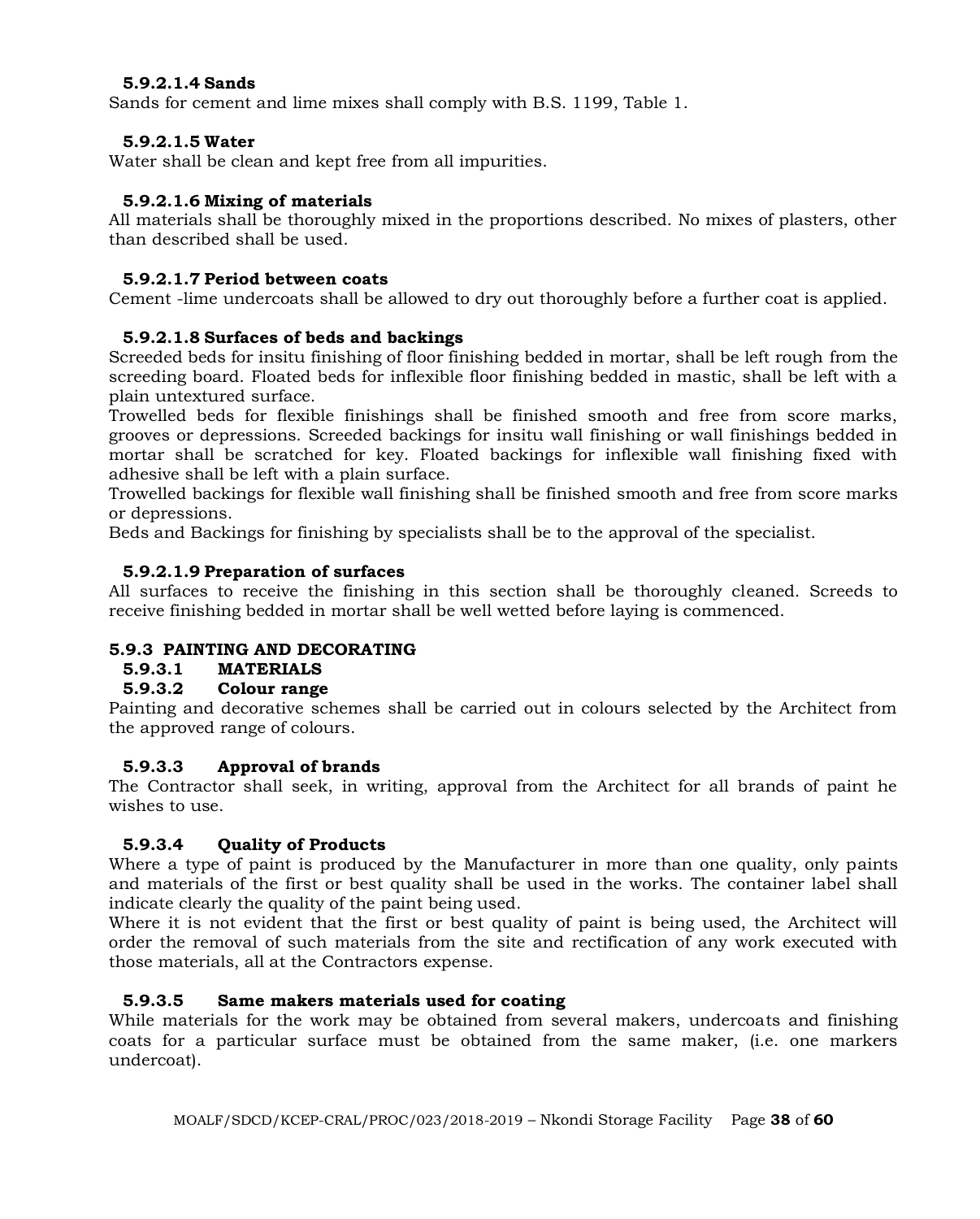#### **5.9.2.1.4 Sands**

Sands for cement and lime mixes shall comply with B.S. 1199, Table 1.

#### **5.9.2.1.5 Water**

Water shall be clean and kept free from all impurities.

#### **5.9.2.1.6 Mixing of materials**

All materials shall be thoroughly mixed in the proportions described. No mixes of plasters, other than described shall be used.

#### **5.9.2.1.7 Period between coats**

Cement -lime undercoats shall be allowed to dry out thoroughly before a further coat is applied.

#### **5.9.2.1.8 Surfaces of beds and backings**

Screeded beds for insitu finishing of floor finishing bedded in mortar, shall be left rough from the screeding board. Floated beds for inflexible floor finishing bedded in mastic, shall be left with a plain untextured surface.

Trowelled beds for flexible finishings shall be finished smooth and free from score marks, grooves or depressions. Screeded backings for insitu wall finishing or wall finishings bedded in mortar shall be scratched for key. Floated backings for inflexible wall finishing fixed with adhesive shall be left with a plain surface.

Trowelled backings for flexible wall finishing shall be finished smooth and free from score marks or depressions.

Beds and Backings for finishing by specialists shall be to the approval of the specialist.

#### **5.9.2.1.9 Preparation of surfaces**

All surfaces to receive the finishing in this section shall be thoroughly cleaned. Screeds to receive finishing bedded in mortar shall be well wetted before laying is commenced.

# **5.9.3 PAINTING AND DECORATING**

#### **5.9.3.1 MATERIALS**

#### **5.9.3.2 Colour range**

Painting and decorative schemes shall be carried out in colours selected by the Architect from the approved range of colours.

#### **5.9.3.3 Approval of brands**

The Contractor shall seek, in writing, approval from the Architect for all brands of paint he wishes to use.

# **5.9.3.4 Quality of Products**

Where a type of paint is produced by the Manufacturer in more than one quality, only paints and materials of the first or best quality shall be used in the works. The container label shall indicate clearly the quality of the paint being used.

Where it is not evident that the first or best quality of paint is being used, the Architect will order the removal of such materials from the site and rectification of any work executed with those materials, all at the Contractors expense.

# **5.9.3.5 Same makers materials used for coating**

While materials for the work may be obtained from several makers, undercoats and finishing coats for a particular surface must be obtained from the same maker, (i.e. one markers undercoat).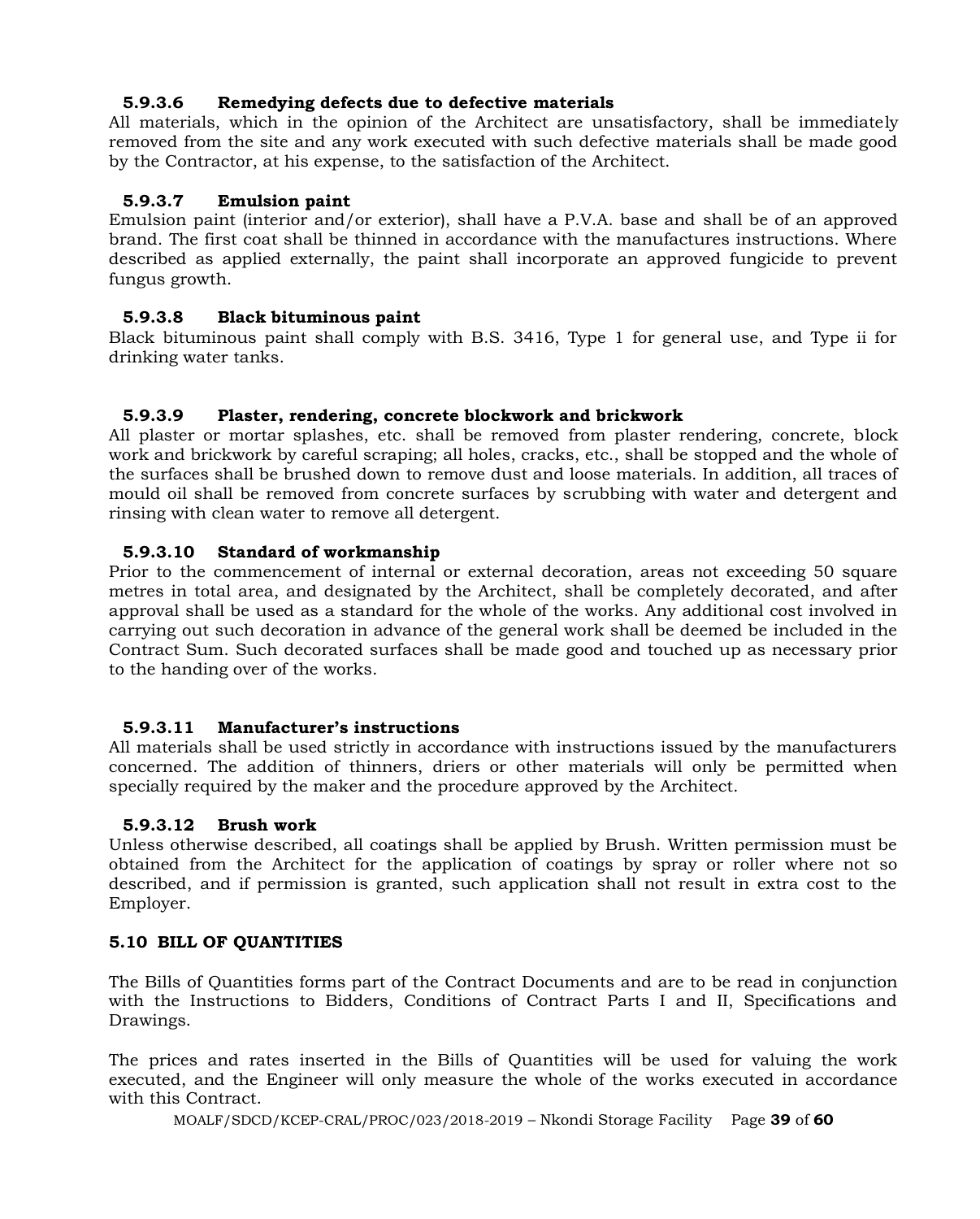# **5.9.3.6 Remedying defects due to defective materials**

All materials, which in the opinion of the Architect are unsatisfactory, shall be immediately removed from the site and any work executed with such defective materials shall be made good by the Contractor, at his expense, to the satisfaction of the Architect.

# **5.9.3.7 Emulsion paint**

Emulsion paint (interior and/or exterior), shall have a P.V.A. base and shall be of an approved brand. The first coat shall be thinned in accordance with the manufactures instructions. Where described as applied externally, the paint shall incorporate an approved fungicide to prevent fungus growth.

# **5.9.3.8 Black bituminous paint**

Black bituminous paint shall comply with B.S. 3416, Type 1 for general use, and Type ii for drinking water tanks.

# **5.9.3.9 Plaster, rendering, concrete blockwork and brickwork**

All plaster or mortar splashes, etc. shall be removed from plaster rendering, concrete, block work and brickwork by careful scraping; all holes, cracks, etc., shall be stopped and the whole of the surfaces shall be brushed down to remove dust and loose materials. In addition, all traces of mould oil shall be removed from concrete surfaces by scrubbing with water and detergent and rinsing with clean water to remove all detergent.

# **5.9.3.10 Standard of workmanship**

Prior to the commencement of internal or external decoration, areas not exceeding 50 square metres in total area, and designated by the Architect, shall be completely decorated, and after approval shall be used as a standard for the whole of the works. Any additional cost involved in carrying out such decoration in advance of the general work shall be deemed be included in the Contract Sum. Such decorated surfaces shall be made good and touched up as necessary prior to the handing over of the works.

# **5.9.3.11 Manufacturer's instructions**

All materials shall be used strictly in accordance with instructions issued by the manufacturers concerned. The addition of thinners, driers or other materials will only be permitted when specially required by the maker and the procedure approved by the Architect.

# **5.9.3.12 Brush work**

Unless otherwise described, all coatings shall be applied by Brush. Written permission must be obtained from the Architect for the application of coatings by spray or roller where not so described, and if permission is granted, such application shall not result in extra cost to the Employer.

# **5.10 BILL OF QUANTITIES**

The Bills of Quantities forms part of the Contract Documents and are to be read in conjunction with the Instructions to Bidders, Conditions of Contract Parts I and II, Specifications and Drawings.

The prices and rates inserted in the Bills of Quantities will be used for valuing the work executed, and the Engineer will only measure the whole of the works executed in accordance with this Contract.

MOALF/SDCD/KCEP-CRAL/PROC/023/2018-2019 – Nkondi Storage Facility Page **39** of **60**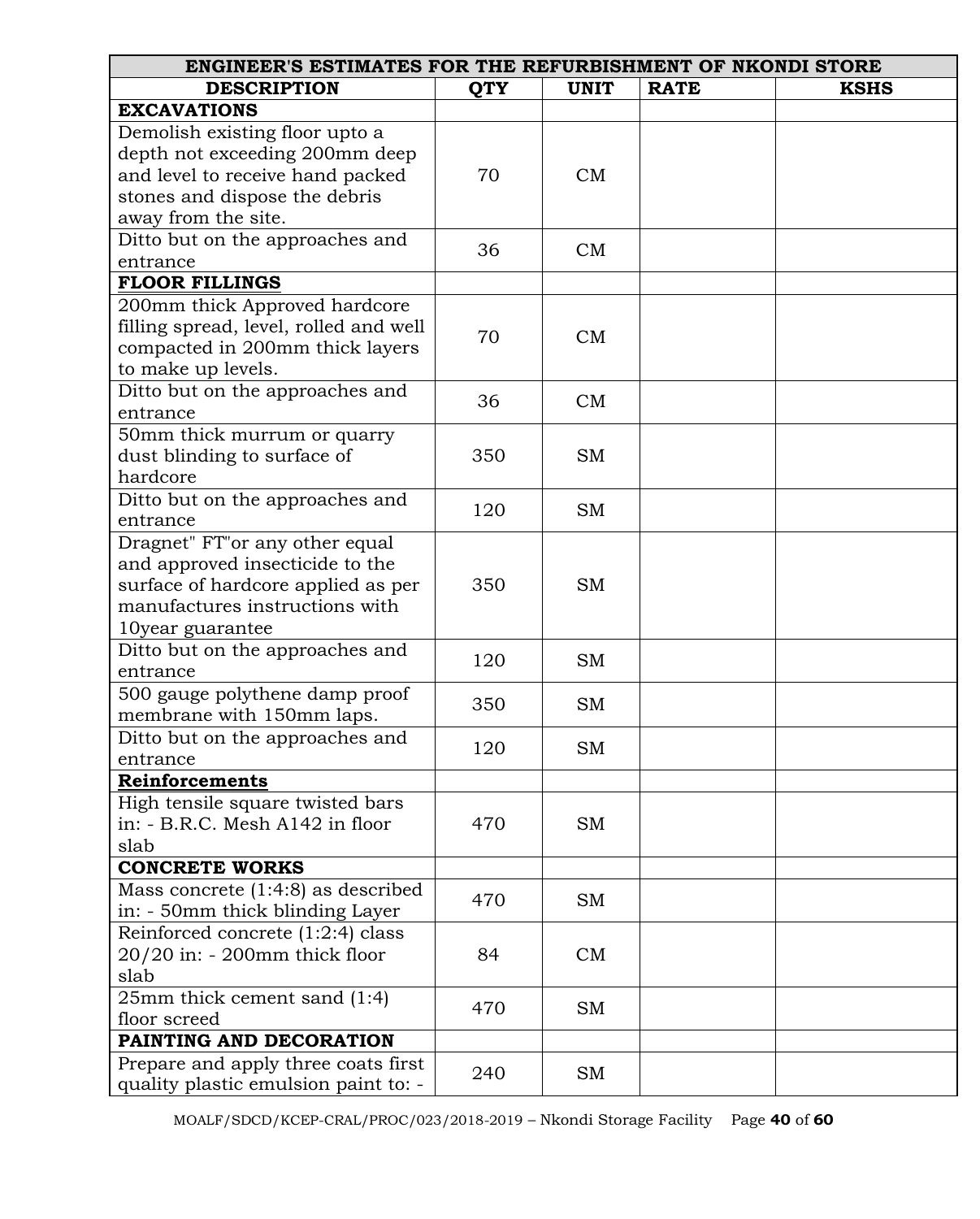| <b>ENGINEER'S ESTIMATES FOR THE REFURBISHMENT OF NKONDI STORE</b> |            |             |             |             |  |
|-------------------------------------------------------------------|------------|-------------|-------------|-------------|--|
| <b>DESCRIPTION</b>                                                | <b>QTY</b> | <b>UNIT</b> | <b>RATE</b> | <b>KSHS</b> |  |
| <b>EXCAVATIONS</b>                                                |            |             |             |             |  |
| Demolish existing floor upto a                                    |            |             |             |             |  |
| depth not exceeding 200mm deep                                    |            |             |             |             |  |
| and level to receive hand packed                                  | 70         | CM          |             |             |  |
| stones and dispose the debris                                     |            |             |             |             |  |
| away from the site.                                               |            |             |             |             |  |
| Ditto but on the approaches and                                   | 36         | CM          |             |             |  |
| entrance                                                          |            |             |             |             |  |
| <b>FLOOR FILLINGS</b>                                             |            |             |             |             |  |
| 200mm thick Approved hardcore                                     |            |             |             |             |  |
| filling spread, level, rolled and well                            | 70         | CM          |             |             |  |
| compacted in 200mm thick layers                                   |            |             |             |             |  |
| to make up levels.                                                |            |             |             |             |  |
| Ditto but on the approaches and                                   | 36         | CM          |             |             |  |
| entrance                                                          |            |             |             |             |  |
| 50mm thick murrum or quarry                                       |            |             |             |             |  |
| dust blinding to surface of                                       | 350        | <b>SM</b>   |             |             |  |
| hardcore                                                          |            |             |             |             |  |
| Ditto but on the approaches and                                   | 120        | <b>SM</b>   |             |             |  |
| entrance                                                          |            |             |             |             |  |
| Dragnet" FT"or any other equal                                    |            |             |             |             |  |
| and approved insecticide to the                                   |            |             |             |             |  |
| surface of hardcore applied as per                                | 350        | <b>SM</b>   |             |             |  |
| manufactures instructions with                                    |            |             |             |             |  |
| 10year guarantee                                                  |            |             |             |             |  |
| Ditto but on the approaches and                                   | 120        | <b>SM</b>   |             |             |  |
| entrance                                                          |            |             |             |             |  |
| 500 gauge polythene damp proof                                    | 350        | <b>SM</b>   |             |             |  |
| membrane with 150mm laps.                                         |            |             |             |             |  |
| Ditto but on the approaches and                                   | 120        | SM          |             |             |  |
| entrance                                                          |            |             |             |             |  |
| Reinforcements                                                    |            |             |             |             |  |
| High tensile square twisted bars                                  |            |             |             |             |  |
| in: - B.R.C. Mesh A142 in floor                                   | 470        | SM          |             |             |  |
| slab                                                              |            |             |             |             |  |
| <b>CONCRETE WORKS</b>                                             |            |             |             |             |  |
| Mass concrete $(1:4:8)$ as described                              | 470        | <b>SM</b>   |             |             |  |
| in: - 50mm thick blinding Layer                                   |            |             |             |             |  |
| Reinforced concrete (1:2:4) class                                 |            |             |             |             |  |
| 20/20 in: - 200mm thick floor                                     | 84         | CM          |             |             |  |
| slab                                                              |            |             |             |             |  |
| $25mm$ thick cement sand $(1:4)$                                  | 470        | <b>SM</b>   |             |             |  |
| floor screed                                                      |            |             |             |             |  |
| PAINTING AND DECORATION                                           |            |             |             |             |  |
| Prepare and apply three coats first                               | 240        | SM          |             |             |  |
| quality plastic emulsion paint to: -                              |            |             |             |             |  |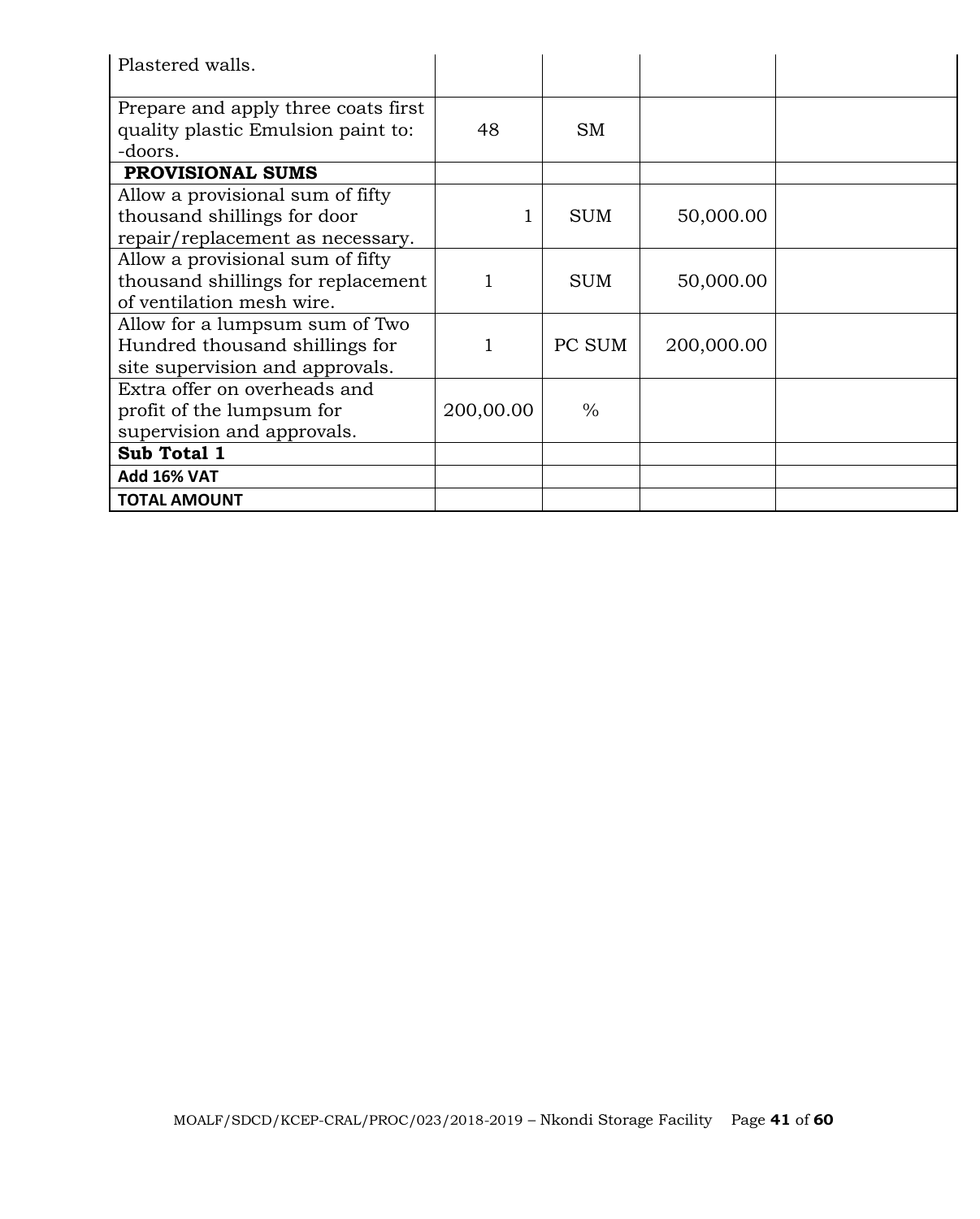| Plastered walls.                                                                                    |           |               |            |  |
|-----------------------------------------------------------------------------------------------------|-----------|---------------|------------|--|
| Prepare and apply three coats first<br>quality plastic Emulsion paint to:<br>-doors.                | 48        | <b>SM</b>     |            |  |
| <b>PROVISIONAL SUMS</b>                                                                             |           |               |            |  |
| Allow a provisional sum of fifty<br>thousand shillings for door<br>repair/replacement as necessary. |           | <b>SUM</b>    | 50,000.00  |  |
| Allow a provisional sum of fifty<br>thousand shillings for replacement<br>of ventilation mesh wire. |           | <b>SUM</b>    | 50,000.00  |  |
| Allow for a lumpsum sum of Two<br>Hundred thousand shillings for<br>site supervision and approvals. |           | PC SUM        | 200,000.00 |  |
| Extra offer on overheads and<br>profit of the lumpsum for<br>supervision and approvals.             | 200,00.00 | $\frac{0}{0}$ |            |  |
| Sub Total 1                                                                                         |           |               |            |  |
| <b>Add 16% VAT</b>                                                                                  |           |               |            |  |
| <b>TOTAL AMOUNT</b>                                                                                 |           |               |            |  |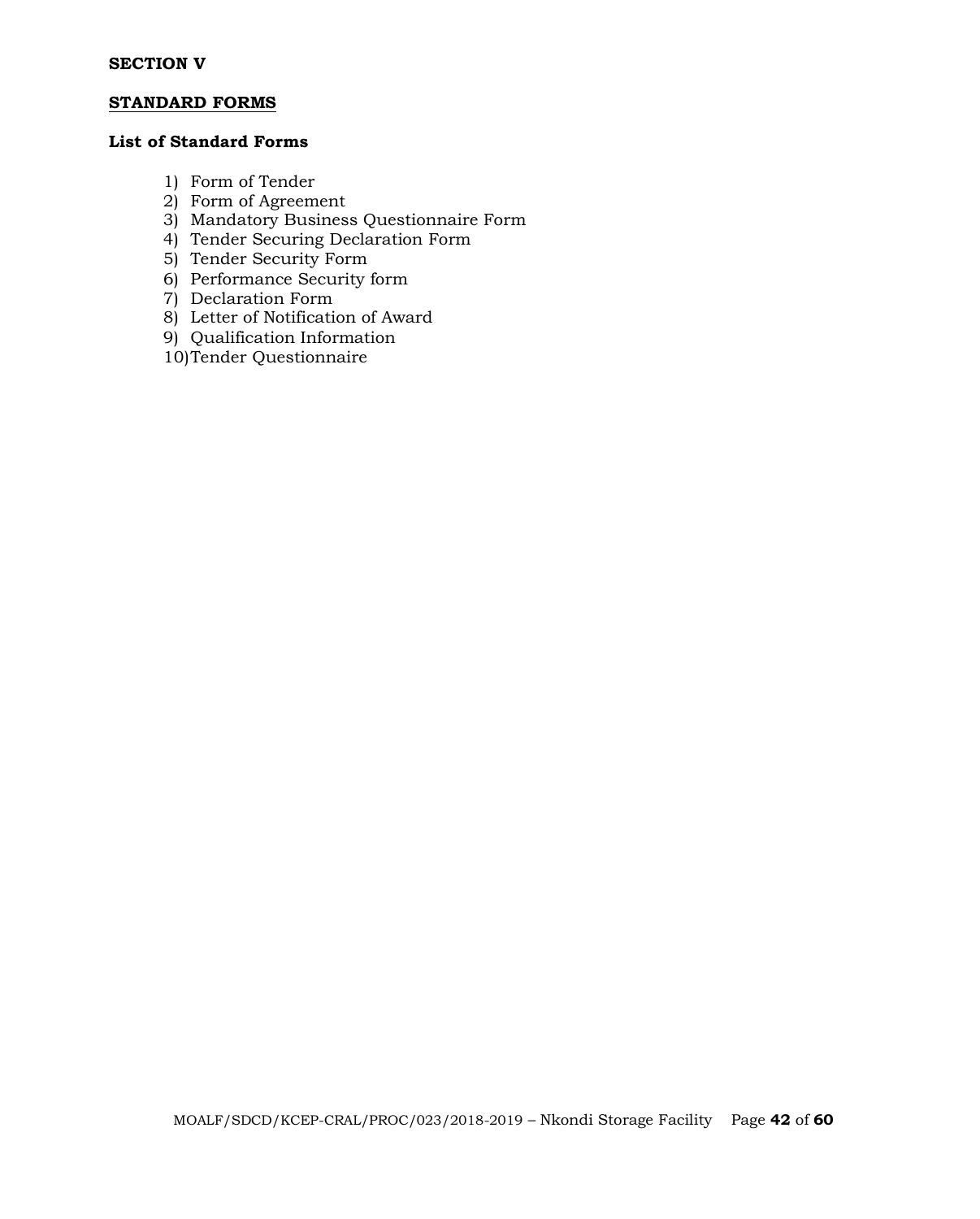#### **STANDARD FORMS**

# **List of Standard Forms**

- 1) Form of Tender
- 2) Form of Agreement
- 3) Mandatory Business Questionnaire Form
- 4) Tender Securing Declaration Form
- 5) Tender Security Form
- 6) Performance Security form
- 7) Declaration Form
- 8) Letter of Notification of Award
- 9) Qualification Information
- 10)Tender Questionnaire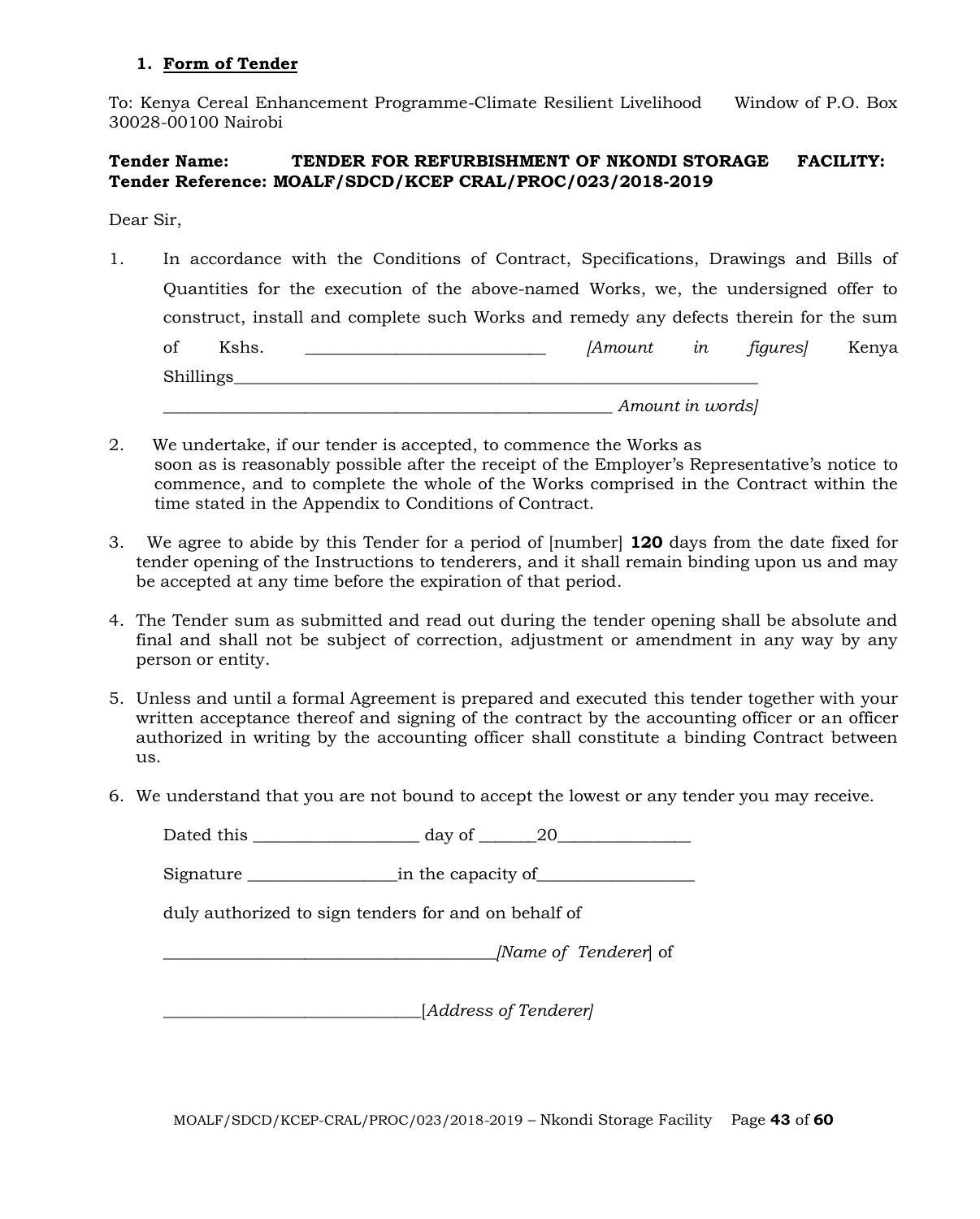#### **1. Form of Tender**

To: Kenya Cereal Enhancement Programme-Climate Resilient Livelihood Window of P.O. Box 30028-00100 Nairobi

# **Tender Name: TENDER FOR REFURBISHMENT OF NKONDI STORAGE FACILITY: Tender Reference: MOALF/SDCD/KCEP CRAL/PROC/023/2018-2019**

Dear Sir,

- 1. In accordance with the Conditions of Contract, Specifications, Drawings and Bills of Quantities for the execution of the above-named Works, we, the undersigned offer to construct, install and complete such Works and remedy any defects therein for the sum of Kshs. \_\_\_\_\_\_\_\_\_\_\_\_\_\_\_\_\_\_\_\_\_\_\_\_\_\_\_\_\_ *[Amount in figures]* Kenya Shillings*\_\_\_\_\_\_\_\_\_\_\_\_\_\_\_\_\_\_\_\_\_\_\_\_\_\_\_\_\_\_\_\_\_\_\_\_\_\_\_\_\_\_\_\_\_\_\_\_\_\_\_\_\_\_\_\_\_\_\_\_\_\_\_ \_\_\_\_\_\_\_\_\_\_\_\_\_\_\_\_\_\_\_\_\_\_\_\_\_\_\_\_\_\_\_\_\_\_\_\_\_\_\_\_\_\_\_\_\_\_\_\_\_\_\_\_\_\_ Amount in words]*
- 2. We undertake, if our tender is accepted, to commence the Works as soon as is reasonably possible after the receipt of the Employer's Representative's notice to commence, and to complete the whole of the Works comprised in the Contract within the time stated in the Appendix to Conditions of Contract.
- 3. We agree to abide by this Tender for a period of [number] **120** days from the date fixed for tender opening of the Instructions to tenderers, and it shall remain binding upon us and may be accepted at any time before the expiration of that period.
- 4. The Tender sum as submitted and read out during the tender opening shall be absolute and final and shall not be subject of correction, adjustment or amendment in any way by any person or entity.
- 5. Unless and until a formal Agreement is prepared and executed this tender together with your written acceptance thereof and signing of the contract by the accounting officer or an officer authorized in writing by the accounting officer shall constitute a binding Contract between us.
- 6. We understand that you are not bound to accept the lowest or any tender you may receive.

Dated this \_\_\_\_\_\_\_\_\_\_\_\_\_\_\_\_\_\_\_\_ day of \_\_\_\_\_\_\_20\_\_\_\_\_\_\_\_\_\_\_\_\_\_\_\_

Signature \_\_\_\_\_\_\_\_\_\_\_\_\_\_\_\_\_\_in the capacity of\_\_\_\_\_\_\_\_\_\_\_\_\_\_\_\_\_\_\_

duly authorized to sign tenders for and on behalf of

*\_\_\_\_\_\_\_\_\_\_\_\_\_\_\_\_\_\_\_\_\_\_\_\_\_\_\_\_\_\_\_\_\_\_\_\_\_\_\_\_[Name of Tenderer*] of

*\_\_\_\_\_\_\_*\_\_\_\_\_\_\_\_\_\_\_\_\_\_\_\_\_\_\_\_\_\_\_\_[*Address of Tenderer]*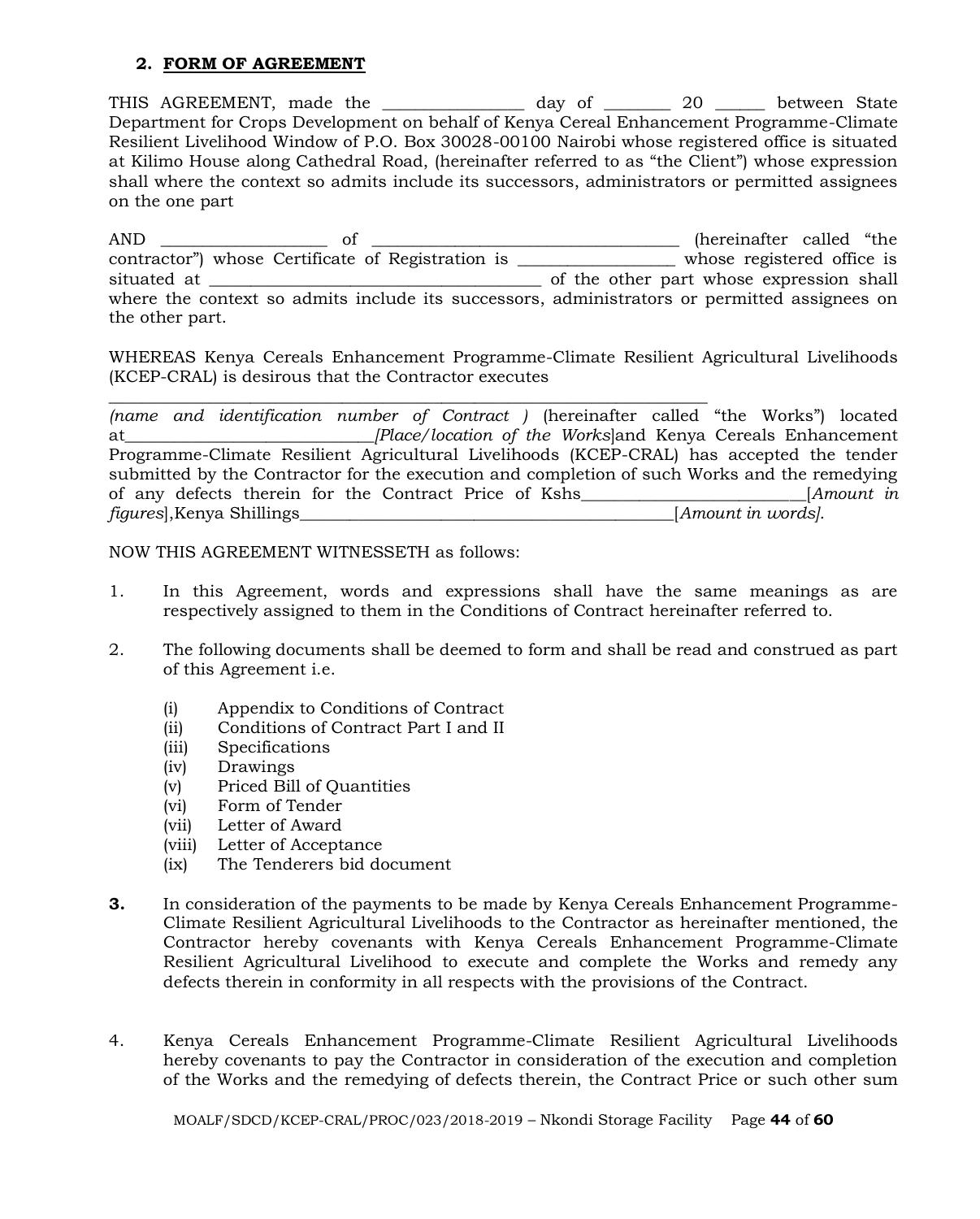#### **2. FORM OF AGREEMENT**

THIS AGREEMENT, made the \_\_\_\_\_\_\_\_\_\_\_\_\_\_\_\_ day of \_\_\_\_\_\_\_\_ 20 \_\_\_\_\_\_ between State Department for Crops Development on behalf of Kenya Cereal Enhancement Programme-Climate Resilient Livelihood Window of P.O. Box 30028-00100 Nairobi whose registered office is situated at Kilimo House along Cathedral Road, (hereinafter referred to as "the Client") whose expression shall where the context so admits include its successors, administrators or permitted assignees on the one part

AND \_\_\_\_\_\_\_\_\_\_\_\_\_\_\_\_\_\_\_\_ of \_\_\_\_\_\_\_\_\_\_\_\_\_\_\_\_\_\_\_\_\_\_\_\_\_\_\_\_\_\_\_\_\_\_\_\_\_ (hereinafter called "the contractor") whose Certificate of Registration is \_\_\_\_\_\_\_\_\_\_\_\_\_\_\_\_\_\_\_ whose registered office is situated at \_\_\_\_\_\_\_\_\_\_\_\_\_\_\_\_\_\_\_\_\_\_\_\_\_\_\_\_\_\_\_\_\_\_\_\_\_\_\_\_ of the other part whose expression shall where the context so admits include its successors, administrators or permitted assignees on the other part.

WHEREAS Kenya Cereals Enhancement Programme-Climate Resilient Agricultural Livelihoods (KCEP-CRAL) is desirous that the Contractor executes

\_\_\_\_\_\_\_\_\_\_\_\_\_\_\_\_\_\_\_\_\_\_\_\_\_\_\_\_\_\_\_\_\_\_\_\_\_\_\_\_\_\_\_\_\_\_\_\_\_\_\_\_\_\_\_\_\_\_\_\_\_\_\_\_\_\_\_\_\_\_\_\_

*(name and identification number of Contract )* (hereinafter called "the Works") located at*\_\_\_\_\_\_\_\_\_\_\_\_\_\_\_\_\_\_\_\_\_\_\_\_\_\_\_\_\_\_[Place/location of the Works*]and Kenya Cereals Enhancement Programme-Climate Resilient Agricultural Livelihoods (KCEP-CRAL) has accepted the tender submitted by the Contractor for the execution and completion of such Works and the remedying of any defects therein for the Contract Price of Kshs\_\_\_\_\_\_\_\_\_\_\_\_\_\_\_\_\_\_\_\_\_\_\_\_\_\_\_[*Amount in figures*],Kenya Shillings\_\_\_\_\_\_\_\_\_\_\_\_\_\_\_\_\_\_\_\_\_\_\_\_\_\_\_\_\_\_\_\_\_\_\_\_\_\_\_\_\_\_\_\_\_[*Amount in words].*

NOW THIS AGREEMENT WITNESSETH as follows:

- 1. In this Agreement, words and expressions shall have the same meanings as are respectively assigned to them in the Conditions of Contract hereinafter referred to.
- 2. The following documents shall be deemed to form and shall be read and construed as part of this Agreement i.e.
	- (i) Appendix to Conditions of Contract
	- (ii) Conditions of Contract Part I and II
	- (iii) Specifications
	- (iv) Drawings
	- (v) Priced Bill of Quantities
	- (vi) Form of Tender
	- (vii) Letter of Award
	- (viii) Letter of Acceptance
	- (ix) The Tenderers bid document
- **3.** In consideration of the payments to be made by Kenya Cereals Enhancement Programme-Climate Resilient Agricultural Livelihoods to the Contractor as hereinafter mentioned, the Contractor hereby covenants with Kenya Cereals Enhancement Programme-Climate Resilient Agricultural Livelihood to execute and complete the Works and remedy any defects therein in conformity in all respects with the provisions of the Contract.
- 4. Kenya Cereals Enhancement Programme-Climate Resilient Agricultural Livelihoods hereby covenants to pay the Contractor in consideration of the execution and completion of the Works and the remedying of defects therein, the Contract Price or such other sum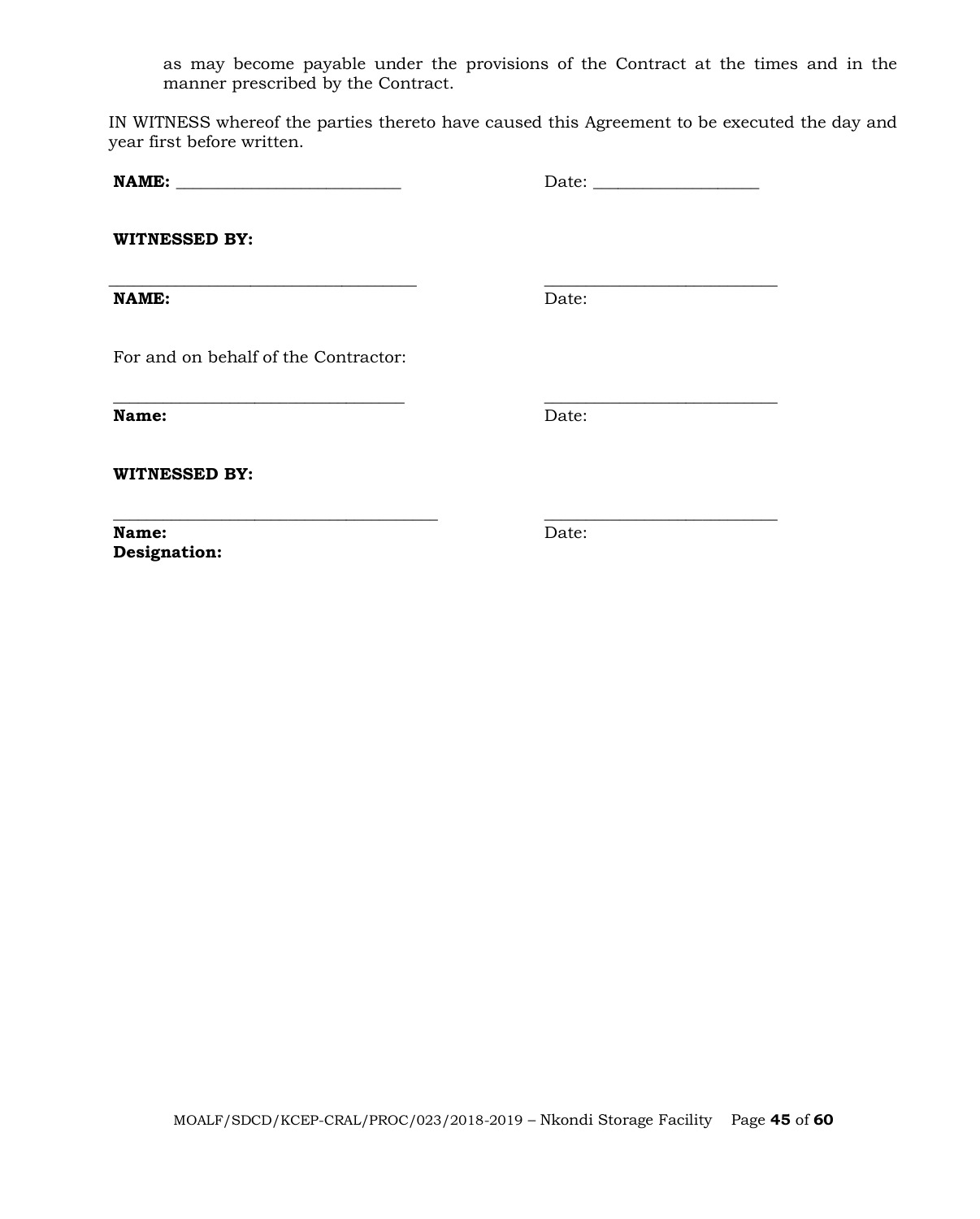as may become payable under the provisions of the Contract at the times and in the manner prescribed by the Contract.

IN WITNESS whereof the parties thereto have caused this Agreement to be executed the day and year first before written.

**\_\_\_\_\_\_\_\_\_\_\_\_\_\_\_\_\_\_\_\_\_\_\_\_\_\_\_\_\_\_\_\_\_\_\_ \_\_\_\_\_\_\_\_\_\_\_\_\_\_\_\_\_\_\_\_\_\_\_\_\_\_\_\_**

**NAME: \_\_\_\_\_\_\_\_\_\_\_\_\_\_\_\_\_\_\_\_\_\_\_\_\_\_\_** Date: \_\_\_\_\_\_\_\_\_\_\_\_\_\_\_\_\_\_\_\_

**WITNESSED BY:**

**\_\_\_\_\_\_\_\_\_\_\_\_\_\_\_\_\_\_\_\_\_\_\_\_\_\_\_\_\_\_\_\_\_\_\_\_\_ \_\_\_\_\_\_\_\_\_\_\_\_\_\_\_\_\_\_\_\_\_\_\_\_\_\_\_\_ NAME:** Date:

For and on behalf of the Contractor:

**Name:** Date:

**WITNESSED BY:**

**\_\_\_\_\_\_\_\_\_\_\_\_\_\_\_\_\_\_\_\_\_\_\_\_\_\_\_\_\_\_\_\_\_\_\_\_\_\_\_ \_\_\_\_\_\_\_\_\_\_\_\_\_\_\_\_\_\_\_\_\_\_\_\_\_\_\_\_ Name:** Date: **Designation:**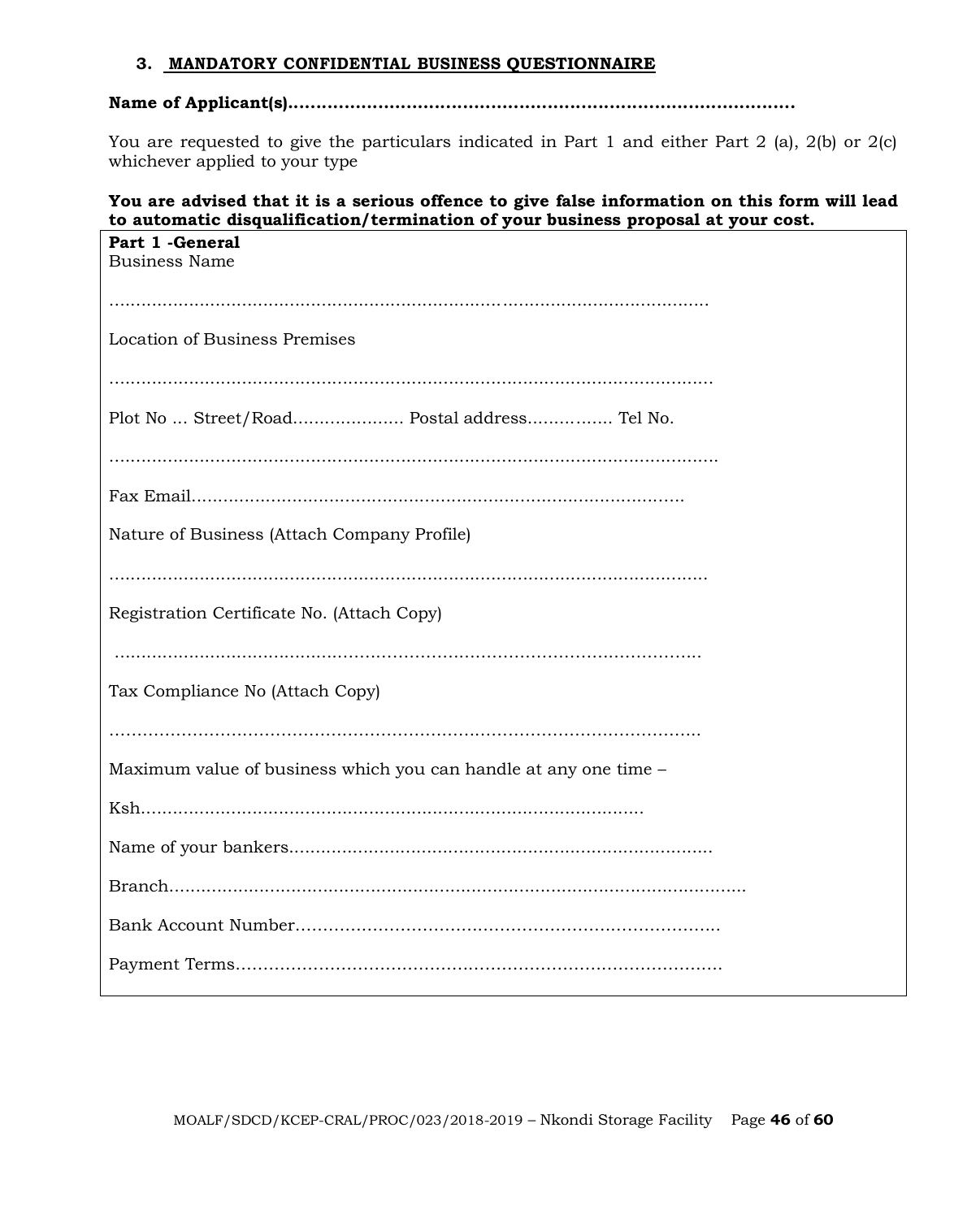#### **3. MANDATORY CONFIDENTIAL BUSINESS QUESTIONNAIRE**

# **Name of Applicant(s)..........................................................................................**

You are requested to give the particulars indicated in Part 1 and either Part 2 (a), 2(b) or 2(c) whichever applied to your type

#### **You are advised that it is a serious offence to give false information on this form will lead to automatic disqualification/termination of your business proposal at your cost.**

| Part 1 - General<br><b>Business Name</b>                         |
|------------------------------------------------------------------|
|                                                                  |
| <b>Location of Business Premises</b>                             |
|                                                                  |
| Plot No  Street/Road Postal address Tel No.                      |
|                                                                  |
|                                                                  |
| Nature of Business (Attach Company Profile)                      |
|                                                                  |
| Registration Certificate No. (Attach Copy)                       |
|                                                                  |
| Tax Compliance No (Attach Copy)                                  |
|                                                                  |
| Maximum value of business which you can handle at any one time - |
|                                                                  |
|                                                                  |
|                                                                  |
|                                                                  |
|                                                                  |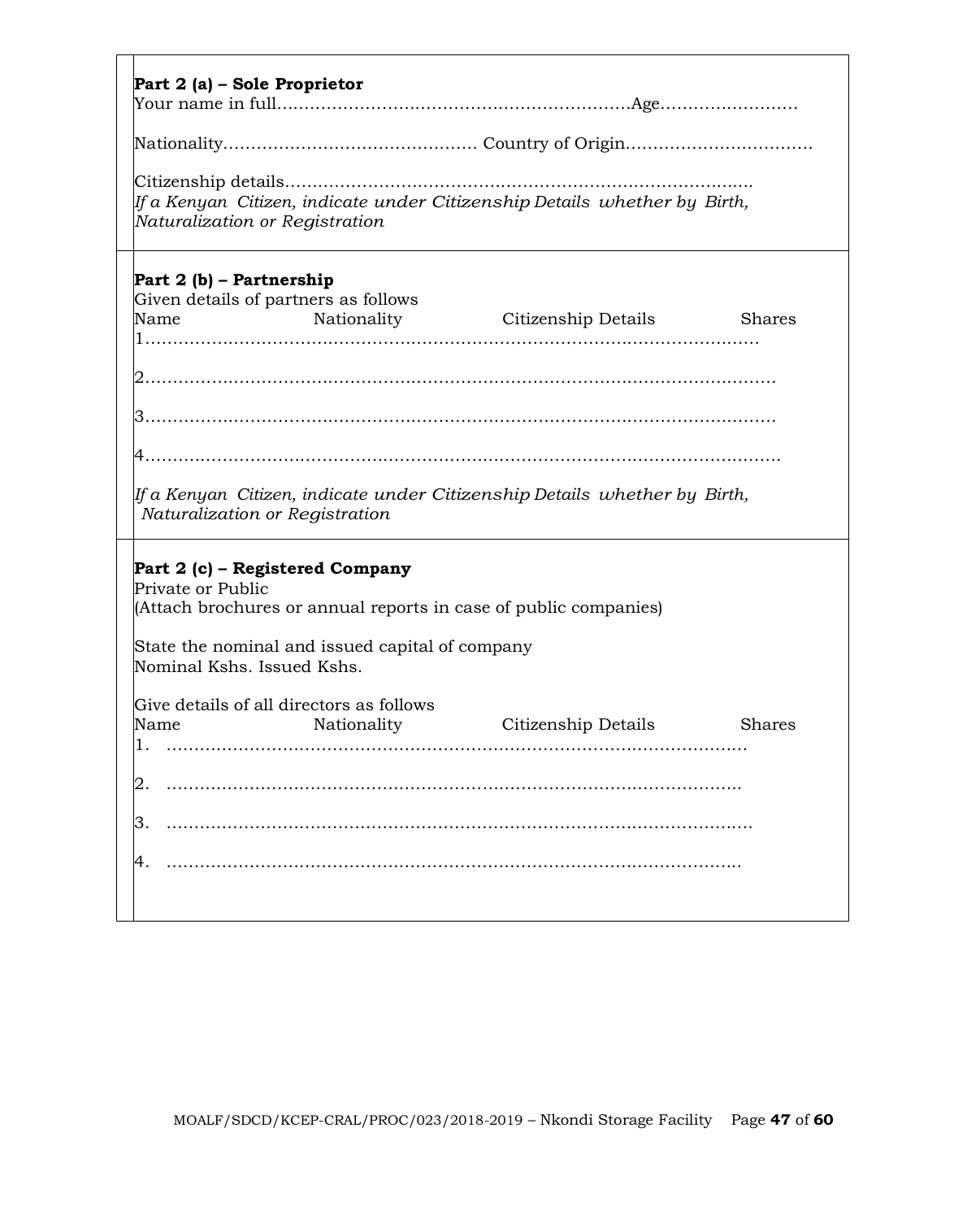|                                                 |                                                                  | If a Kenyan Citizen, indicate under Citizenship Details whether by Birth,    |               |
|-------------------------------------------------|------------------------------------------------------------------|------------------------------------------------------------------------------|---------------|
|                                                 | Naturalization or Registration                                   |                                                                              |               |
| Part 2 (b) – Partnership                        |                                                                  |                                                                              |               |
| Name                                            | Given details of partners as follows<br>Nationality              | Citizenship Details                                                          | <b>Shares</b> |
|                                                 |                                                                  |                                                                              |               |
|                                                 |                                                                  |                                                                              |               |
|                                                 |                                                                  |                                                                              |               |
|                                                 |                                                                  |                                                                              |               |
|                                                 |                                                                  |                                                                              |               |
|                                                 |                                                                  |                                                                              |               |
|                                                 |                                                                  |                                                                              |               |
|                                                 |                                                                  | If a Kenyan  Citizen, indicate under Citizenship Details  whether by  Birth, |               |
|                                                 | Naturalization or Registration                                   |                                                                              |               |
|                                                 |                                                                  |                                                                              |               |
|                                                 | Part 2 (c) – Registered Company                                  |                                                                              |               |
|                                                 | (Attach brochures or annual reports in case of public companies) |                                                                              |               |
|                                                 |                                                                  |                                                                              |               |
|                                                 | State the nominal and issued capital of company                  |                                                                              |               |
| Private or Public<br>Nominal Kshs. Issued Kshs. |                                                                  |                                                                              |               |
|                                                 | Give details of all directors as follows                         |                                                                              |               |
|                                                 | Nationality                                                      | Citizenship Details                                                          | <b>Shares</b> |
|                                                 |                                                                  |                                                                              |               |
| Name                                            |                                                                  |                                                                              |               |
| 3                                               |                                                                  |                                                                              |               |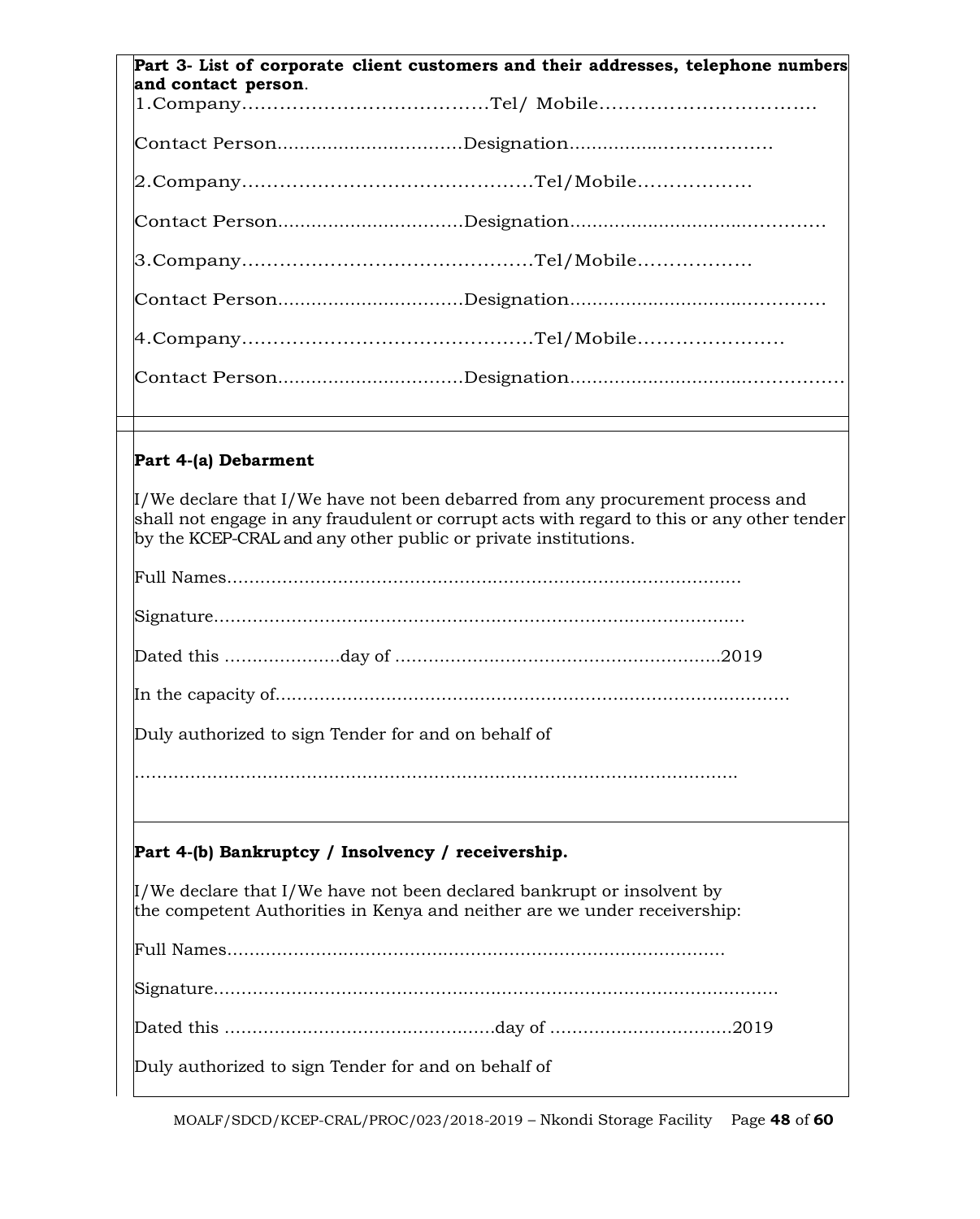| Part 3- List of corporate client customers and their addresses, telephone numbers<br>and contact person.                                                                                                                                                            |  |  |  |  |
|---------------------------------------------------------------------------------------------------------------------------------------------------------------------------------------------------------------------------------------------------------------------|--|--|--|--|
|                                                                                                                                                                                                                                                                     |  |  |  |  |
|                                                                                                                                                                                                                                                                     |  |  |  |  |
|                                                                                                                                                                                                                                                                     |  |  |  |  |
|                                                                                                                                                                                                                                                                     |  |  |  |  |
|                                                                                                                                                                                                                                                                     |  |  |  |  |
|                                                                                                                                                                                                                                                                     |  |  |  |  |
|                                                                                                                                                                                                                                                                     |  |  |  |  |
|                                                                                                                                                                                                                                                                     |  |  |  |  |
|                                                                                                                                                                                                                                                                     |  |  |  |  |
|                                                                                                                                                                                                                                                                     |  |  |  |  |
| Part 4-(a) Debarment                                                                                                                                                                                                                                                |  |  |  |  |
| $\mathbb{I}/\mathbb{W}$ e declare that I/We have not been debarred from any procurement process and<br>shall not engage in any fraudulent or corrupt acts with regard to this or any other tender<br>by the KCEP-CRAL and any other public or private institutions. |  |  |  |  |
|                                                                                                                                                                                                                                                                     |  |  |  |  |
|                                                                                                                                                                                                                                                                     |  |  |  |  |

Dated this …………………day of …………………………………………………..2019

In the capacity of…………………………………………………………………………………

Duly authorized to sign Tender for and on behalf of

# **Part 4-(b) Bankruptcy / Insolvency / receivership.**

 $\mu$ /We declare that I/We have not been declared bankrupt or insolvent by the competent Authorities in Kenya and neither are we under receivership:

Full Names………………………………………………………………………………

Dated this …………………………….……………day of ……………………………2019

Duly authorized to sign Tender for and on behalf of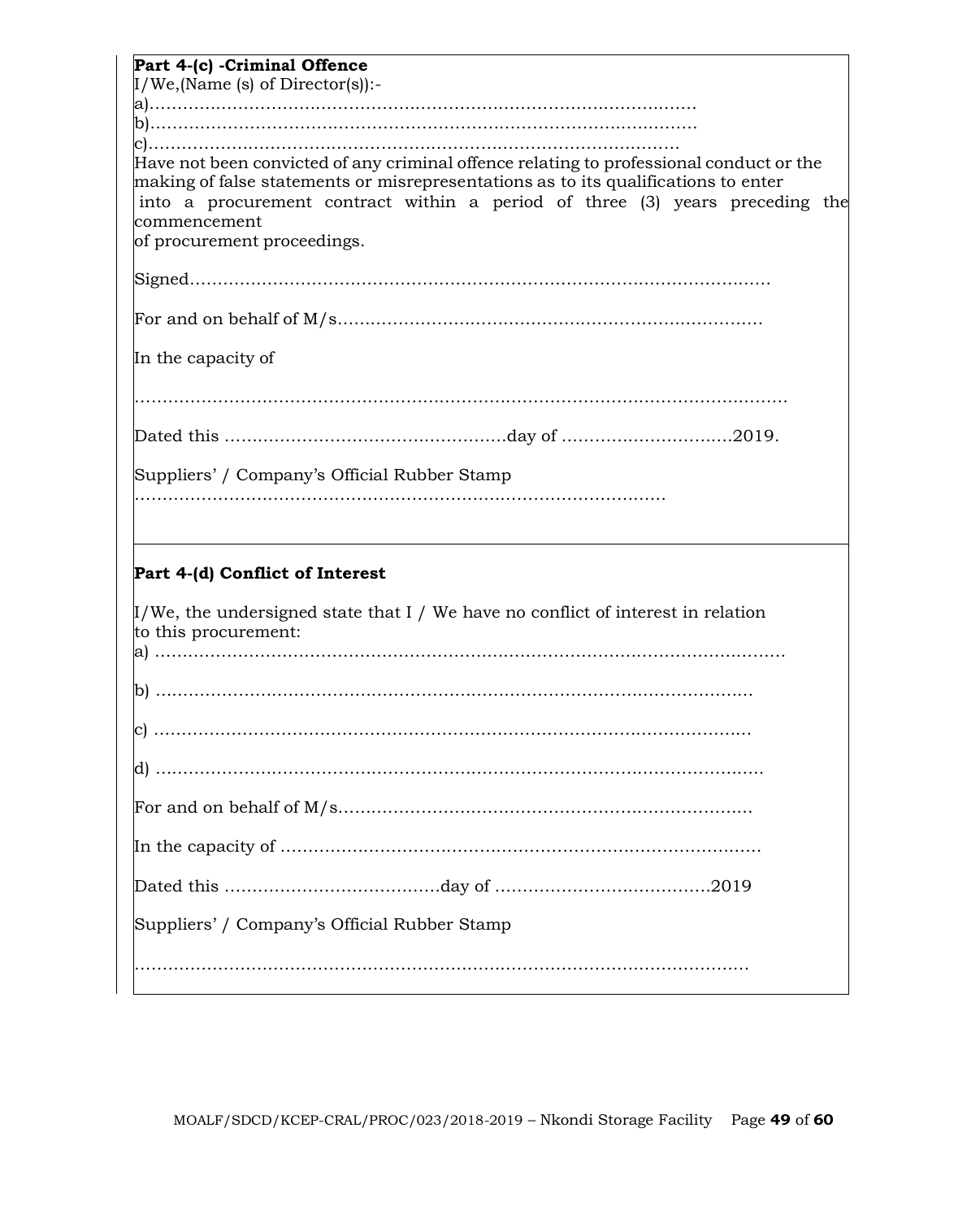| Part 4-(c) -Criminal Offence<br>$I/We$ , (Name (s) of Director(s)):-                                                                                                                                                                                                                                                 |
|----------------------------------------------------------------------------------------------------------------------------------------------------------------------------------------------------------------------------------------------------------------------------------------------------------------------|
|                                                                                                                                                                                                                                                                                                                      |
|                                                                                                                                                                                                                                                                                                                      |
| ${\rm Have}$ not been convicted of any criminal offence relating to professional conduct or the<br>making of false statements or misrepresentations as to its qualifications to enter<br>into a procurement contract within a period of three (3) years preceding the<br>commencement<br>of procurement proceedings. |
|                                                                                                                                                                                                                                                                                                                      |
|                                                                                                                                                                                                                                                                                                                      |
| In the capacity of                                                                                                                                                                                                                                                                                                   |
|                                                                                                                                                                                                                                                                                                                      |
|                                                                                                                                                                                                                                                                                                                      |
| Suppliers' / Company's Official Rubber Stamp                                                                                                                                                                                                                                                                         |
|                                                                                                                                                                                                                                                                                                                      |
| Part 4-(d) Conflict of Interest                                                                                                                                                                                                                                                                                      |
| $\mu$ /We, the undersigned state that I / We have no conflict of interest in relation<br>to this procurement:                                                                                                                                                                                                        |
|                                                                                                                                                                                                                                                                                                                      |
|                                                                                                                                                                                                                                                                                                                      |
|                                                                                                                                                                                                                                                                                                                      |
|                                                                                                                                                                                                                                                                                                                      |
|                                                                                                                                                                                                                                                                                                                      |
|                                                                                                                                                                                                                                                                                                                      |
|                                                                                                                                                                                                                                                                                                                      |
| Suppliers' / Company's Official Rubber Stamp                                                                                                                                                                                                                                                                         |
|                                                                                                                                                                                                                                                                                                                      |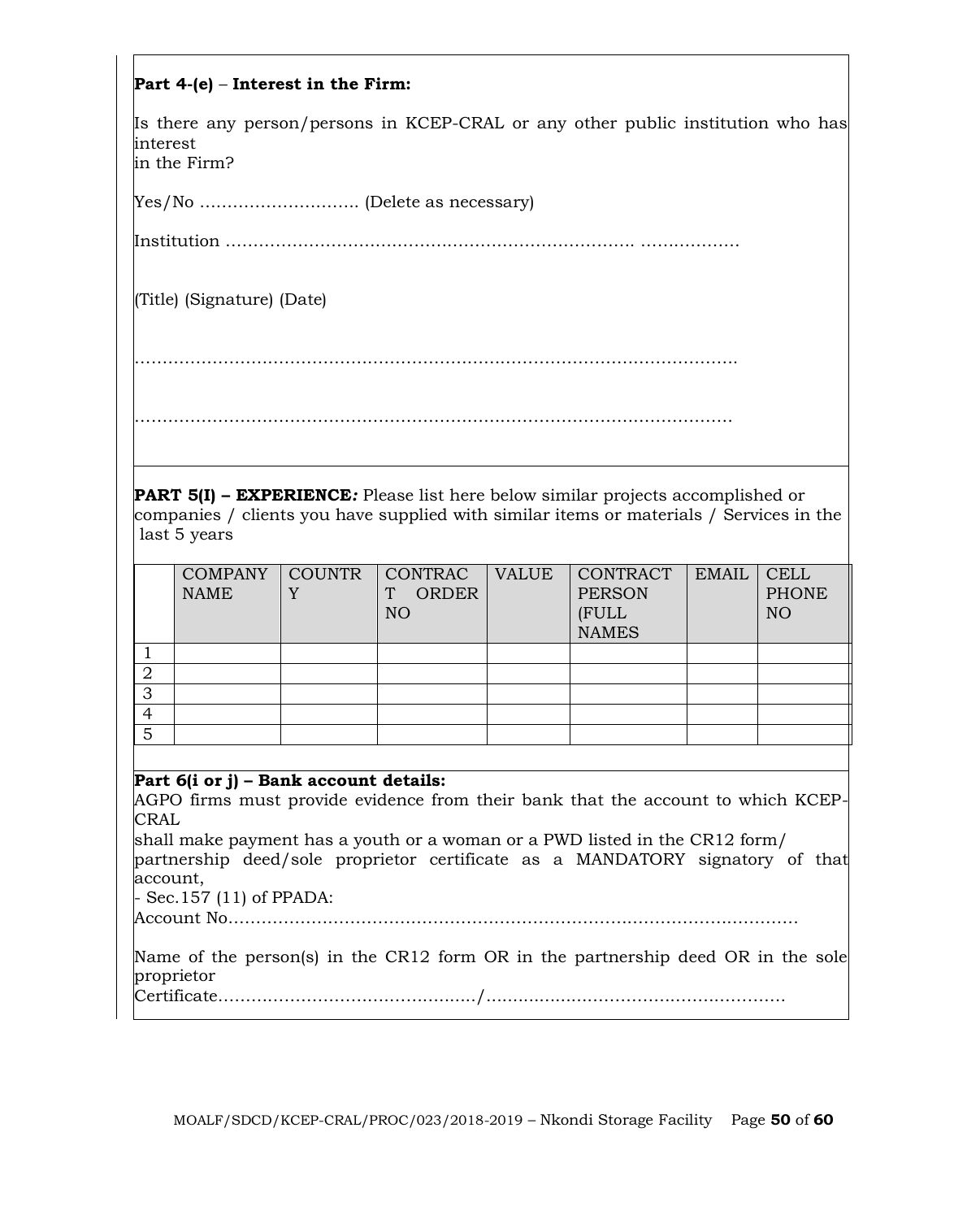# **Part 4-(e)** – **Interest in the Firm:**

Is there any person/persons in KCEP-CRAL or any other public institution who has interest in the Firm?

Yes/No ……………………….. (Delete as necessary)

Institution ………………………….……………………………………. ………………

(Title) (Signature) (Date)

……………………………………………………………………………………………….

………………………………………………………………………………………………

**PART 5(I) – EXPERIENCE***:* Please list here below similar projects accomplished or companies / clients you have supplied with similar items or materials / Services in the last 5 years

|   | <b>COMPANY</b><br><b>NAME</b> | <b>COUNTR</b> | CONTRAC<br><b>ORDER</b><br>N <sub>O</sub> | <b>VALUE</b> | <b>CONTRACT</b><br><b>PERSON</b><br>(FULL<br><b>NAMES</b> | <b>EMAIL</b> | <b>CELL</b><br><b>PHONE</b><br>NO |
|---|-------------------------------|---------------|-------------------------------------------|--------------|-----------------------------------------------------------|--------------|-----------------------------------|
|   |                               |               |                                           |              |                                                           |              |                                   |
|   |                               |               |                                           |              |                                                           |              |                                   |
| З |                               |               |                                           |              |                                                           |              |                                   |
|   |                               |               |                                           |              |                                                           |              |                                   |
| 5 |                               |               |                                           |              |                                                           |              |                                   |

# **Part 6(i or j) – Bank account details:**

AGPO firms must provide evidence from their bank that the account to which KCEP-CRAL

shall make payment has a youth or a woman or a PWD listed in the CR12 form/ partnership deed/sole proprietor certificate as a MANDATORY signatory of that account,

- Sec.157 (11) of PPADA:

Account No………………………………………………………………………………………….

Name of the person(s) in the CR12 form OR in the partnership deed OR in the sole proprietor Certificate………………………….………......./...................……………..……………….

MOALF/SDCD/KCEP-CRAL/PROC/023/2018-2019 – Nkondi Storage Facility Page **50** of **60**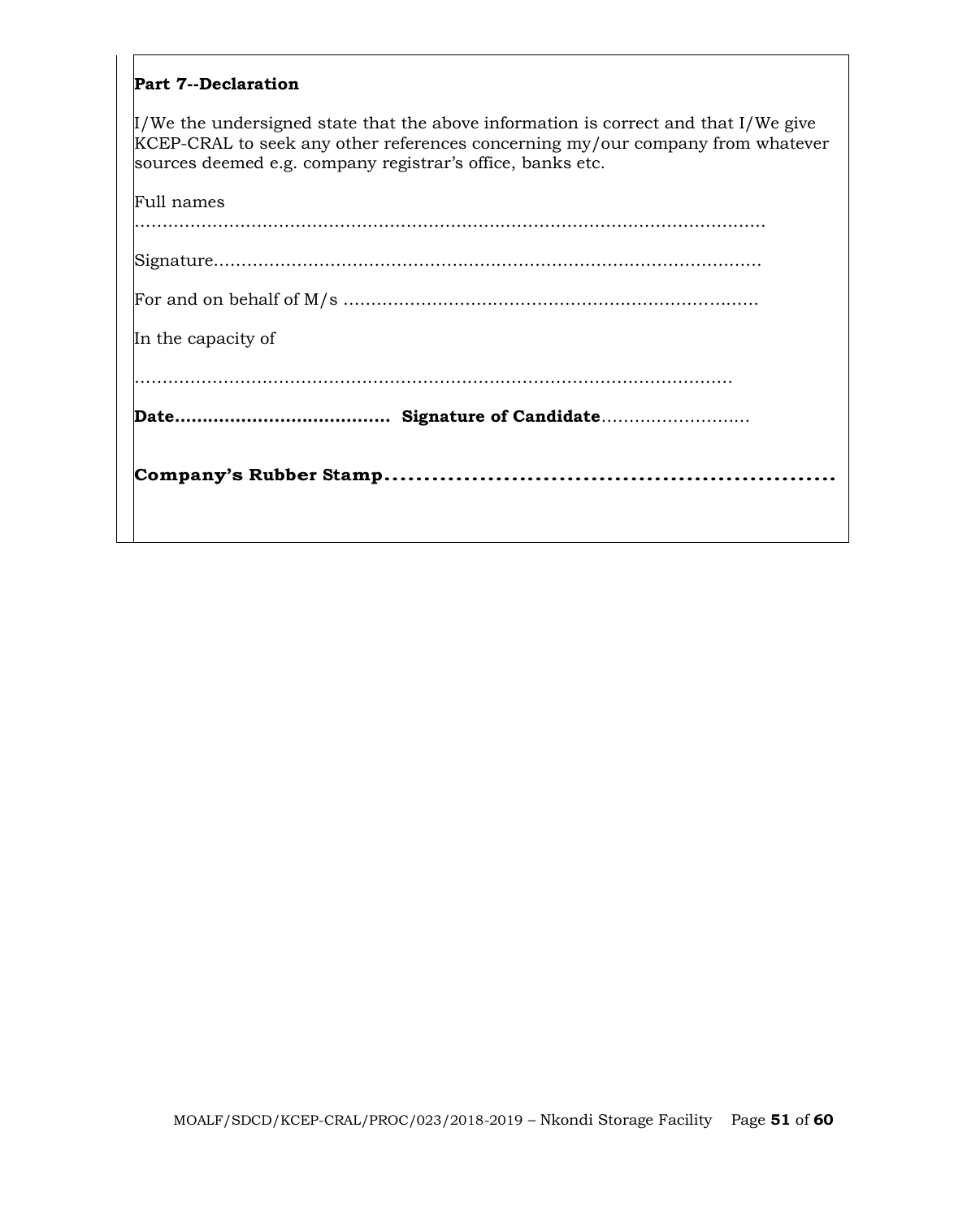#### **Part 7--Declaration**

I/We the undersigned state that the above information is correct and that I/We give KCEP-CRAL to seek any other references concerning my/our company from whatever sources deemed e.g. company registrar's office, banks etc.

| In the capacity of |
|--------------------|
|                    |
|                    |
|                    |
|                    |
|                    |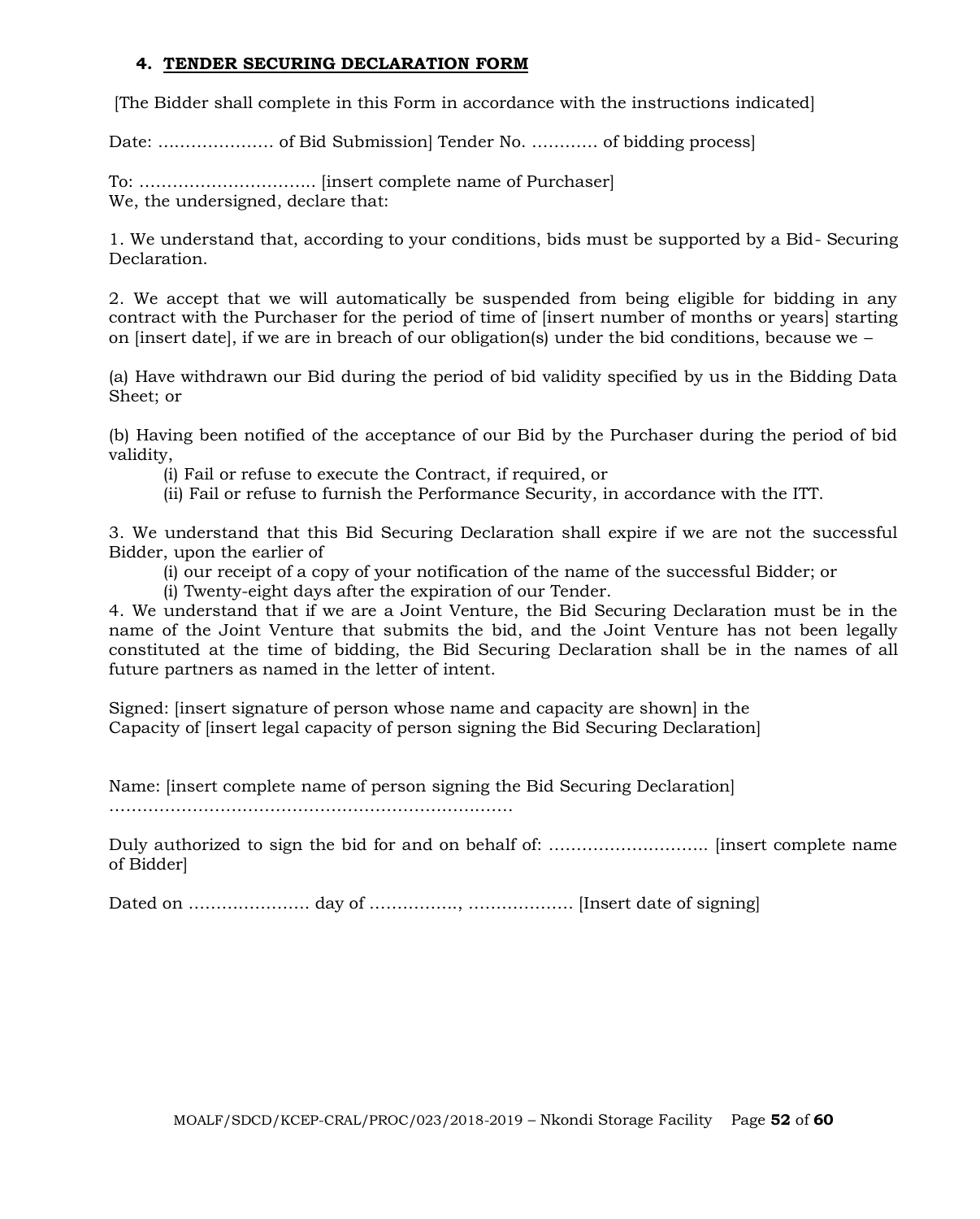# **4. TENDER SECURING DECLARATION FORM**

[The Bidder shall complete in this Form in accordance with the instructions indicated]

Date: ………………… of Bid Submission] Tender No. ………… of bidding process]

To: ………………………….. [insert complete name of Purchaser] We, the undersigned, declare that:

1. We understand that, according to your conditions, bids must be supported by a Bid- Securing Declaration.

2. We accept that we will automatically be suspended from being eligible for bidding in any contract with the Purchaser for the period of time of linsert number of months or years starting on [insert date], if we are in breach of our obligation(s) under the bid conditions, because we  $-$ 

(a) Have withdrawn our Bid during the period of bid validity specified by us in the Bidding Data Sheet; or

(b) Having been notified of the acceptance of our Bid by the Purchaser during the period of bid validity,

(i) Fail or refuse to execute the Contract, if required, or

(ii) Fail or refuse to furnish the Performance Security, in accordance with the ITT.

3. We understand that this Bid Securing Declaration shall expire if we are not the successful Bidder, upon the earlier of

(i) our receipt of a copy of your notification of the name of the successful Bidder; or

(i) Twenty-eight days after the expiration of our Tender.

4. We understand that if we are a Joint Venture, the Bid Securing Declaration must be in the name of the Joint Venture that submits the bid, and the Joint Venture has not been legally constituted at the time of bidding, the Bid Securing Declaration shall be in the names of all future partners as named in the letter of intent.

Signed: [insert signature of person whose name and capacity are shown] in the Capacity of [insert legal capacity of person signing the Bid Securing Declaration]

Name: [insert complete name of person signing the Bid Securing Declaration]

……………………………………………………………….

Duly authorized to sign the bid for and on behalf of: ……………………………………… [insert complete name of Bidder]

Dated on …………………. day of ……………., ………………. [Insert date of signing]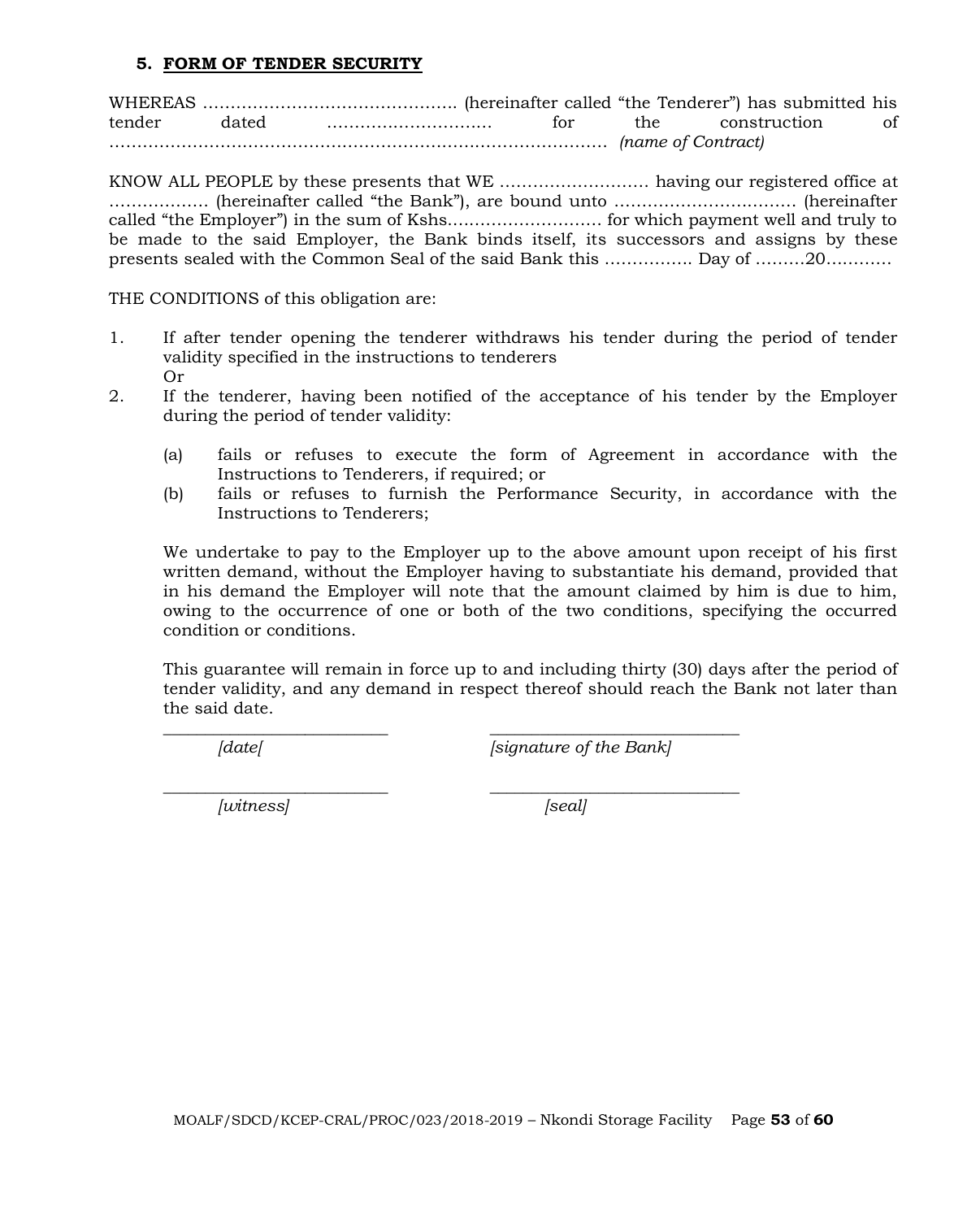#### **5. FORM OF TENDER SECURITY**

WHEREAS ………………………………………. (hereinafter called "the Tenderer") has submitted his tender dated ………………………… for the construction of ……………………………………………………………………………… *(name of Contract)*

KNOW ALL PEOPLE by these presents that WE ……………………… having our registered office at ……………… (hereinafter called "the Bank"), are bound unto …………………………… (hereinafter called "the Employer") in the sum of Kshs.……………………… for which payment well and truly to be made to the said Employer, the Bank binds itself, its successors and assigns by these presents sealed with the Common Seal of the said Bank this ……………. Day of ………20…………

THE CONDITIONS of this obligation are:

- 1. If after tender opening the tenderer withdraws his tender during the period of tender validity specified in the instructions to tenderers Or
- 2. If the tenderer, having been notified of the acceptance of his tender by the Employer during the period of tender validity:
	- (a) fails or refuses to execute the form of Agreement in accordance with the Instructions to Tenderers, if required; or
	- (b) fails or refuses to furnish the Performance Security, in accordance with the Instructions to Tenderers;

We undertake to pay to the Employer up to the above amount upon receipt of his first written demand, without the Employer having to substantiate his demand, provided that in his demand the Employer will note that the amount claimed by him is due to him, owing to the occurrence of one or both of the two conditions, specifying the occurred condition or conditions.

This guarantee will remain in force up to and including thirty (30) days after the period of tender validity, and any demand in respect thereof should reach the Bank not later than the said date.

\_\_\_\_\_\_\_\_\_\_\_\_\_\_\_\_\_\_\_\_\_\_\_\_\_\_\_ \_\_\_\_\_\_\_\_\_\_\_\_\_\_\_\_\_\_\_\_\_\_\_\_\_\_\_\_\_\_

*[date[ [signature of the Bank]*

*\_\_\_\_\_\_\_\_\_\_\_\_\_\_\_\_\_\_\_\_\_\_\_\_\_\_\_ \_\_\_\_\_\_\_\_\_\_\_\_\_\_\_\_\_\_\_\_\_\_\_\_\_\_\_\_\_\_ [witness] [seal]*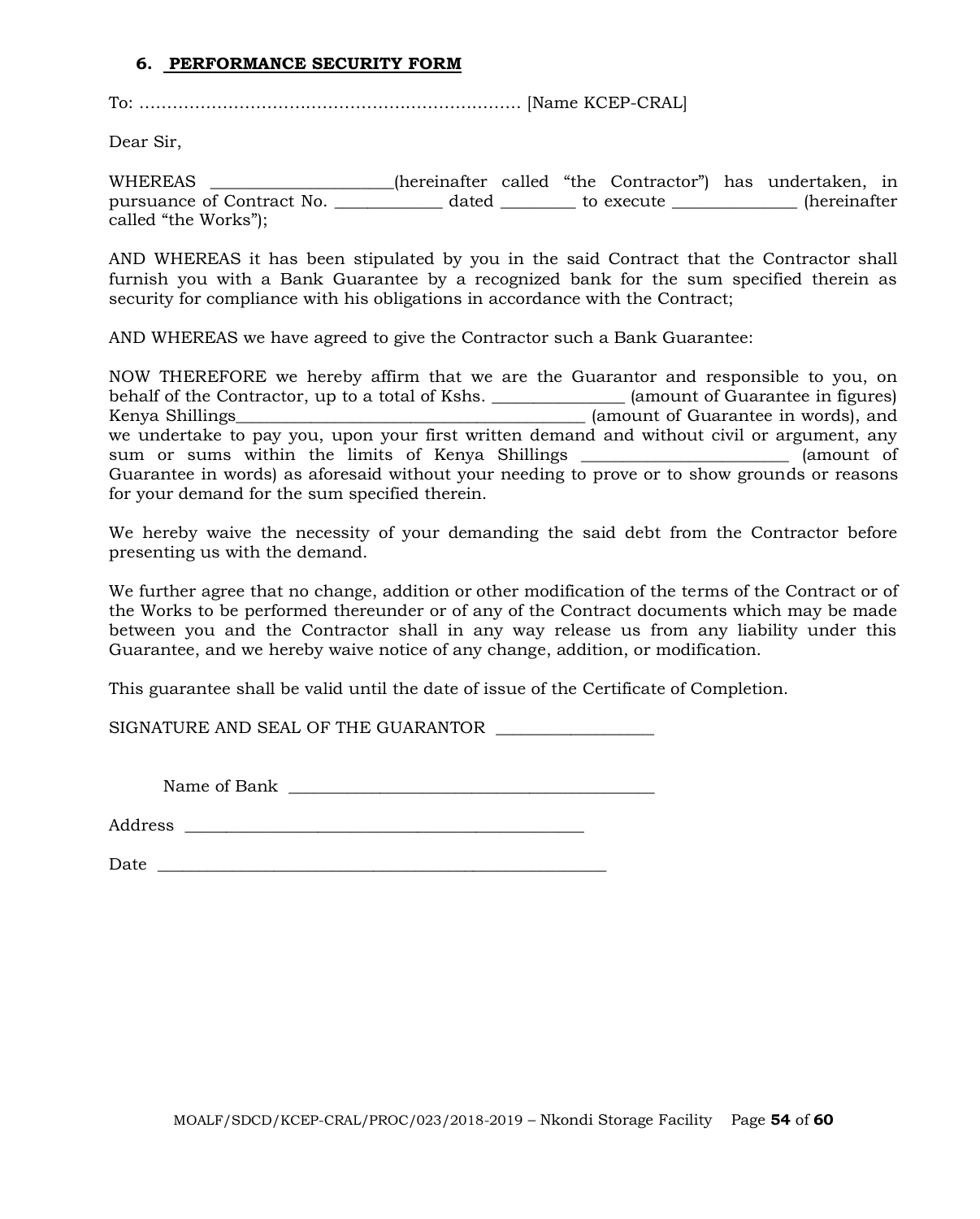#### **6. PERFORMANCE SECURITY FORM**

To: …………………………………………………………… [Name KCEP-CRAL]

Dear Sir,

WHEREAS \_\_\_\_\_\_\_\_\_\_\_\_\_\_\_\_\_\_\_\_\_\_(hereinafter called "the Contractor") has undertaken, in pursuance of Contract No. <br>
dated to execute the secure (hereinafter called "the Works");

AND WHEREAS it has been stipulated by you in the said Contract that the Contractor shall furnish you with a Bank Guarantee by a recognized bank for the sum specified therein as security for compliance with his obligations in accordance with the Contract;

AND WHEREAS we have agreed to give the Contractor such a Bank Guarantee:

NOW THEREFORE we hereby affirm that we are the Guarantor and responsible to you, on behalf of the Contractor, up to a total of Kshs. \_\_\_\_\_\_\_\_\_\_\_\_\_\_\_\_ (amount of Guarantee in figures) Kenya Shillings\_\_\_\_\_\_\_\_\_\_\_\_\_\_\_\_\_\_\_\_\_\_\_\_\_\_\_\_\_\_\_\_\_\_\_\_\_\_\_\_\_\_ (amount of Guarantee in words), and we undertake to pay you, upon your first written demand and without civil or argument, any sum or sums within the limits of Kenya Shillings \_\_\_\_\_\_\_\_\_\_\_\_\_\_\_\_\_\_\_\_\_\_\_\_\_ (amount of Guarantee in words) as aforesaid without your needing to prove or to show grounds or reasons for your demand for the sum specified therein.

We hereby waive the necessity of your demanding the said debt from the Contractor before presenting us with the demand.

We further agree that no change, addition or other modification of the terms of the Contract or of the Works to be performed thereunder or of any of the Contract documents which may be made between you and the Contractor shall in any way release us from any liability under this Guarantee, and we hereby waive notice of any change, addition, or modification.

This guarantee shall be valid until the date of issue of the Certificate of Completion.

SIGNATURE AND SEAL OF THE GUARANTOR \_\_\_\_\_\_\_\_\_\_\_\_\_\_\_\_\_\_\_

Name of Bank \_\_\_\_\_\_\_\_\_\_\_\_\_\_\_\_\_\_\_\_\_\_\_\_\_\_\_\_\_\_\_\_\_\_\_\_\_\_\_\_\_\_\_\_

Address \_\_\_\_\_\_\_\_\_\_\_\_\_\_\_\_\_\_\_\_\_\_\_\_\_\_\_\_\_\_\_\_\_\_\_\_\_\_\_\_\_\_\_\_\_\_\_\_

 $Date$   $\Box$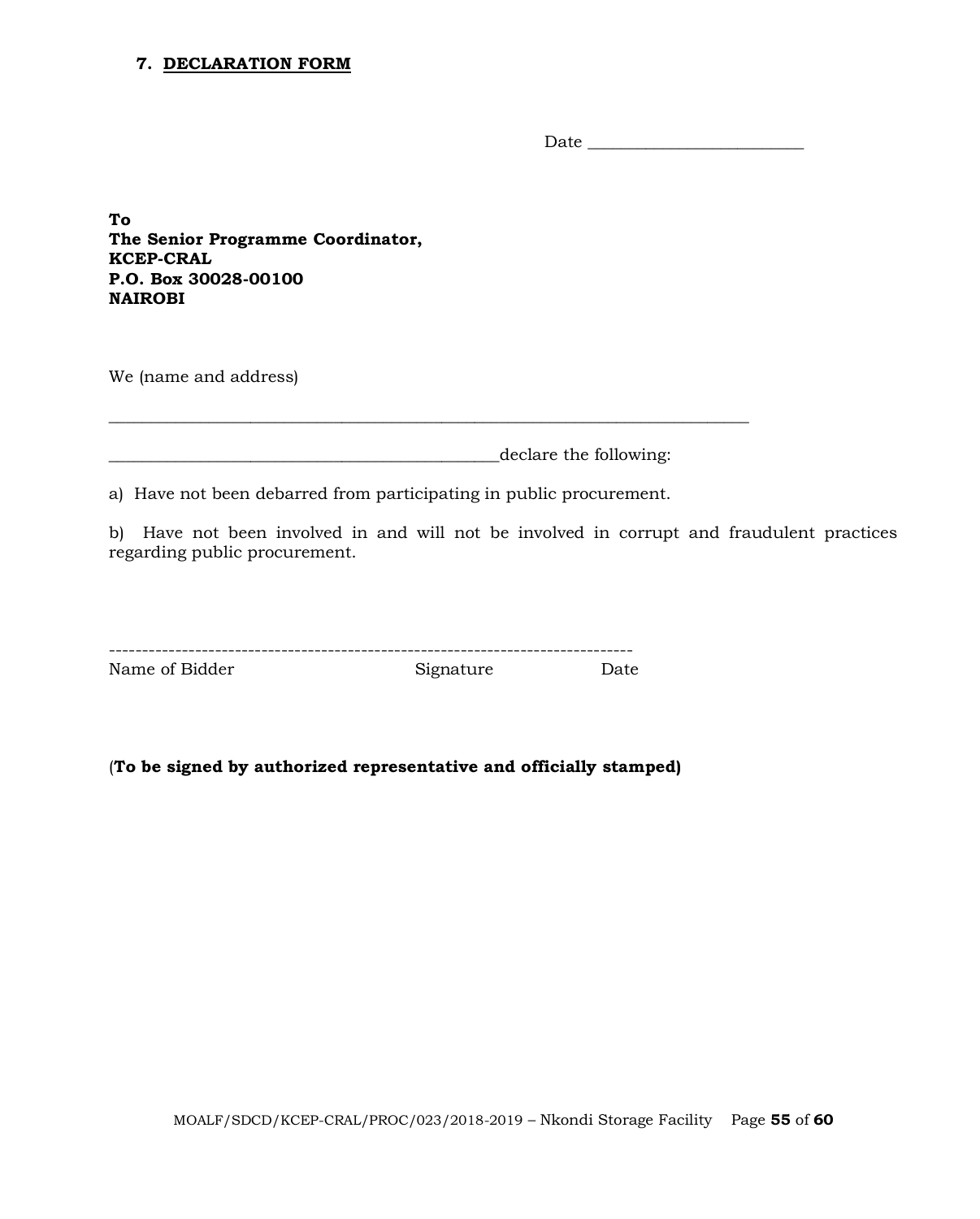#### **7. DECLARATION FORM**

Date \_\_\_\_\_\_\_\_\_\_\_\_\_\_\_\_\_\_\_\_\_\_\_\_\_\_

**To The Senior Programme Coordinator, KCEP-CRAL P.O. Box 30028-00100 NAIROBI**

We (name and address)

\_\_\_\_\_\_\_\_\_\_\_\_\_\_\_\_\_\_\_\_\_\_\_\_\_\_\_\_\_\_\_\_\_\_\_\_\_\_\_\_\_\_\_\_\_\_\_declare the following:

a) Have not been debarred from participating in public procurement.

\_\_\_\_\_\_\_\_\_\_\_\_\_\_\_\_\_\_\_\_\_\_\_\_\_\_\_\_\_\_\_\_\_\_\_\_\_\_\_\_\_\_\_\_\_\_\_\_\_\_\_\_\_\_\_\_\_\_\_\_\_\_\_\_\_\_\_\_\_\_\_\_\_\_\_\_\_

b) Have not been involved in and will not be involved in corrupt and fraudulent practices regarding public procurement.

| Name of Bidder | Signature | Date |
|----------------|-----------|------|

(**To be signed by authorized representative and officially stamped)**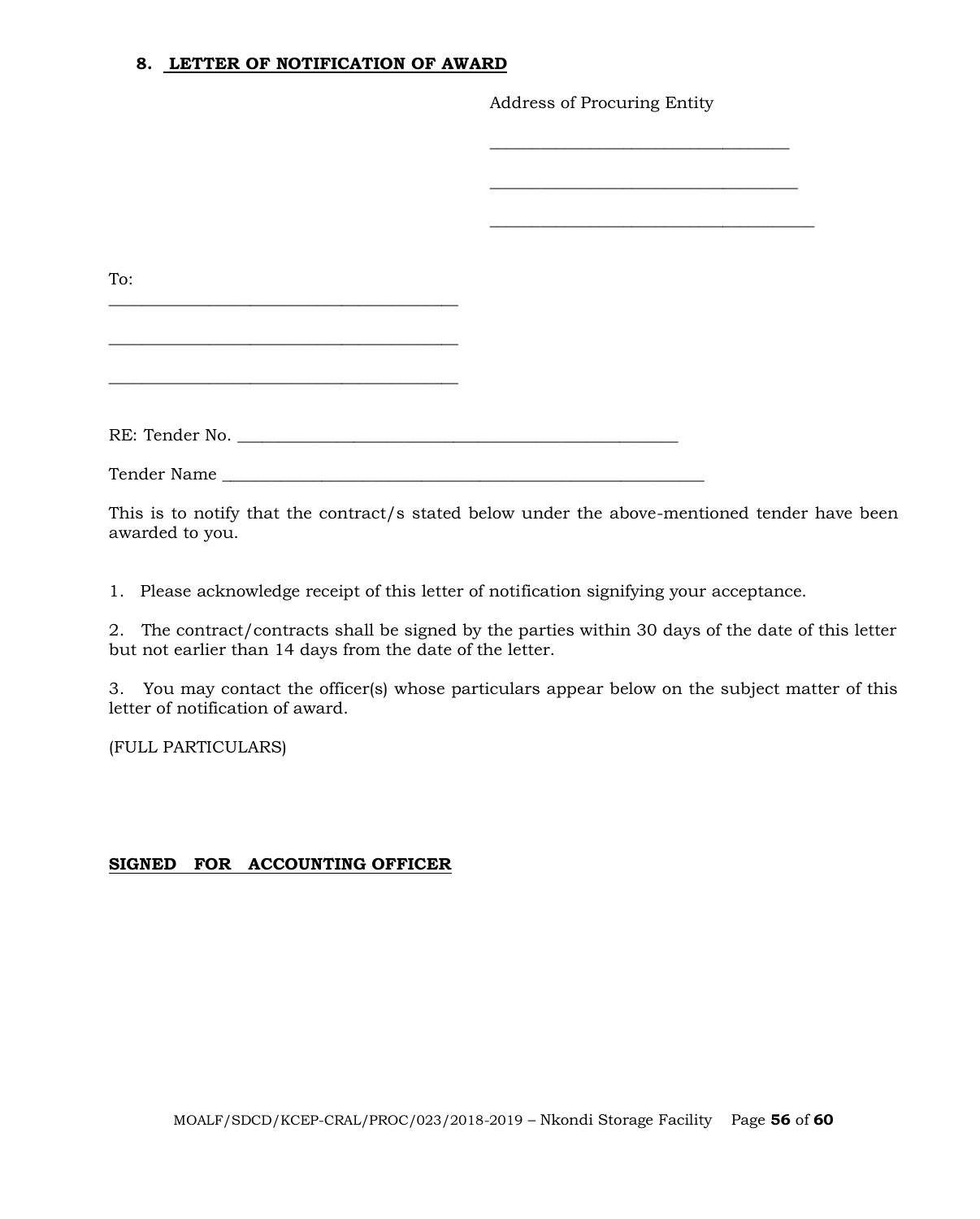#### **8. LETTER OF NOTIFICATION OF AWARD**

Address of Procuring Entity

| To:            |  |
|----------------|--|
|                |  |
|                |  |
|                |  |
|                |  |
|                |  |
| RE: Tender No. |  |
|                |  |

This is to notify that the contract/s stated below under the above-mentioned tender have been awarded to you.

1. Please acknowledge receipt of this letter of notification signifying your acceptance.

2. The contract/contracts shall be signed by the parties within 30 days of the date of this letter but not earlier than 14 days from the date of the letter.

3. You may contact the officer(s) whose particulars appear below on the subject matter of this letter of notification of award.

(FULL PARTICULARS)

# **SIGNED FOR ACCOUNTING OFFICER**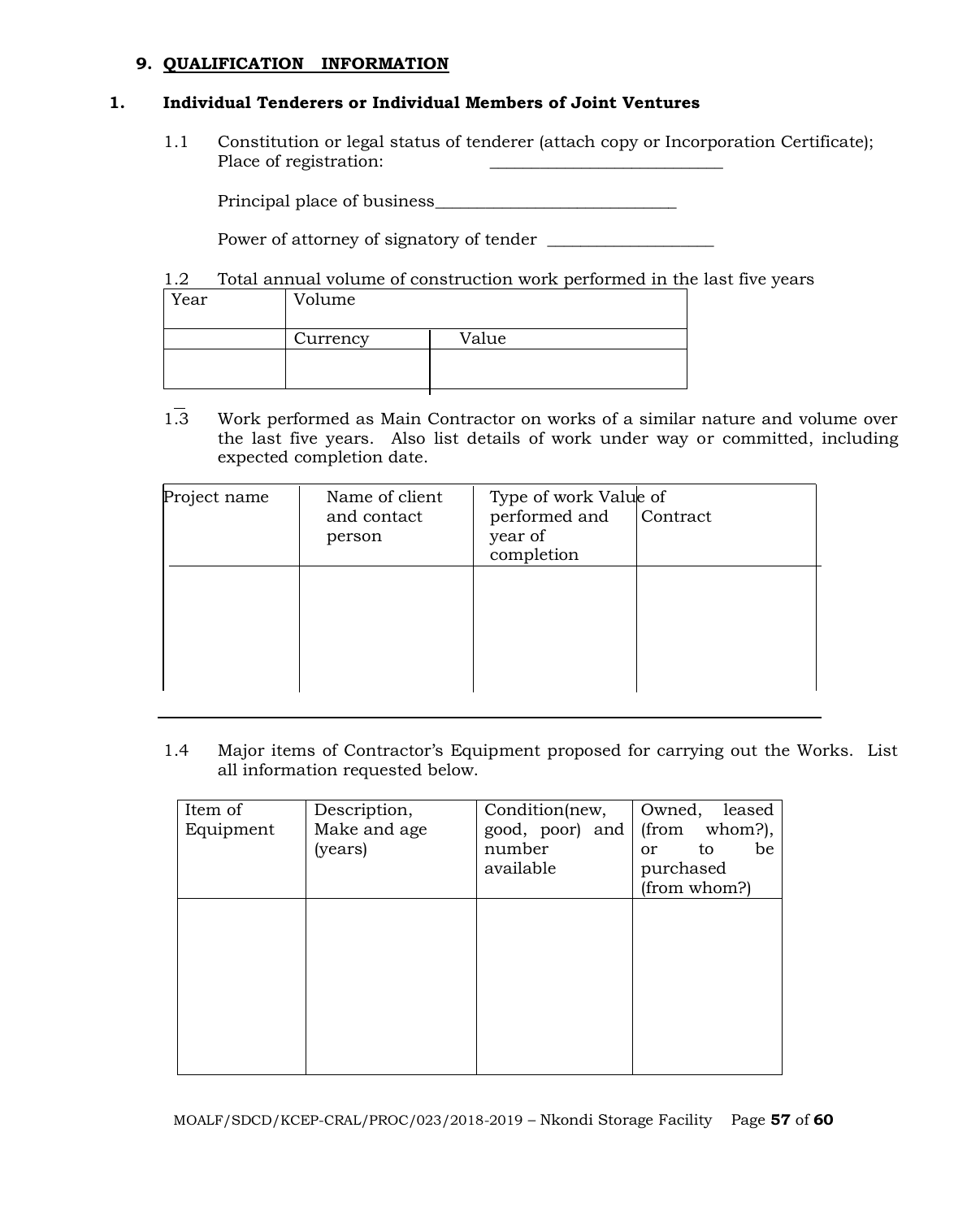#### **9. QUALIFICATION INFORMATION**

#### **1. Individual Tenderers or Individual Members of Joint Ventures**

1.1 Constitution or legal status of tenderer (attach copy or Incorporation Certificate); Place of registration:

Principal place of business\_\_\_\_\_\_\_\_\_\_\_\_\_\_\_\_\_\_\_\_\_\_\_\_\_\_\_\_\_

Power of attorney of signatory of tender \_\_\_\_\_\_\_\_\_\_\_\_\_\_\_\_\_\_\_\_

1.2 Total annual volume of construction work performed in the last five years

| Year | Volume   |       |
|------|----------|-------|
|      | Currency | Value |
|      |          |       |

1.3 Work performed as Main Contractor on works of a similar nature and volume over the last five years. Also list details of work under way or committed, including expected completion date.

| Project name | Name of client<br>and contact<br>person | Type of work Value of<br>performed and<br>year of<br>completion | Contract |
|--------------|-----------------------------------------|-----------------------------------------------------------------|----------|
|              |                                         |                                                                 |          |

1.4 Major items of Contractor's Equipment proposed for carrying out the Works. List all information requested below.

| Item of   | Description, | Condition(new,  | Owned,<br>leased          |
|-----------|--------------|-----------------|---------------------------|
| Equipment | Make and age | good, poor) and | whom?),<br>(from          |
|           | (years)      | number          | be<br>to<br><sub>or</sub> |
|           |              | available       | purchased                 |
|           |              |                 | (from whom?)              |
|           |              |                 |                           |
|           |              |                 |                           |
|           |              |                 |                           |
|           |              |                 |                           |
|           |              |                 |                           |
|           |              |                 |                           |
|           |              |                 |                           |
|           |              |                 |                           |
|           |              |                 |                           |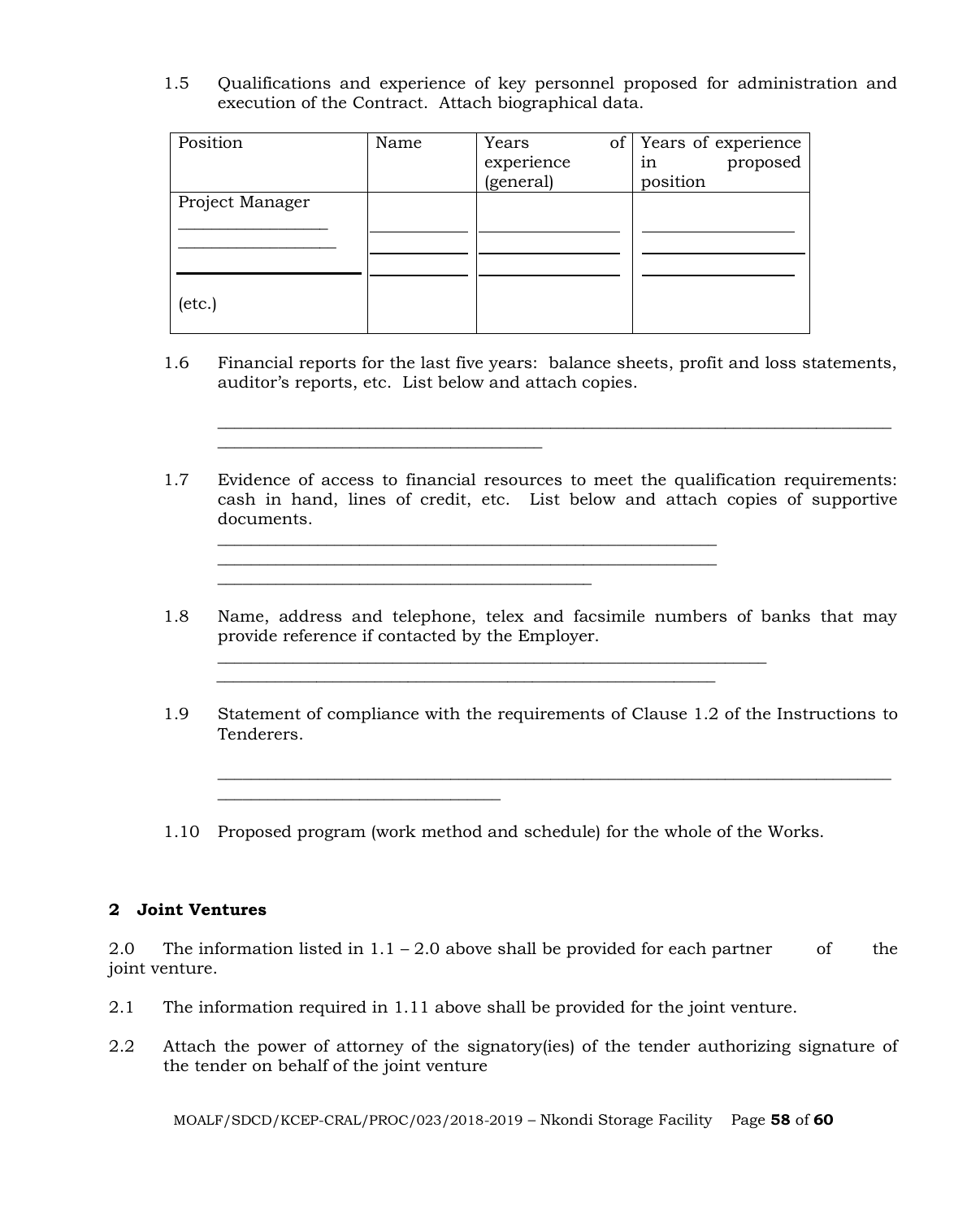1.5 Qualifications and experience of key personnel proposed for administration and execution of the Contract. Attach biographical data.

| Position        | Name | Years<br>of <sub>1</sub><br>experience<br>(general) | Years of experience<br>proposed<br>1n<br>position |
|-----------------|------|-----------------------------------------------------|---------------------------------------------------|
| Project Manager |      |                                                     |                                                   |
| $(\text{etc.})$ |      |                                                     |                                                   |

 $\overline{\phantom{a}}$  , and the set of the set of the set of the set of the set of the set of the set of the set of the set of the set of the set of the set of the set of the set of the set of the set of the set of the set of the s

\_\_\_\_\_\_\_\_\_\_\_\_\_\_\_\_\_\_\_\_\_\_\_\_\_\_\_\_\_\_\_\_\_\_

1.6 Financial reports for the last five years: balance sheets, profit and loss statements, auditor's reports, etc. List below and attach copies.

\_\_\_\_\_\_\_\_\_\_\_\_\_\_\_\_\_\_\_\_\_\_\_\_\_\_\_\_\_\_\_\_\_\_\_\_\_\_\_\_\_\_\_\_\_\_\_\_\_\_\_\_\_\_\_\_\_\_\_\_\_\_\_\_\_\_\_\_\_\_\_\_\_\_\_\_\_\_\_\_\_

1.7 Evidence of access to financial resources to meet the qualification requirements: cash in hand, lines of credit, etc. List below and attach copies of supportive documents.

\_\_\_\_\_\_\_\_\_\_\_\_\_\_\_\_\_\_\_\_\_\_\_\_\_\_\_\_\_\_\_\_\_\_\_\_\_\_\_\_\_\_\_\_\_\_\_\_\_\_\_\_\_\_\_\_\_\_\_\_

 $\frac{1}{2}$  ,  $\frac{1}{2}$  ,  $\frac{1}{2}$  ,  $\frac{1}{2}$  ,  $\frac{1}{2}$  ,  $\frac{1}{2}$  ,  $\frac{1}{2}$  ,  $\frac{1}{2}$  ,  $\frac{1}{2}$  ,  $\frac{1}{2}$  ,  $\frac{1}{2}$  ,  $\frac{1}{2}$  ,  $\frac{1}{2}$  ,  $\frac{1}{2}$  ,  $\frac{1}{2}$  ,  $\frac{1}{2}$  ,  $\frac{1}{2}$  ,  $\frac{1}{2}$  ,  $\frac{1$ 

 $\mathcal{L}_\text{max}$  and  $\mathcal{L}_\text{max}$  and  $\mathcal{L}_\text{max}$  and  $\mathcal{L}_\text{max}$  and  $\mathcal{L}_\text{max}$ 

- 1.8 Name, address and telephone, telex and facsimile numbers of banks that may provide reference if contacted by the Employer.
- 1.9 Statement of compliance with the requirements of Clause 1.2 of the Instructions to Tenderers.

\_\_\_\_\_\_\_\_\_\_\_\_\_\_\_\_\_\_\_\_\_\_\_\_\_\_\_\_\_\_\_\_\_\_\_\_\_\_\_\_\_\_\_\_\_\_\_\_\_\_\_\_\_\_\_\_\_\_\_\_\_\_\_\_\_\_\_\_\_\_\_\_\_\_\_\_\_\_\_\_\_

1.10 Proposed program (work method and schedule) for the whole of the Works.

 $\mathcal{L}_\text{max}$  , and the contribution of the contribution of the contribution of the contribution of the contribution of the contribution of the contribution of the contribution of the contribution of the contribution of t

#### **2 Joint Ventures**

2.0 The information listed in  $1.1 - 2.0$  above shall be provided for each partner of the joint venture.

- 2.1 The information required in 1.11 above shall be provided for the joint venture.
- 2.2 Attach the power of attorney of the signatory(ies) of the tender authorizing signature of the tender on behalf of the joint venture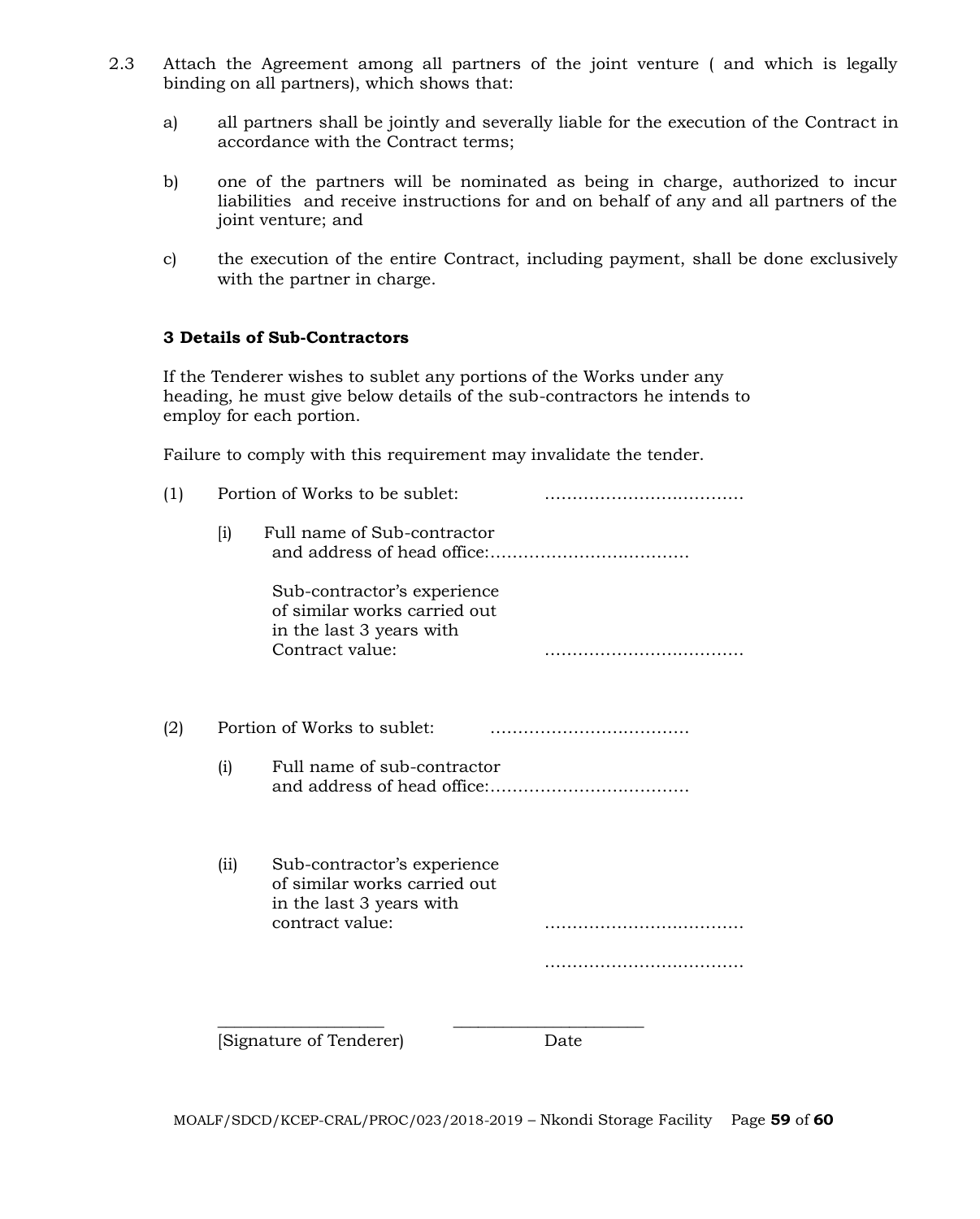- 2.3 Attach the Agreement among all partners of the joint venture ( and which is legally binding on all partners), which shows that:
	- a) all partners shall be jointly and severally liable for the execution of the Contract in accordance with the Contract terms;
	- b) one of the partners will be nominated as being in charge, authorized to incur liabilities and receive instructions for and on behalf of any and all partners of the joint venture; and
	- c) the execution of the entire Contract, including payment, shall be done exclusively with the partner in charge.

#### **3 Details of Sub-Contractors**

If the Tenderer wishes to sublet any portions of the Works under any heading, he must give below details of the sub-contractors he intends to employ for each portion.

Failure to comply with this requirement may invalidate the tender.

|                    | Portion of Works to be sublet: |                                                                                                            |      |
|--------------------|--------------------------------|------------------------------------------------------------------------------------------------------------|------|
| $\left[ i \right)$ |                                | Full name of Sub-contractor                                                                                |      |
|                    |                                | Sub-contractor's experience<br>of similar works carried out<br>in the last 3 years with<br>Contract value: |      |
|                    | Portion of Works to sublet:    |                                                                                                            |      |
| (i)                |                                | Full name of sub-contractor                                                                                |      |
|                    | (iii)                          | Sub-contractor's experience<br>of similar works carried out<br>in the last 3 years with<br>contract value: |      |
|                    |                                |                                                                                                            |      |
|                    |                                | Signature of Tenderer)                                                                                     | Date |